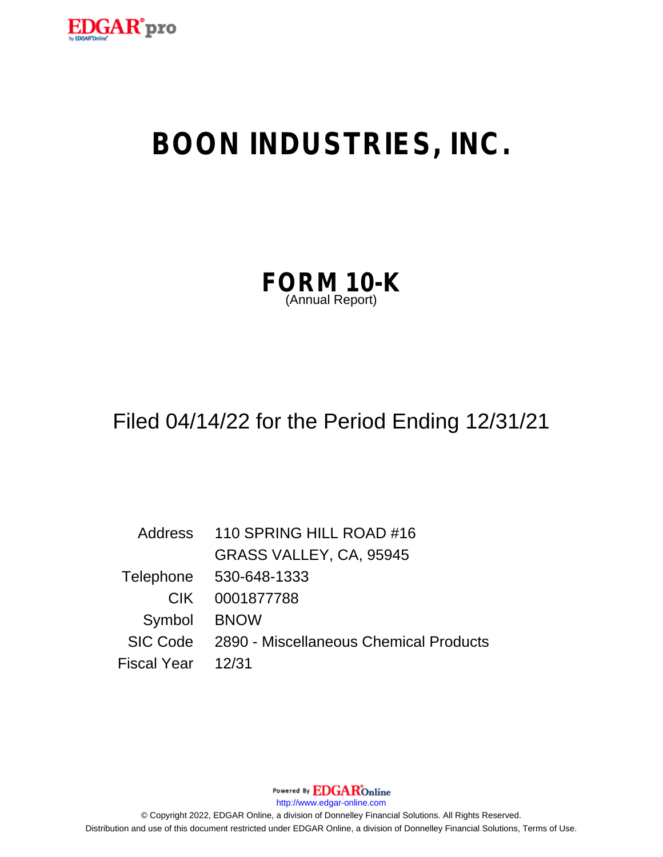

# **BOON INDUSTRIES, INC.**

| FORM 10-K       |  |  |
|-----------------|--|--|
| (Annual Report) |  |  |

### Filed 04/14/22 for the Period Ending 12/31/21

Address 110 SPRING HILL ROAD #16 GRASS VALLEY, CA, 95945 Telephone 530-648-1333 CIK 0001877788 Symbol BNOW SIC Code 2890 - Miscellaneous Chemical Products Fiscal Year 12/31

Powered By **EDGAR**Online

http://www.edgar-online.com

© Copyright 2022, EDGAR Online, a division of Donnelley Financial Solutions. All Rights Reserved. Distribution and use of this document restricted under EDGAR Online, a division of Donnelley Financial Solutions, Terms of Use.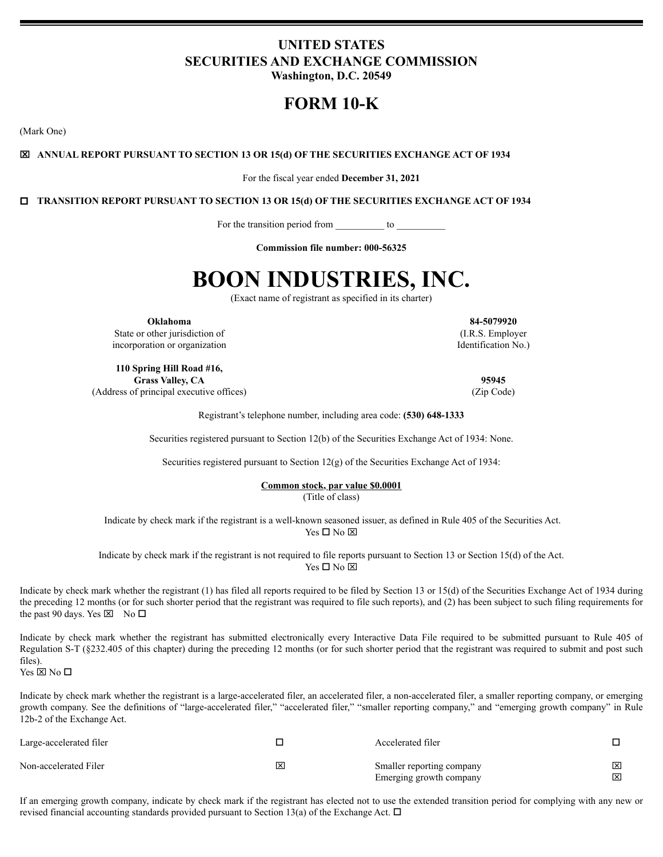#### **UNITED STATES SECURITIES AND EXCHANGE COMMISSION** Washington, D.C. 20549

### **FORM 10-K**

(Mark One)

**E ANNUAL REPORT PURSUANT TO SECTION 13 OR 15(d) OF THE SECURITIES EXCHANGE ACT OF 1934** 

For the fiscal year ended December 31, 2021

**IN TRANSITION REPORT PURSUANT TO SECTION 13 OR 15(d) OF THE SECURITIES EXCHANGE ACT OF 1934** 

For the transition period from to

Commission file number: 000-56325

## **BOON INDUSTRIES, INC.**

(Exact name of registrant as specified in its charter)

Oklahoma

State or other jurisdiction of incorporation or organization

110 Spring Hill Road #16, **Grass Valley, CA** (Address of principal executive offices)

95945

84-5079920

(I.R.S. Employer

Identification No.)

(Zip Code)

Registrant's telephone number, including area code: (530) 648-1333

Securities registered pursuant to Section 12(b) of the Securities Exchange Act of 1934: None.

Securities registered pursuant to Section 12(g) of the Securities Exchange Act of 1934:

Common stock, par value \$0.0001 (Title of class)

Indicate by check mark if the registrant is a well-known seasoned issuer, as defined in Rule 405 of the Securities Act. Yes □ No ⊠

Indicate by check mark if the registrant is not required to file reports pursuant to Section 13 or Section 15(d) of the Act. Yes □ No ⊠

Indicate by check mark whether the registrant (1) has filed all reports required to be filed by Section 13 or 15(d) of the Securities Exchange Act of 1934 during the preceding 12 months (or for such shorter period that the registrant was required to file such reports), and (2) has been subject to such filing requirements for the past 90 days. Yes  $\boxtimes$  No  $\square$ 

Indicate by check mark whether the registrant has submitted electronically every Interactive Data File required to be submitted pursuant to Rule 405 of Regulation S-T (§232.405 of this chapter) during the preceding 12 months (or for such shorter period that the registrant was required to submit and post such files). Yes  $\overline{\boxtimes}$  No  $\Box$ 

Indicate by check mark whether the registrant is a large-accelerated filer, an accelerated filer, a non-accelerated filer, a smaller reporting company, or emerging growth company. See the definitions of "large-accelerated filer," "accelerated filer," "smaller reporting company," and "emerging growth company" in Rule 12b-2 of the Exchange Act.

| Large-accelerated filer |   | Accelerated filer                                    |        |
|-------------------------|---|------------------------------------------------------|--------|
| Non-accelerated Filer   | ⊠ | Smaller reporting company<br>Emerging growth company | 冈<br>⊠ |

If an emerging growth company, indicate by check mark if the registrant has elected not to use the extended transition period for complying with any new or revised financial accounting standards provided pursuant to Section 13(a) of the Exchange Act.  $\Box$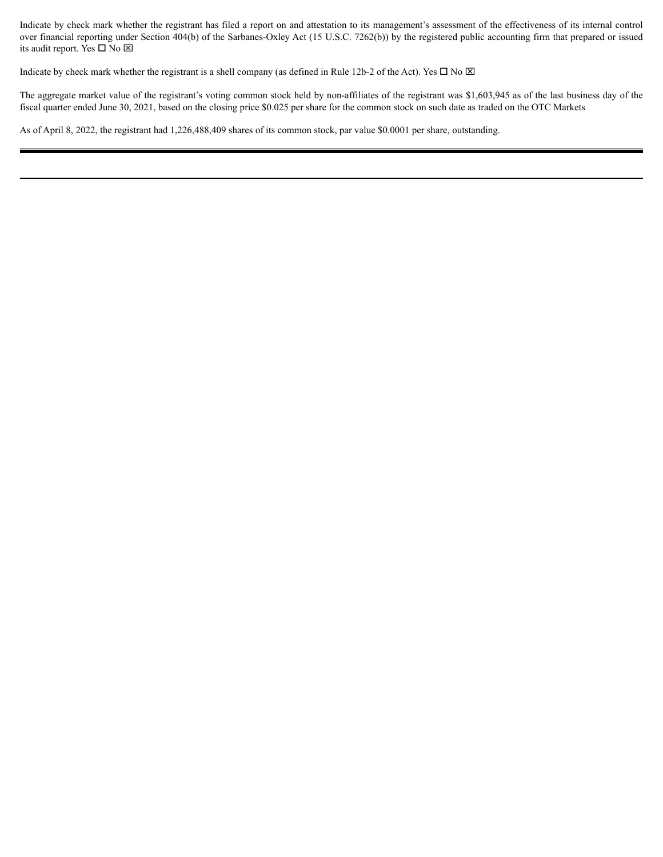Indicate by check mark whether the registrant has filed a report on and attestation to its management's assessment of the effectiveness of its internal control over financial reporting under Section 404(b) of the Sarbanes-Oxley Act (15 U.S.C. 7262(b)) by the registered public accounting firm that prepared or issued its audit report. Yes  $\square$  No  $\square$ 

Indicate by check mark whether the registrant is a shell company (as defined in Rule 12b-2 of the Act). Yes  $\Box$  No  $\boxtimes$ 

The aggregate market value of the registrant's voting common stock held by non-affiliates of the registrant was \$1,603,945 as of the last business day of the fiscal quarter ended June 30, 2021, based on the closing price \$0.025 per share for the common stock on such date as traded on the OTC Markets

As of April 8, 2022, the registrant had 1,226,488,409 shares of its common stock, par value \$0.0001 per share, outstanding.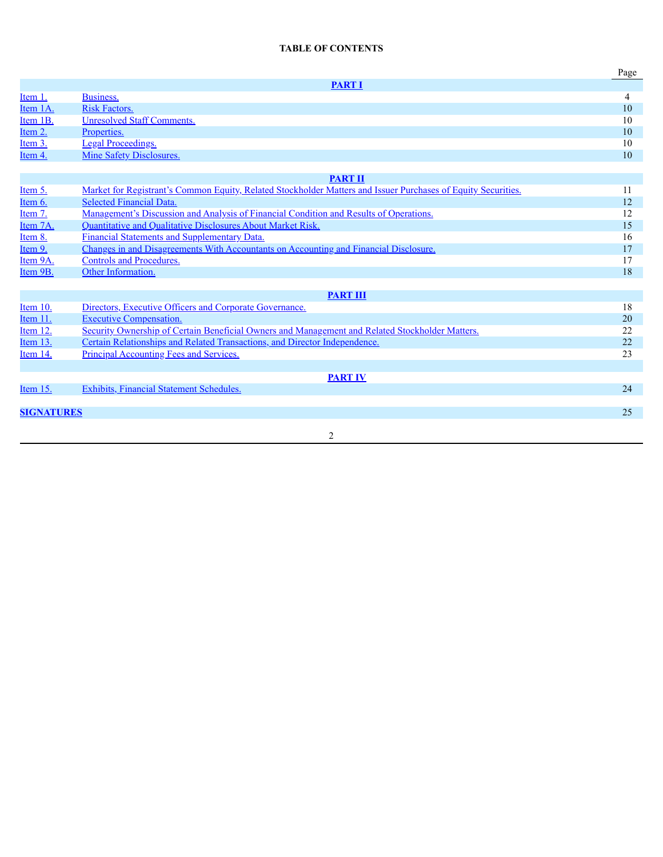#### **TABLE OF CONTENTS**

|                   |                                                                                                               | Page             |
|-------------------|---------------------------------------------------------------------------------------------------------------|------------------|
|                   | <b>PART I</b>                                                                                                 |                  |
| Item 1.           | <b>Business.</b>                                                                                              | 4                |
| Item 1A.          | <b>Risk Factors.</b>                                                                                          | 10               |
| Item 1B.          | <b>Unresolved Staff Comments.</b>                                                                             | 10               |
| Item 2.           | Properties.                                                                                                   | 10 <sup>10</sup> |
| Item 3.           | <b>Legal Proceedings.</b>                                                                                     | 10               |
| Item 4.           | <b>Mine Safety Disclosures.</b>                                                                               | 10               |
|                   | <b>PART II</b>                                                                                                |                  |
| Item 5.           | Market for Registrant's Common Equity, Related Stockholder Matters and Issuer Purchases of Equity Securities. | 11               |
| Item 6.           | <b>Selected Financial Data.</b>                                                                               | 12               |
| Item 7.           | Management's Discussion and Analysis of Financial Condition and Results of Operations.                        | 12               |
| Item 7A.          | Quantitative and Qualitative Disclosures About Market Risk.                                                   | 15               |
| Item 8.           | <b>Financial Statements and Supplementary Data.</b>                                                           | 16               |
| Item 9.           | Changes in and Disagreements With Accountants on Accounting and Financial Disclosure.                         | 17               |
| Item 9A.          | <b>Controls and Procedures.</b>                                                                               | 17               |
| Item 9B.          | Other Information.                                                                                            | 18               |
|                   | <b>PART III</b>                                                                                               |                  |
| Item 10.          | Directors, Executive Officers and Corporate Governance.                                                       | 18               |
| Item 11.          | <b>Executive Compensation.</b>                                                                                | 20               |
| <b>Item 12.</b>   | Security Ownership of Certain Beneficial Owners and Management and Related Stockholder Matters.               | 22               |
| Item 13.          | Certain Relationships and Related Transactions, and Director Independence.                                    | 22               |
| Item 14.          | Principal Accounting Fees and Services.                                                                       | 23               |
|                   | <b>PART IV</b>                                                                                                |                  |
| Item 15.          | <b>Exhibits, Financial Statement Schedules.</b>                                                               | 24               |
| <b>SIGNATURES</b> |                                                                                                               | 25               |
|                   |                                                                                                               |                  |
|                   | $\overline{2}$                                                                                                |                  |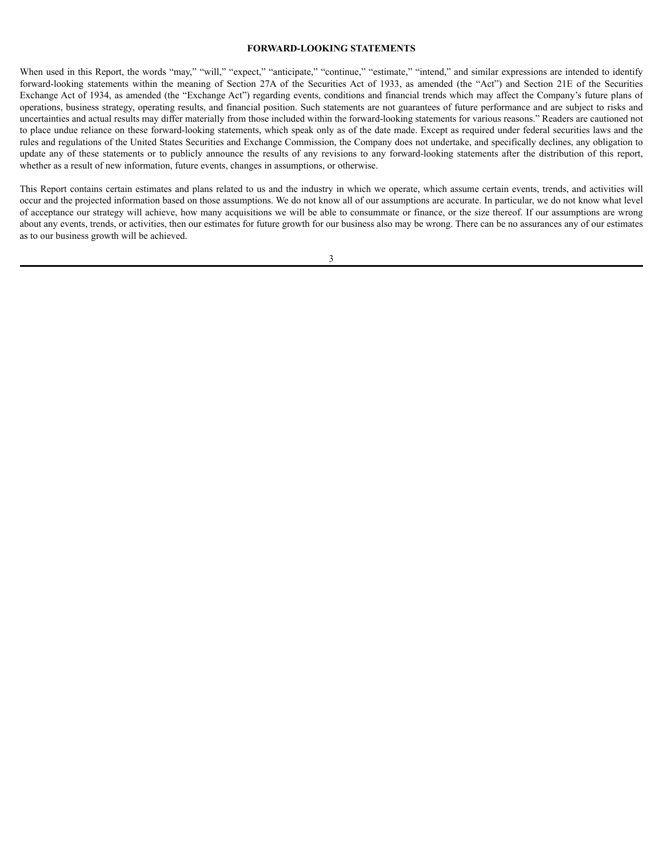#### **FORWARD-LOOKING STATEMENTS**

When used in this Report, the words "may," "will," "expect," "anticipate," "continue," "estimate," "intend," and similar expressions are intended to identify forward-looking statements within the meaning of Section 27A of the Securities Act of 1933, as amended (the "Act") and Section 21E of the Securities Exchange Act of 1934, as amended (the "Exchange Act") regarding events, conditions and financial trends which may affect the Company's future plans of operations, business strategy, operating results, and financial position. Such statements are not guarantees of future performance and are subject to risks and uncertainties and actual results may differ materially from those included within the forward-looking statements for various reasons." Readers are cautioned not to place undue reliance on these forward-looking statements, which speak only as of the date made. Except as required under federal securities laws and the rules and regulations of the United States Securities and Exchange Commission, the Company does not undertake, and specifically declines, any obligation to update any of these statements or to publicly announce the results of any revisions to any forward-looking statements after the distribution of this report, whether as a result of new information, future events, changes in assumptions, or otherwise.

This Report contains certain estimates and plans related to us and the industry in which we operate, which assume certain events, trends, and activities will occur and the projected information based on those assumptions. We do not know all of our assumptions are accurate. In particular, we do not know what level of acceptance our strategy will achieve, how many acquisitions we will be able to consummate or finance, or the size thereof. If our assumptions are wrong about any events, trends, or activities, then our estimates for future growth for our business also may be wrong. There can be no assurances any of our estimates as to our business growth will be achieved.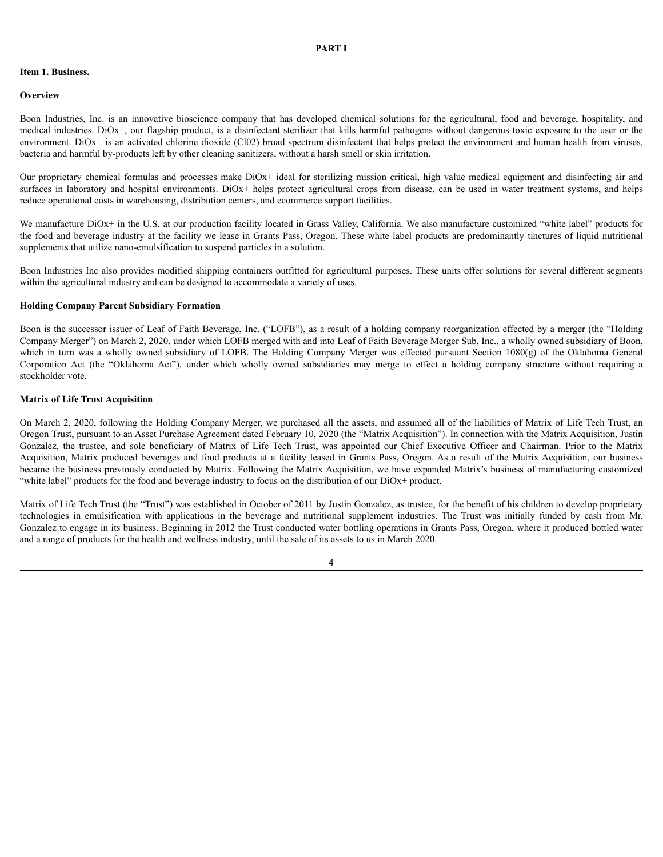#### <span id="page-5-0"></span>**PART I**

#### <span id="page-5-1"></span>**Item 1. Business.**

#### **Overview**

Boon Industries, Inc. is an innovative bioscience company that has developed chemical solutions for the agricultural, food and beverage, hospitality, and medical industries. DiOx+, our flagship product, is a disinfectant sterilizer that kills harmful pathogens without dangerous toxic exposure to the user or the environment. DiOx+ is an activated chlorine dioxide (Cl02) broad spectrum disinfectant that helps protect the environment and human health from viruses, bacteria and harmful by-products left by other cleaning sanitizers, without a harsh smell or skin irritation.

Our proprietary chemical formulas and processes make DiOx+ ideal for sterilizing mission critical, high value medical equipment and disinfecting air and surfaces in laboratory and hospital environments. DiOx+ helps protect agricultural crops from disease, can be used in water treatment systems, and helps reduce operational costs in warehousing, distribution centers, and ecommerce support facilities.

We manufacture DiOx+ in the U.S. at our production facility located in Grass Valley, California. We also manufacture customized "white label" products for the food and beverage industry at the facility we lease in Grants Pass, Oregon. These white label products are predominantly tinctures of liquid nutritional supplements that utilize nano-emulsification to suspend particles in a solution.

Boon Industries Inc also provides modified shipping containers outfitted for agricultural purposes. These units offer solutions for several different segments within the agricultural industry and can be designed to accommodate a variety of uses.

#### **Holding Company Parent Subsidiary Formation**

Boon is the successor issuer of Leaf of Faith Beverage, Inc. ("LOFB"), as a result of a holding company reorganization effected by a merger (the "Holding Company Merger") on March 2, 2020, under which LOFB merged with and into Leaf of Faith Beverage Merger Sub, Inc., a wholly owned subsidiary of Boon, which in turn was a wholly owned subsidiary of LOFB. The Holding Company Merger was effected pursuant Section 1080(g) of the Oklahoma General Corporation Act (the "Oklahoma Act"), under which wholly owned subsidiaries may merge to effect a holding company structure without requiring a stockholder vote.

#### **Matrix of Life Trust Acquisition**

On March 2, 2020, following the Holding Company Merger, we purchased all the assets, and assumed all of the liabilities of Matrix of Life Tech Trust, an Oregon Trust, pursuant to an Asset Purchase Agreement dated February 10, 2020 (the "Matrix Acquisition"). In connection with the Matrix Acquisition, Justin Gonzalez, the trustee, and sole beneficiary of Matrix of Life Tech Trust, was appointed our Chief Executive Officer and Chairman. Prior to the Matrix Acquisition, Matrix produced beverages and food products at a facility leased in Grants Pass, Oregon. As a result of the Matrix Acquisition, our business became the business previously conducted by Matrix. Following the Matrix Acquisition, we have expanded Matrix's business of manufacturing customized "white label" products for the food and beverage industry to focus on the distribution of our DiOx+ product.

Matrix of Life Tech Trust (the "Trust") was established in October of 2011 by Justin Gonzalez, as trustee, for the benefit of his children to develop proprietary technologies in emulsification with applications in the beverage and nutritional supplement industries. The Trust was initially funded by cash from Mr. Gonzalez to engage in its business. Beginning in 2012 the Trust conducted water bottling operations in Grants Pass, Oregon, where it produced bottled water and a range of products for the health and wellness industry, until the sale of its assets to us in March 2020.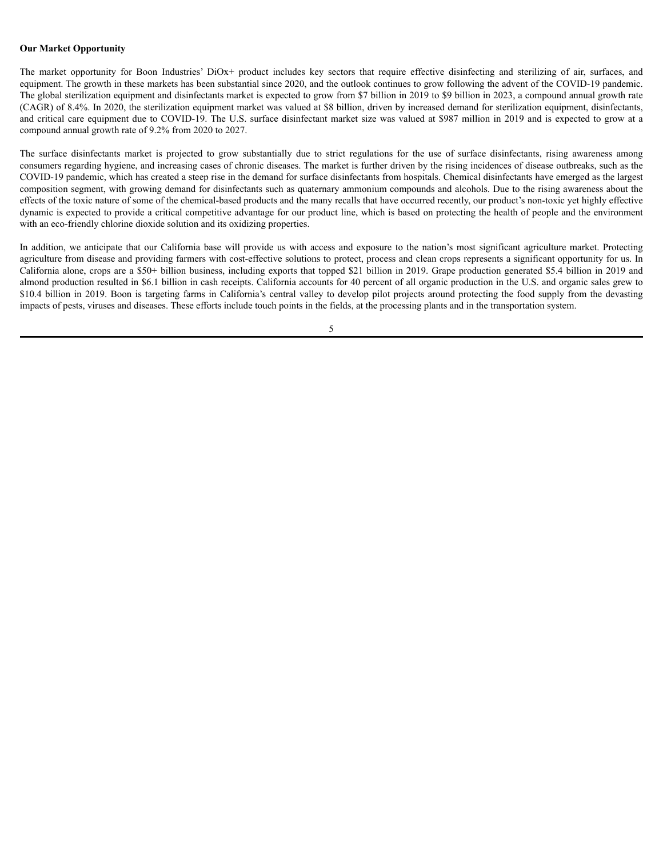#### **Our Market Opportunity**

The market opportunity for Boon Industries' DiOx+ product includes key sectors that require effective disinfecting and sterilizing of air, surfaces, and equipment. The growth in these markets has been substantial since 2020, and the outlook continues to grow following the advent of the COVID-19 pandemic. The global sterilization equipment and disinfectants market is expected to grow from \$7 billion in 2019 to \$9 billion in 2023, a compound annual growth rate (CAGR) of 8.4%. In 2020, the sterilization equipment market was valued at \$8 billion, driven by increased demand for sterilization equipment, disinfectants, and critical care equipment due to COVID-19. The U.S. surface disinfectant market size was valued at \$987 million in 2019 and is expected to grow at a compound annual growth rate of 9.2% from 2020 to 2027.

The surface disinfectants market is projected to grow substantially due to strict regulations for the use of surface disinfectants, rising awareness among consumers regarding hygiene, and increasing cases of chronic diseases. The market is further driven by the rising incidences of disease outbreaks, such as the COVID-19 pandemic, which has created a steep rise in the demand for surface disinfectants from hospitals. Chemical disinfectants have emerged as the largest composition segment, with growing demand for disinfectants such as quaternary ammonium compounds and alcohols. Due to the rising awareness about the effects of the toxic nature of some of the chemical-based products and the many recalls that have occurred recently, our product's non-toxic yet highly effective dynamic is expected to provide a critical competitive advantage for our product line, which is based on protecting the health of people and the environment with an eco-friendly chlorine dioxide solution and its oxidizing properties.

In addition, we anticipate that our California base will provide us with access and exposure to the nation's most significant agriculture market. Protecting agriculture from disease and providing farmers with cost-effective solutions to protect, process and clean crops represents a significant opportunity for us. In California alone, crops are a \$50+ billion business, including exports that topped \$21 billion in 2019. Grape production generated \$5.4 billion in 2019 and almond production resulted in \$6.1 billion in cash receipts. California accounts for 40 percent of all organic production in the U.S. and organic sales grew to \$10.4 billion in 2019. Boon is targeting farms in California's central valley to develop pilot projects around protecting the food supply from the devasting impacts of pests, viruses and diseases. These efforts include touch points in the fields, at the processing plants and in the transportation system.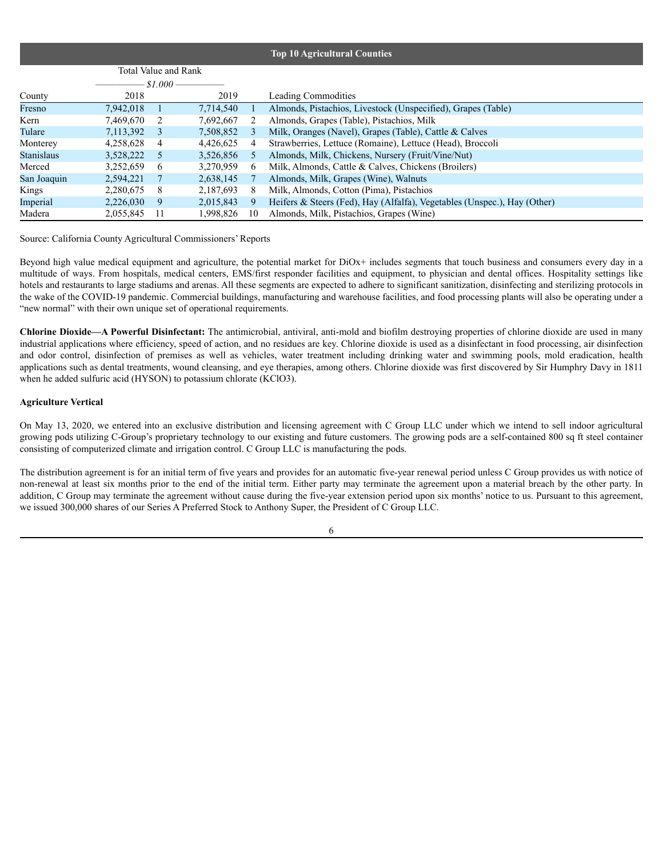|                   |                      |                           |           |                 | <b>Top 10 Agricultural Counties</b>                                      |
|-------------------|----------------------|---------------------------|-----------|-----------------|--------------------------------------------------------------------------|
|                   | Total Value and Rank |                           |           |                 |                                                                          |
|                   |                      | \$1.000\$                 |           |                 |                                                                          |
| County            | 2018                 |                           | 2019      |                 | <b>Leading Commodities</b>                                               |
| Fresno            | 7,942,018            |                           | 7,714,540 |                 | Almonds, Pistachios, Livestock (Unspecified), Grapes (Table)             |
| Kern              | 7,469,670            | $\overline{2}$            | 7,692,667 | 2               | Almonds, Grapes (Table), Pistachios, Milk                                |
| Tulare            | 7,113,392            | $\overline{\phantom{a}3}$ | 7,508,852 | 3               | Milk, Oranges (Navel), Grapes (Table), Cattle & Calves                   |
| Monterey          | 4,258,628            | $\sim$ 4                  | 4,426,625 | 4               | Strawberries, Lettuce (Romaine), Lettuce (Head), Broccoli                |
| <b>Stanislaus</b> | 3,528,222            | $\overline{5}$            | 3,526,856 | .5              | Almonds, Milk, Chickens, Nursery (Fruit/Vine/Nut)                        |
| Merced            | 3,252,659            | 6                         | 3,270,959 | 6               | Milk, Almonds, Cattle & Calves, Chickens (Broilers)                      |
| San Joaquin       | 2,594,221            |                           | 2,638,145 | $7\phantom{.0}$ | Almonds, Milk, Grapes (Wine), Walnuts                                    |
| Kings             | 2,280,675            | 8                         | 2,187,693 | 8               | Milk, Almonds, Cotton (Pima), Pistachios                                 |
| Imperial          | 2,226,030            | - 9                       | 2,015,843 | 9               | Heifers & Steers (Fed), Hay (Alfalfa), Vegetables (Unspec.), Hay (Other) |
| Madera            | 2.055.845            | - 11                      | 1.998.826 | 10              | Almonds, Milk, Pistachios, Grapes (Wine)                                 |

Source: California County Agricultural Commissioners' Reports

Beyond high value medical equipment and agriculture, the potential market for DiOx+ includes segments that touch business and consumers every day in a multitude of ways. From hospitals, medical centers, EMS/first responder facilities and equipment, to physician and dental offices. Hospitality settings like hotels and restaurants to large stadiums and arenas. All these segments are expected to adhere to significant sanitization, disinfecting and sterilizing protocols in the wake of the COVID-19 pandemic. Commercial buildings, manufacturing and warehouse facilities, and food processing plants will also be operating under a "new normal" with their own unique set of operational requirements.

**Chlorine Dioxide—A Powerful Disinfectant:** The antimicrobial, antiviral, anti-mold and biofilm destroying properties of chlorine dioxide are used in many industrial applications where efficiency, speed of action, and no residues are key. Chlorine dioxide is used as a disinfectant in food processing, air disinfection and odor control, disinfection of premises as well as vehicles, water treatment including drinking water and swimming pools, mold eradication, health applications such as dental treatments, wound cleansing, and eye therapies, among others. Chlorine dioxide was first discovered by Sir Humphry Davy in 1811 when he added sulfuric acid (HYSON) to potassium chlorate (KClO3).

#### **Agriculture Vertical**

On May 13, 2020, we entered into an exclusive distribution and licensing agreement with C Group LLC under which we intend to sell indoor agricultural growing pods utilizing C-Group's proprietary technology to our existing and future customers. The growing pods are a self-contained 800 sq ft steel container consisting of computerized climate and irrigation control. C Group LLC is manufacturing the pods.

The distribution agreement is for an initial term of five years and provides for an automatic five-year renewal period unless C Group provides us with notice of non-renewal at least six months prior to the end of the initial term. Either party may terminate the agreement upon a material breach by the other party. In addition, C Group may terminate the agreement without cause during the five-year extension period upon six months' notice to us. Pursuant to this agreement, we issued 300,000 shares of our Series A Preferred Stock to Anthony Super, the President of C Group LLC.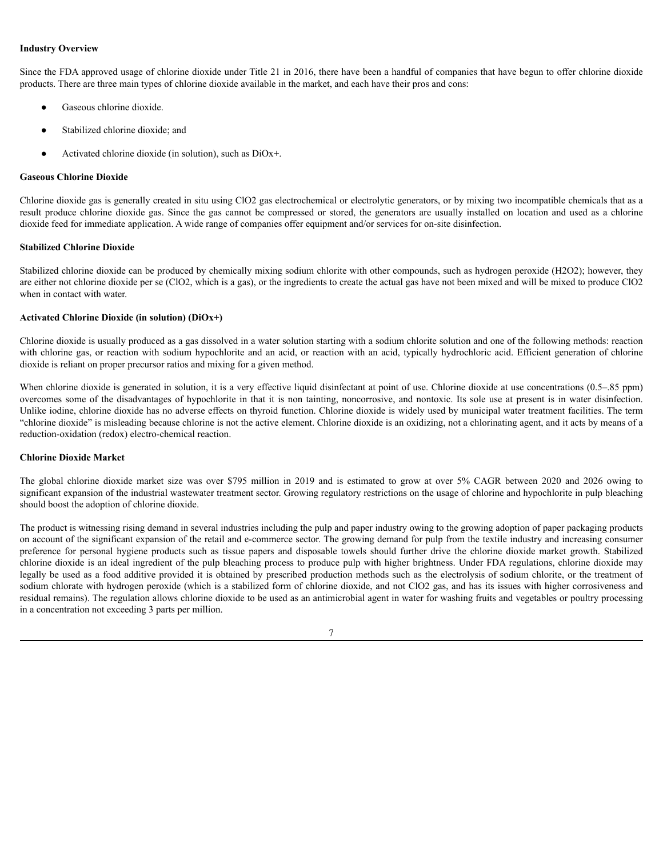#### **Industry Overview**

Since the FDA approved usage of chlorine dioxide under Title 21 in 2016, there have been a handful of companies that have begun to offer chlorine dioxide products. There are three main types of chlorine dioxide available in the market, and each have their pros and cons:

- Gaseous chlorine dioxide.
- Stabilized chlorine dioxide; and
- Activated chlorine dioxide (in solution), such as  $DiOx+$ .

#### **Gaseous Chlorine Dioxide**

Chlorine dioxide gas is generally created in situ using ClO2 gas electrochemical or electrolytic generators, or by mixing two incompatible chemicals that as a result produce chlorine dioxide gas. Since the gas cannot be compressed or stored, the generators are usually installed on location and used as a chlorine dioxide feed for immediate application. A wide range of companies offer equipment and/or services for on-site disinfection.

#### **Stabilized Chlorine Dioxide**

Stabilized chlorine dioxide can be produced by chemically mixing sodium chlorite with other compounds, such as hydrogen peroxide (H2O2); however, they are either not chlorine dioxide per se (ClO2, which is a gas), or the ingredients to create the actual gas have not been mixed and will be mixed to produce ClO2 when in contact with water.

#### **Activated Chlorine Dioxide (in solution) (DiOx+)**

Chlorine dioxide is usually produced as a gas dissolved in a water solution starting with a sodium chlorite solution and one of the following methods: reaction with chlorine gas, or reaction with sodium hypochlorite and an acid, or reaction with an acid, typically hydrochloric acid. Efficient generation of chlorine dioxide is reliant on proper precursor ratios and mixing for a given method.

When chlorine dioxide is generated in solution, it is a very effective liquid disinfectant at point of use. Chlorine dioxide at use concentrations (0.5–.85 ppm) overcomes some of the disadvantages of hypochlorite in that it is non tainting, noncorrosive, and nontoxic. Its sole use at present is in water disinfection. Unlike iodine, chlorine dioxide has no adverse effects on thyroid function. Chlorine dioxide is widely used by municipal water treatment facilities. The term "chlorine dioxide" is misleading because chlorine is not the active element. Chlorine dioxide is an oxidizing, not a chlorinating agent, and it acts by means of a reduction-oxidation (redox) electro-chemical reaction.

#### **Chlorine Dioxide Market**

The global chlorine dioxide market size was over \$795 million in 2019 and is estimated to grow at over 5% CAGR between 2020 and 2026 owing to significant expansion of the industrial wastewater treatment sector. Growing regulatory restrictions on the usage of chlorine and hypochlorite in pulp bleaching should boost the adoption of chlorine dioxide.

The product is witnessing rising demand in several industries including the pulp and paper industry owing to the growing adoption of paper packaging products on account of the significant expansion of the retail and e-commerce sector. The growing demand for pulp from the textile industry and increasing consumer preference for personal hygiene products such as tissue papers and disposable towels should further drive the chlorine dioxide market growth. Stabilized chlorine dioxide is an ideal ingredient of the pulp bleaching process to produce pulp with higher brightness. Under FDA regulations, chlorine dioxide may legally be used as a food additive provided it is obtained by prescribed production methods such as the electrolysis of sodium chlorite, or the treatment of sodium chlorate with hydrogen peroxide (which is a stabilized form of chlorine dioxide, and not ClO2 gas, and has its issues with higher corrosiveness and residual remains). The regulation allows chlorine dioxide to be used as an antimicrobial agent in water for washing fruits and vegetables or poultry processing in a concentration not exceeding 3 parts per million.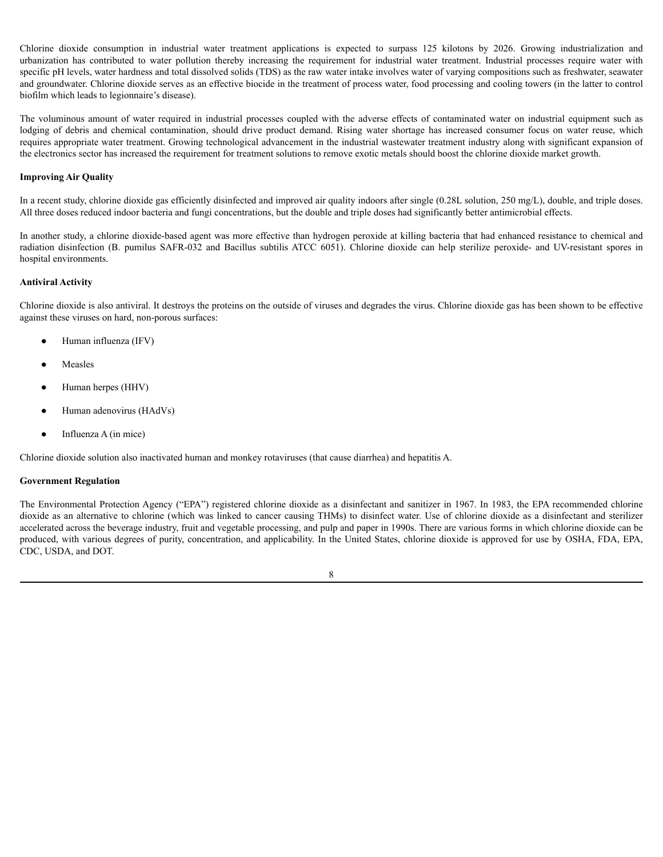Chlorine dioxide consumption in industrial water treatment applications is expected to surpass 125 kilotons by 2026. Growing industrialization and urbanization has contributed to water pollution thereby increasing the requirement for industrial water treatment. Industrial processes require water with specific pH levels, water hardness and total dissolved solids (TDS) as the raw water intake involves water of varying compositions such as freshwater, seawater and groundwater. Chlorine dioxide serves as an effective biocide in the treatment of process water, food processing and cooling towers (in the latter to control biofilm which leads to legionnaire's disease).

The voluminous amount of water required in industrial processes coupled with the adverse effects of contaminated water on industrial equipment such as lodging of debris and chemical contamination, should drive product demand. Rising water shortage has increased consumer focus on water reuse, which requires appropriate water treatment. Growing technological advancement in the industrial wastewater treatment industry along with significant expansion of the electronics sector has increased the requirement for treatment solutions to remove exotic metals should boost the chlorine dioxide market growth.

#### **Improving Air Quality**

In a recent study, chlorine dioxide gas efficiently disinfected and improved air quality indoors after single (0.28L solution, 250 mg/L), double, and triple doses. All three doses reduced indoor bacteria and fungi concentrations, but the double and triple doses had significantly better antimicrobial effects.

In another study, a chlorine dioxide-based agent was more effective than hydrogen peroxide at killing bacteria that had enhanced resistance to chemical and radiation disinfection (B. pumilus SAFR-032 and Bacillus subtilis ATCC 6051). Chlorine dioxide can help sterilize peroxide- and UV-resistant spores in hospital environments.

#### **Antiviral Activity**

Chlorine dioxide is also antiviral. It destroys the proteins on the outside of viruses and degrades the virus. Chlorine dioxide gas has been shown to be effective against these viruses on hard, non-porous surfaces:

- Human influenza (IFV)
- Measles
- Human herpes (HHV)
- Human adenovirus (HAdVs)
- Influenza A (in mice)

Chlorine dioxide solution also inactivated human and monkey rotaviruses (that cause diarrhea) and hepatitis A.

#### **Government Regulation**

The Environmental Protection Agency ("EPA") registered chlorine dioxide as a disinfectant and sanitizer in 1967. In 1983, the EPA recommended chlorine dioxide as an alternative to chlorine (which was linked to cancer causing THMs) to disinfect water. Use of chlorine dioxide as a disinfectant and sterilizer accelerated across the beverage industry, fruit and vegetable processing, and pulp and paper in 1990s. There are various forms in which chlorine dioxide can be produced, with various degrees of purity, concentration, and applicability. In the United States, chlorine dioxide is approved for use by OSHA, FDA, EPA, CDC, USDA, and DOT.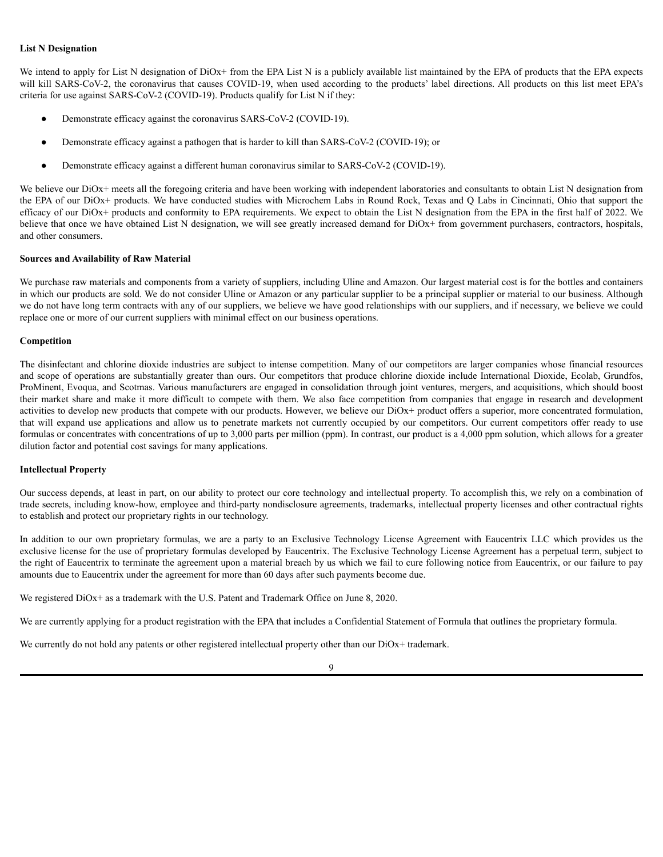#### **List N Designation**

We intend to apply for List N designation of DiOx+ from the EPA List N is a publicly available list maintained by the EPA of products that the EPA expects will kill SARS-CoV-2, the coronavirus that causes COVID-19, when used according to the products' label directions. All products on this list meet EPA's criteria for use against SARS-CoV-2 (COVID-19). Products qualify for List N if they:

- Demonstrate efficacy against the coronavirus SARS-CoV-2 (COVID-19).
- Demonstrate efficacy against a pathogen that is harder to kill than SARS-CoV-2 (COVID-19); or
- Demonstrate efficacy against a different human coronavirus similar to SARS-CoV-2 (COVID-19).

We believe our DiOx+ meets all the foregoing criteria and have been working with independent laboratories and consultants to obtain List N designation from the EPA of our DiOx+ products. We have conducted studies with Microchem Labs in Round Rock, Texas and Q Labs in Cincinnati, Ohio that support the efficacy of our DiOx+ products and conformity to EPA requirements. We expect to obtain the List N designation from the EPA in the first half of 2022. We believe that once we have obtained List N designation, we will see greatly increased demand for  $DiOx+$  from government purchasers, contractors, hospitals, and other consumers.

#### **Sources and Availability of Raw Material**

We purchase raw materials and components from a variety of suppliers, including Uline and Amazon. Our largest material cost is for the bottles and containers in which our products are sold. We do not consider Uline or Amazon or any particular supplier to be a principal supplier or material to our business. Although we do not have long term contracts with any of our suppliers, we believe we have good relationships with our suppliers, and if necessary, we believe we could replace one or more of our current suppliers with minimal effect on our business operations.

#### **Competition**

The disinfectant and chlorine dioxide industries are subject to intense competition. Many of our competitors are larger companies whose financial resources and scope of operations are substantially greater than ours. Our competitors that produce chlorine dioxide include International Dioxide, Ecolab, Grundfos, ProMinent, Evoqua, and Scotmas. Various manufacturers are engaged in consolidation through joint ventures, mergers, and acquisitions, which should boost their market share and make it more difficult to compete with them. We also face competition from companies that engage in research and development activities to develop new products that compete with our products. However, we believe our DiOx+ product offers a superior, more concentrated formulation, that will expand use applications and allow us to penetrate markets not currently occupied by our competitors. Our current competitors offer ready to use formulas or concentrates with concentrations of up to 3,000 parts per million (ppm). In contrast, our product is a 4,000 ppm solution, which allows for a greater dilution factor and potential cost savings for many applications.

#### **Intellectual Property**

Our success depends, at least in part, on our ability to protect our core technology and intellectual property. To accomplish this, we rely on a combination of trade secrets, including know-how, employee and third-party nondisclosure agreements, trademarks, intellectual property licenses and other contractual rights to establish and protect our proprietary rights in our technology.

In addition to our own proprietary formulas, we are a party to an Exclusive Technology License Agreement with Eaucentrix LLC which provides us the exclusive license for the use of proprietary formulas developed by Eaucentrix. The Exclusive Technology License Agreement has a perpetual term, subject to the right of Eaucentrix to terminate the agreement upon a material breach by us which we fail to cure following notice from Eaucentrix, or our failure to pay amounts due to Eaucentrix under the agreement for more than 60 days after such payments become due.

We registered DiOx+ as a trademark with the U.S. Patent and Trademark Office on June 8, 2020.

We are currently applying for a product registration with the EPA that includes a Confidential Statement of Formula that outlines the proprietary formula.

We currently do not hold any patents or other registered intellectual property other than our  $DiOx+$  trademark.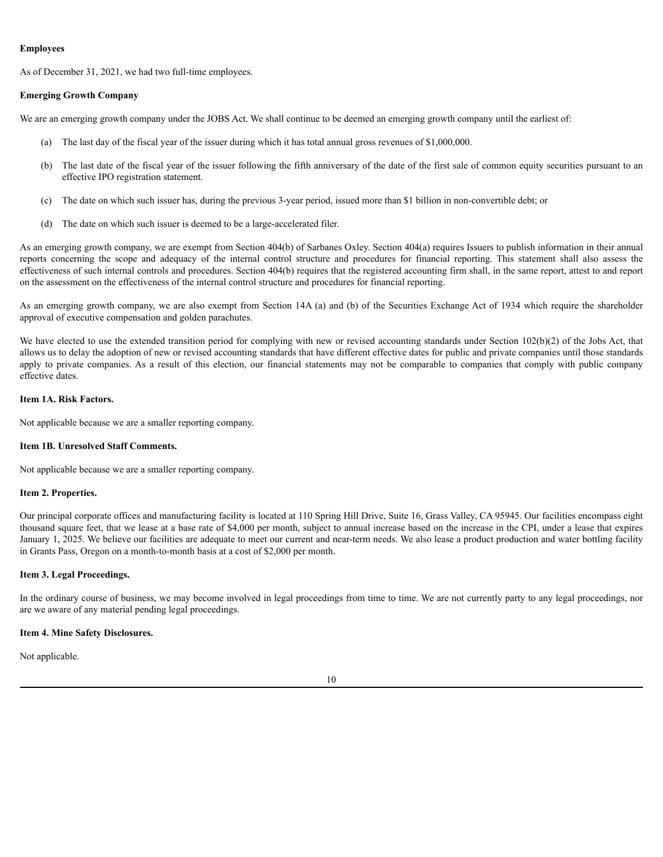#### **Employees**

As of December 31, 2021, we had two full-time employees.

#### **Emerging Growth Company**

We are an emerging growth company under the JOBS Act. We shall continue to be deemed an emerging growth company until the earliest of:

- (a) The last day of the fiscal year of the issuer during which it has total annual gross revenues of \$1,000,000.
- (b) The last date of the fiscal year of the issuer following the fifth anniversary of the date of the first sale of common equity securities pursuant to an effective IPO registration statement.
- (c) The date on which such issuer has, during the previous 3-year period, issued more than \$1 billion in non-convertible debt; or
- (d) The date on which such issuer is deemed to be a large-accelerated filer.

As an emerging growth company, we are exempt from Section 404(b) of Sarbanes Oxley. Section 404(a) requires Issuers to publish information in their annual reports concerning the scope and adequacy of the internal control structure and procedures for financial reporting. This statement shall also assess the effectiveness of such internal controls and procedures. Section 404(b) requires that the registered accounting firm shall, in the same report, attest to and report on the assessment on the effectiveness of the internal control structure and procedures for financial reporting.

As an emerging growth company, we are also exempt from Section 14A (a) and (b) of the Securities Exchange Act of 1934 which require the shareholder approval of executive compensation and golden parachutes.

We have elected to use the extended transition period for complying with new or revised accounting standards under Section 102(b)(2) of the Jobs Act, that allows us to delay the adoption of new or revised accounting standards that have different effective dates for public and private companies until those standards apply to private companies. As a result of this election, our financial statements may not be comparable to companies that comply with public company effective dates.

#### **Item 1A. Risk Factors.**

Not applicable because we are a smaller reporting company.

#### <span id="page-11-0"></span>**Item 1B. Unresolved Staff Comments.**

Not applicable because we are a smaller reporting company.

#### **Item 2. Properties.**

Our principal corporate offices and manufacturing facility is located at 110 Spring Hill Drive, Suite 16, Grass Valley, CA 95945. Our facilities encompass eight thousand square feet, that we lease at a base rate of \$4,000 per month, subject to annual increase based on the increase in the CPI, under a lease that expires January 1, 2025. We believe our facilities are adequate to meet our current and near-term needs. We also lease a product production and water bottling facility in Grants Pass, Oregon on a month-to-month basis at a cost of \$2,000 per month.

#### **Item 3. Legal Proceedings.**

In the ordinary course of business, we may become involved in legal proceedings from time to time. We are not currently party to any legal proceedings, nor are we aware of any material pending legal proceedings.

#### **Item 4. Mine Safety Disclosures.**

Not applicable.

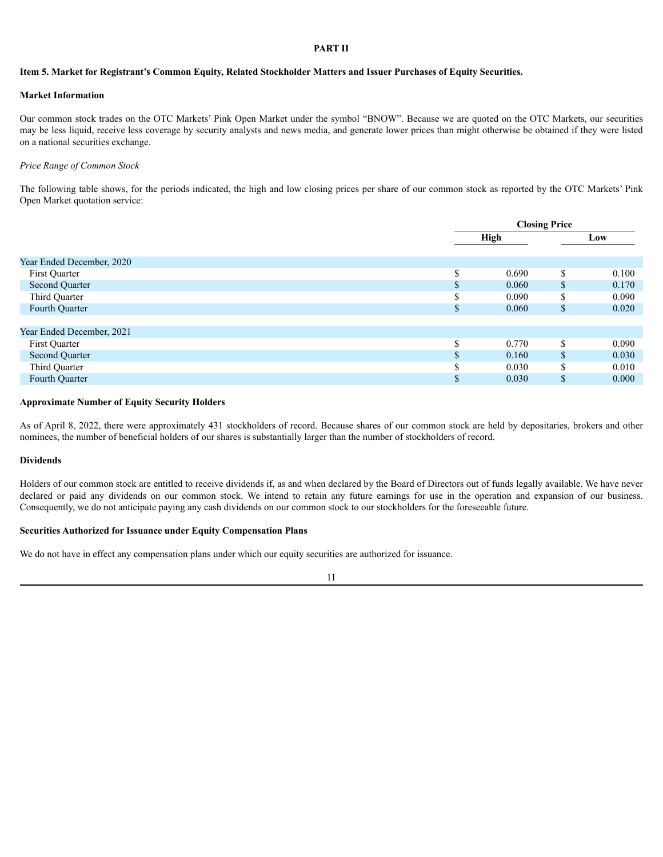#### **PART II**

#### <span id="page-12-0"></span>Item 5. Market for Registrant's Common Equity, Related Stockholder Matters and Issuer Purchases of Equity Securities.

#### **Market Information**

Our common stock trades on the OTC Markets' Pink Open Market under the symbol "BNOW". Because we are quoted on the OTC Markets, our securities may be less liquid, receive less coverage by security analysts and news media, and generate lower prices than might otherwise be obtained if they were listed on a national securities exchange.

#### *Price Range of Common Stock*

The following table shows, for the periods indicated, the high and low closing prices per share of our common stock as reported by the OTC Markets' Pink Open Market quotation service:

|                           |                    | <b>Closing Price</b> |    |       |  |
|---------------------------|--------------------|----------------------|----|-------|--|
|                           |                    | <b>High</b>          |    | Low   |  |
|                           |                    |                      |    |       |  |
| Year Ended December, 2020 |                    |                      |    |       |  |
| First Quarter             | S                  | 0.690                | \$ | 0.100 |  |
| Second Quarter            | $\mathbf{\hat{s}}$ | 0.060                | \$ | 0.170 |  |
| Third Quarter             | ۰D                 | 0.090                | J. | 0.090 |  |
| Fourth Quarter            | \$                 | 0.060                | \$ | 0.020 |  |
|                           |                    |                      |    |       |  |
| Year Ended December, 2021 |                    |                      |    |       |  |
| First Quarter             | ¢                  | 0.770                | \$ | 0.090 |  |
| Second Quarter            | <b>Φ</b><br>J.     | 0.160                | \$ | 0.030 |  |
| Third Quarter             | \$                 | 0.030                | \$ | 0.010 |  |
| Fourth Quarter            | \$                 | 0.030                | \$ | 0.000 |  |
|                           |                    |                      |    |       |  |

#### **Approximate Number of Equity Security Holders**

As of April 8, 2022, there were approximately 431 stockholders of record. Because shares of our common stock are held by depositaries, brokers and other nominees, the number of beneficial holders of our shares is substantially larger than the number of stockholders of record.

#### **Dividends**

Holders of our common stock are entitled to receive dividends if, as and when declared by the Board of Directors out of funds legally available. We have never declared or paid any dividends on our common stock. We intend to retain any future earnings for use in the operation and expansion of our business. Consequently, we do not anticipate paying any cash dividends on our common stock to our stockholders for the foreseeable future.

#### **Securities Authorized for Issuance under Equity Compensation Plans**

We do not have in effect any compensation plans under which our equity securities are authorized for issuance.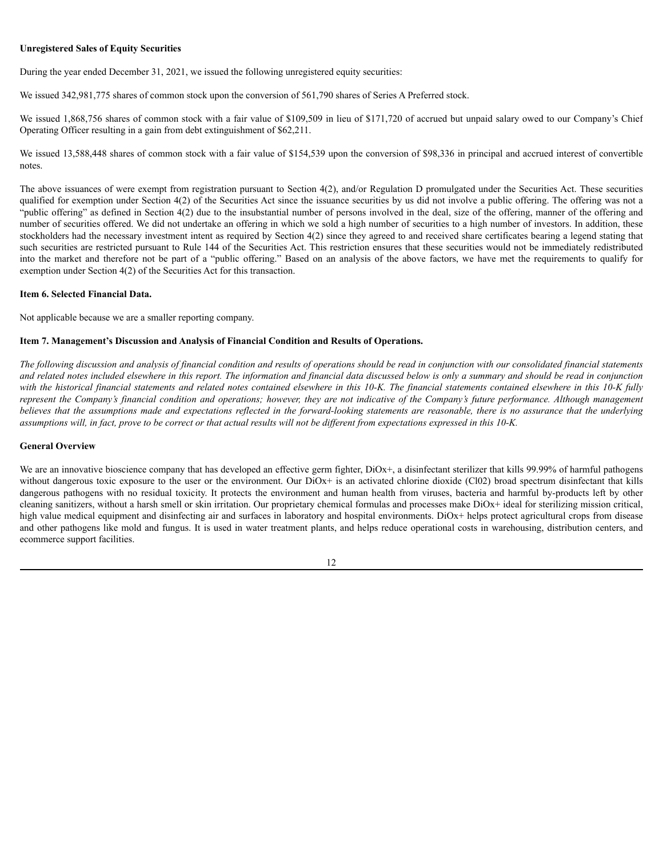#### **Unregistered Sales of Equity Securities**

During the year ended December 31, 2021, we issued the following unregistered equity securities:

We issued 342,981,775 shares of common stock upon the conversion of 561,790 shares of Series A Preferred stock.

We issued 1,868,756 shares of common stock with a fair value of \$109,509 in lieu of \$171,720 of accrued but unpaid salary owed to our Company's Chief Operating Officer resulting in a gain from debt extinguishment of \$62,211.

We issued 13,588,448 shares of common stock with a fair value of \$154,539 upon the conversion of \$98,336 in principal and accrued interest of convertible notes.

The above issuances of were exempt from registration pursuant to Section 4(2), and/or Regulation D promulgated under the Securities Act. These securities qualified for exemption under Section 4(2) of the Securities Act since the issuance securities by us did not involve a public offering. The offering was not a "public offering" as defined in Section 4(2) due to the insubstantial number of persons involved in the deal, size of the offering, manner of the offering and number of securities offered. We did not undertake an offering in which we sold a high number of securities to a high number of investors. In addition, these stockholders had the necessary investment intent as required by Section 4(2) since they agreed to and received share certificates bearing a legend stating that such securities are restricted pursuant to Rule 144 of the Securities Act. This restriction ensures that these securities would not be immediately redistributed into the market and therefore not be part of a "public offering." Based on an analysis of the above factors, we have met the requirements to qualify for exemption under Section 4(2) of the Securities Act for this transaction.

#### <span id="page-13-0"></span>**Item 6. Selected Financial Data.**

Not applicable because we are a smaller reporting company.

#### **Item 7. Management's Discussion and Analysis of Financial Condition and Results of Operations.**

The following discussion and analysis of financial condition and results of operations should be read in conjunction with our consolidated financial statements and related notes included elsewhere in this report. The information and financial data discussed below is only a summary and should be read in conjunction with the historical financial statements and related notes contained elsewhere in this 10-K. The financial statements contained elsewhere in this 10-K fully represent the Company's financial condition and operations; however, they are not indicative of the Company's future performance. Although management believes that the assumptions made and expectations reflected in the forward-looking statements are reasonable, there is no assurance that the underlying assumptions will, in fact, prove to be correct or that actual results will not be different from expectations expressed in this 10-K.

#### **General Overview**

We are an innovative bioscience company that has developed an effective germ fighter, DiOx+, a disinfectant sterilizer that kills 99.99% of harmful pathogens without dangerous toxic exposure to the user or the environment. Our DiOx+ is an activated chlorine dioxide (Cl02) broad spectrum disinfectant that kills dangerous pathogens with no residual toxicity. It protects the environment and human health from viruses, bacteria and harmful by-products left by other cleaning sanitizers, without a harsh smell or skin irritation. Our proprietary chemical formulas and processes make DiOx+ ideal for sterilizing mission critical, high value medical equipment and disinfecting air and surfaces in laboratory and hospital environments. DiOx+ helps protect agricultural crops from disease and other pathogens like mold and fungus. It is used in water treatment plants, and helps reduce operational costs in warehousing, distribution centers, and ecommerce support facilities.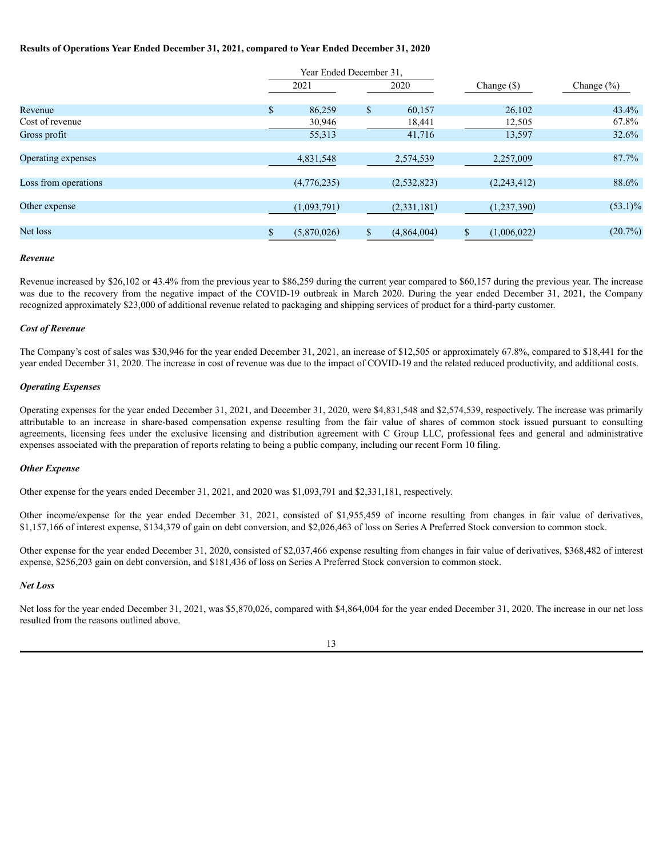#### **Results of Operations Year Ended December 31, 2021, compared to Year Ended December 31, 2020**

|                      | Year Ended December 31. |               |             |                                   |               |
|----------------------|-------------------------|---------------|-------------|-----------------------------------|---------------|
|                      | 2021                    |               | 2020        | Change (\$)                       | Change $(\%)$ |
| Revenue              | \$<br>86,259            | $\mathcal{S}$ | 60,157      | 26,102                            | 43.4%         |
| Cost of revenue      | 30,946                  |               | 18,441      | 12,505                            | 67.8%         |
| Gross profit         | 55,313                  |               | 41,716      | 13,597                            | 32.6%         |
| Operating expenses   | 4,831,548               |               | 2,574,539   | 2,257,009                         | 87.7%         |
| Loss from operations | (4,776,235)             |               | (2,532,823) | (2,243,412)                       | 88.6%         |
| Other expense        | (1,093,791)             |               | (2,331,181) | (1, 237, 390)                     | $(53.1)\%$    |
| Net loss             | (5,870,026)             |               | (4,864,004) | $\mathbf{\hat{S}}$<br>(1,006,022) | (20.7%)       |

#### *Revenue*

Revenue increased by \$26,102 or 43.4% from the previous year to \$86,259 during the current year compared to \$60,157 during the previous year. The increase was due to the recovery from the negative impact of the COVID-19 outbreak in March 2020. During the year ended December 31, 2021, the Company recognized approximately \$23,000 of additional revenue related to packaging and shipping services of product for a third-party customer.

#### *Cost of Revenue*

The Company's cost of sales was \$30,946 for the year ended December 31, 2021, an increase of \$12,505 or approximately 67.8%, compared to \$18,441 for the year ended December 31, 2020. The increase in cost of revenue was due to the impact of COVID-19 and the related reduced productivity, and additional costs.

#### *Operating Expenses*

Operating expenses for the year ended December 31, 2021, and December 31, 2020, were \$4,831,548 and \$2,574,539, respectively. The increase was primarily attributable to an increase in share-based compensation expense resulting from the fair value of shares of common stock issued pursuant to consulting agreements, licensing fees under the exclusive licensing and distribution agreement with C Group LLC, professional fees and general and administrative expenses associated with the preparation of reports relating to being a public company, including our recent Form 10 filing.

#### *Other Expense*

Other expense for the years ended December 31, 2021, and 2020 was \$1,093,791 and \$2,331,181, respectively.

Other income/expense for the year ended December 31, 2021, consisted of \$1,955,459 of income resulting from changes in fair value of derivatives, \$1,157,166 of interest expense, \$134,379 of gain on debt conversion, and \$2,026,463 of loss on Series A Preferred Stock conversion to common stock.

Other expense for the year ended December 31, 2020, consisted of \$2,037,466 expense resulting from changes in fair value of derivatives, \$368,482 of interest expense, \$256,203 gain on debt conversion, and \$181,436 of loss on Series A Preferred Stock conversion to common stock.

#### *Net Loss*

Net loss for the year ended December 31, 2021, was \$5,870,026, compared with \$4,864,004 for the year ended December 31, 2020. The increase in our net loss resulted from the reasons outlined above.

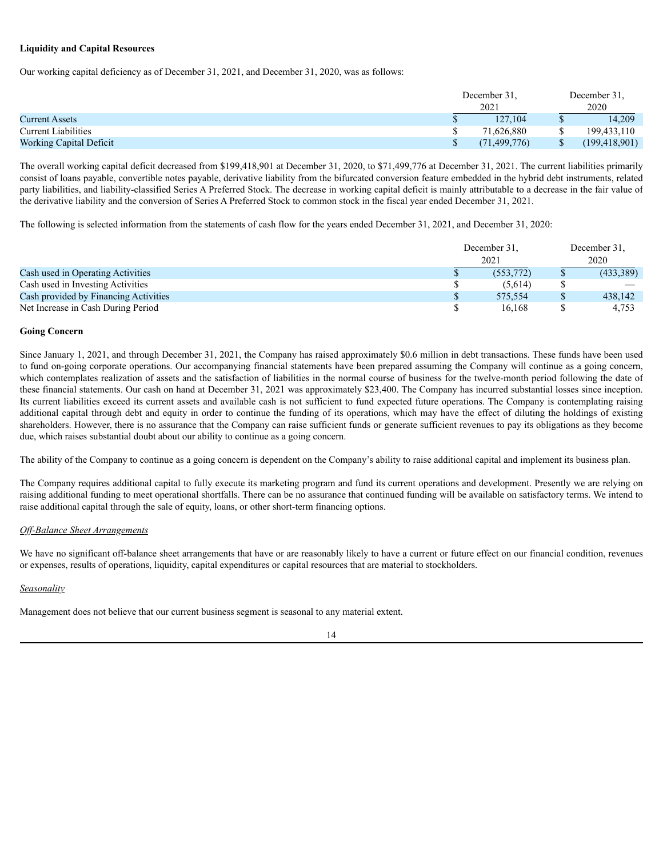#### **Liquidity and Capital Resources**

Our working capital deficiency as of December 31, 2021, and December 31, 2020, was as follows:

|                                | December 31.   | December 31.    |  |  |
|--------------------------------|----------------|-----------------|--|--|
|                                | 2021           | 2020            |  |  |
| <b>Current Assets</b>          | 127.104        | 14.209          |  |  |
| <b>Current Liabilities</b>     | 71.626.880     | 199.433.110     |  |  |
| <b>Working Capital Deficit</b> | (71, 499, 776) | (199, 418, 901) |  |  |

The overall working capital deficit decreased from \$199,418,901 at December 31, 2020, to \$71,499,776 at December 31, 2021. The current liabilities primarily consist of loans payable, convertible notes payable, derivative liability from the bifurcated conversion feature embedded in the hybrid debt instruments, related party liabilities, and liability-classified Series A Preferred Stock. The decrease in working capital deficit is mainly attributable to a decrease in the fair value of the derivative liability and the conversion of Series A Preferred Stock to common stock in the fiscal year ended December 31, 2021.

The following is selected information from the statements of cash flow for the years ended December 31, 2021, and December 31, 2020:

|                                       | December 31. | December 31. |  |
|---------------------------------------|--------------|--------------|--|
|                                       | 2021         | 2020         |  |
| Cash used in Operating Activities     | (553,772)    | (433, 389)   |  |
| Cash used in Investing Activities     | (5.614)      |              |  |
| Cash provided by Financing Activities | 575.554      | 438,142      |  |
| Net Increase in Cash During Period    | 16.168       | 4.753        |  |

#### **Going Concern**

Since January 1, 2021, and through December 31, 2021, the Company has raised approximately \$0.6 million in debt transactions. These funds have been used to fund on-going corporate operations. Our accompanying financial statements have been prepared assuming the Company will continue as a going concern, which contemplates realization of assets and the satisfaction of liabilities in the normal course of business for the twelve-month period following the date of these financial statements. Our cash on hand at December 31, 2021 was approximately \$23,400. The Company has incurred substantial losses since inception. Its current liabilities exceed its current assets and available cash is not sufficient to fund expected future operations. The Company is contemplating raising additional capital through debt and equity in order to continue the funding of its operations, which may have the effect of diluting the holdings of existing shareholders. However, there is no assurance that the Company can raise sufficient funds or generate sufficient revenues to pay its obligations as they become due, which raises substantial doubt about our ability to continue as a going concern.

The ability of the Company to continue as a going concern is dependent on the Company's ability to raise additional capital and implement its business plan.

The Company requires additional capital to fully execute its marketing program and fund its current operations and development. Presently we are relying on raising additional funding to meet operational shortfalls. There can be no assurance that continued funding will be available on satisfactory terms. We intend to raise additional capital through the sale of equity, loans, or other short-term financing options.

#### *Of -Balance Sheet Arrangements*

We have no significant off-balance sheet arrangements that have or are reasonably likely to have a current or future effect on our financial condition, revenues or expenses, results of operations, liquidity, capital expenditures or capital resources that are material to stockholders.

#### *Seasonality*

Management does not believe that our current business segment is seasonal to any material extent.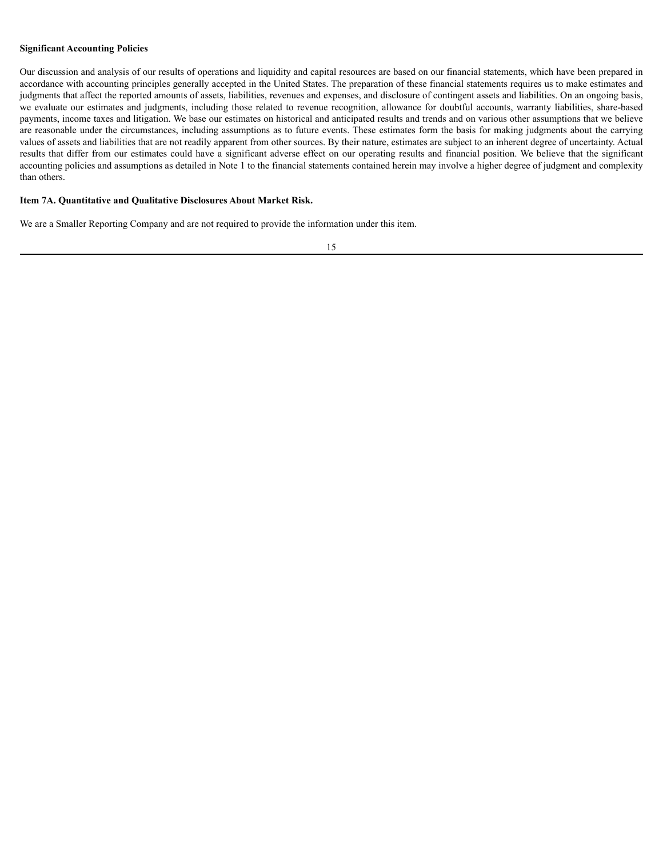#### **Significant Accounting Policies**

Our discussion and analysis of our results of operations and liquidity and capital resources are based on our financial statements, which have been prepared in accordance with accounting principles generally accepted in the United States. The preparation of these financial statements requires us to make estimates and judgments that affect the reported amounts of assets, liabilities, revenues and expenses, and disclosure of contingent assets and liabilities. On an ongoing basis, we evaluate our estimates and judgments, including those related to revenue recognition, allowance for doubtful accounts, warranty liabilities, share-based payments, income taxes and litigation. We base our estimates on historical and anticipated results and trends and on various other assumptions that we believe are reasonable under the circumstances, including assumptions as to future events. These estimates form the basis for making judgments about the carrying values of assets and liabilities that are not readily apparent from other sources. By their nature, estimates are subject to an inherent degree of uncertainty. Actual results that differ from our estimates could have a significant adverse effect on our operating results and financial position. We believe that the significant accounting policies and assumptions as detailed in Note 1 to the financial statements contained herein may involve a higher degree of judgment and complexity than others.

#### **Item 7A. Quantitative and Qualitative Disclosures About Market Risk.**

We are a Smaller Reporting Company and are not required to provide the information under this item.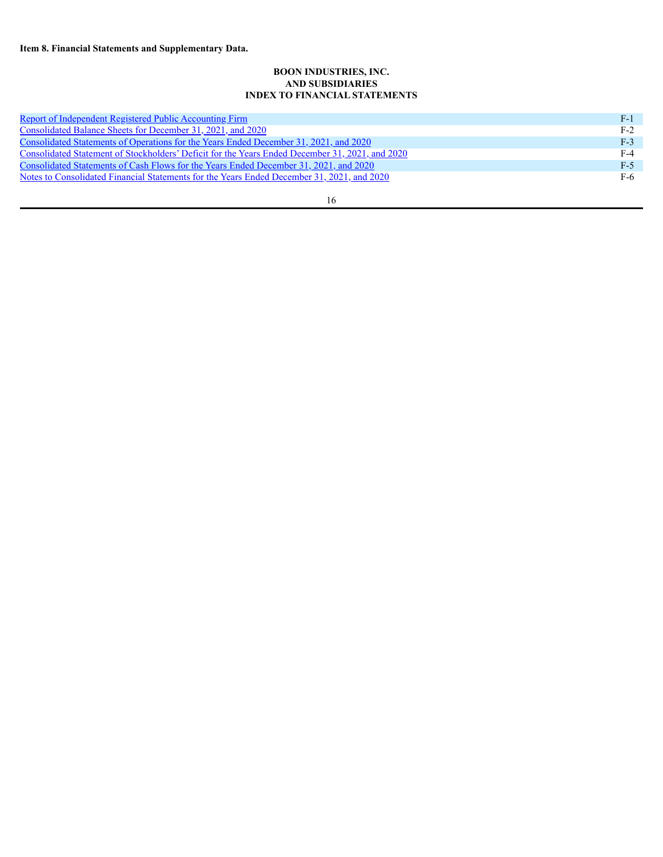#### **BOON INDUSTRIES, INC. AND SUBSIDIARIES INDEX TO FINANCIAL STATEMENTS**

| <b>Report of Independent Registered Public Accounting Firm</b>                                  | - F-1 |
|-------------------------------------------------------------------------------------------------|-------|
| Consolidated Balance Sheets for December 31, 2021, and 2020                                     | $F-2$ |
| Consolidated Statements of Operations for the Years Ended December 31, 2021, and 2020           | $F-3$ |
| Consolidated Statement of Stockholders' Deficit for the Years Ended December 31, 2021, and 2020 | $F-4$ |
| Consolidated Statements of Cash Flows for the Years Ended December 31, 2021, and 2020           | F-5   |
| Notes to Consolidated Financial Statements for the Years Ended December 31, 2021, and 2020      | F-6   |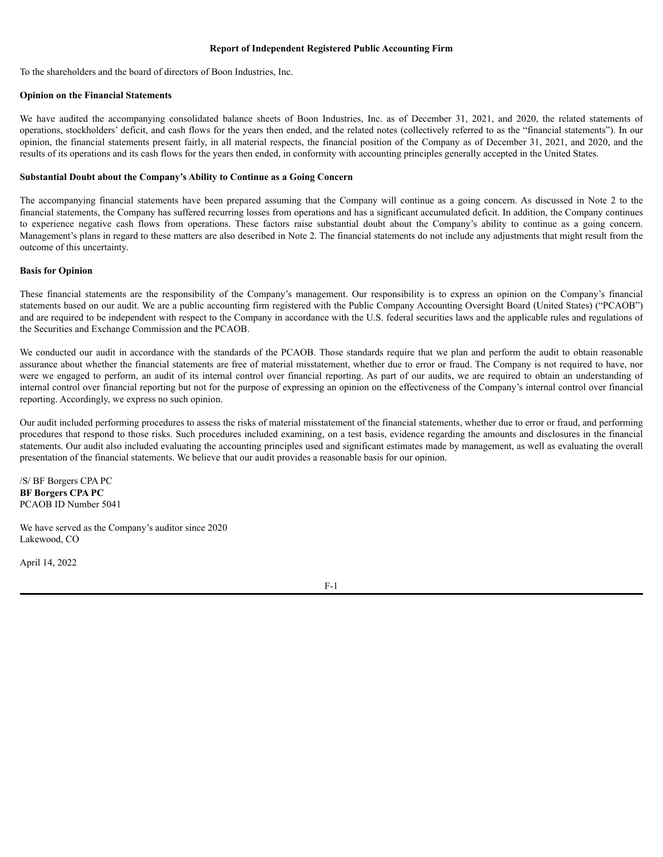#### **Report of Independent Registered Public Accounting Firm**

To the shareholders and the board of directors of Boon Industries, Inc.

#### **Opinion on the Financial Statements**

We have audited the accompanying consolidated balance sheets of Boon Industries, Inc. as of December 31, 2021, and 2020, the related statements of operations, stockholders' deficit, and cash flows for the years then ended, and the related notes (collectively referred to as the "financial statements"). In our opinion, the financial statements present fairly, in all material respects, the financial position of the Company as of December 31, 2021, and 2020, and the results of its operations and its cash flows for the years then ended, in conformity with accounting principles generally accepted in the United States.

#### **Substantial Doubt about the Company's Ability to Continue as a Going Concern**

The accompanying financial statements have been prepared assuming that the Company will continue as a going concern. As discussed in Note 2 to the financial statements, the Company has suffered recurring losses from operations and has a significant accumulated deficit. In addition, the Company continues to experience negative cash flows from operations. These factors raise substantial doubt about the Company's ability to continue as a going concern. Management's plans in regard to these matters are also described in Note 2. The financial statements do not include any adjustments that might result from the outcome of this uncertainty.

#### **Basis for Opinion**

These financial statements are the responsibility of the Company's management. Our responsibility is to express an opinion on the Company's financial statements based on our audit. We are a public accounting firm registered with the Public Company Accounting Oversight Board (United States) ("PCAOB") and are required to be independent with respect to the Company in accordance with the U.S. federal securities laws and the applicable rules and regulations of the Securities and Exchange Commission and the PCAOB.

We conducted our audit in accordance with the standards of the PCAOB. Those standards require that we plan and perform the audit to obtain reasonable assurance about whether the financial statements are free of material misstatement, whether due to error or fraud. The Company is not required to have, nor were we engaged to perform, an audit of its internal control over financial reporting. As part of our audits, we are required to obtain an understanding of internal control over financial reporting but not for the purpose of expressing an opinion on the effectiveness of the Company's internal control over financial reporting. Accordingly, we express no such opinion.

Our audit included performing procedures to assess the risks of material misstatement of the financial statements, whether due to error or fraud, and performing procedures that respond to those risks. Such procedures included examining, on a test basis, evidence regarding the amounts and disclosures in the financial statements. Our audit also included evaluating the accounting principles used and significant estimates made by management, as well as evaluating the overall presentation of the financial statements. We believe that our audit provides a reasonable basis for our opinion.

/S/ BF Borgers CPA PC **BF Borgers CPA PC** PCAOB ID Number 5041

We have served as the Company's auditor since 2020 Lakewood, CO

April 14, 2022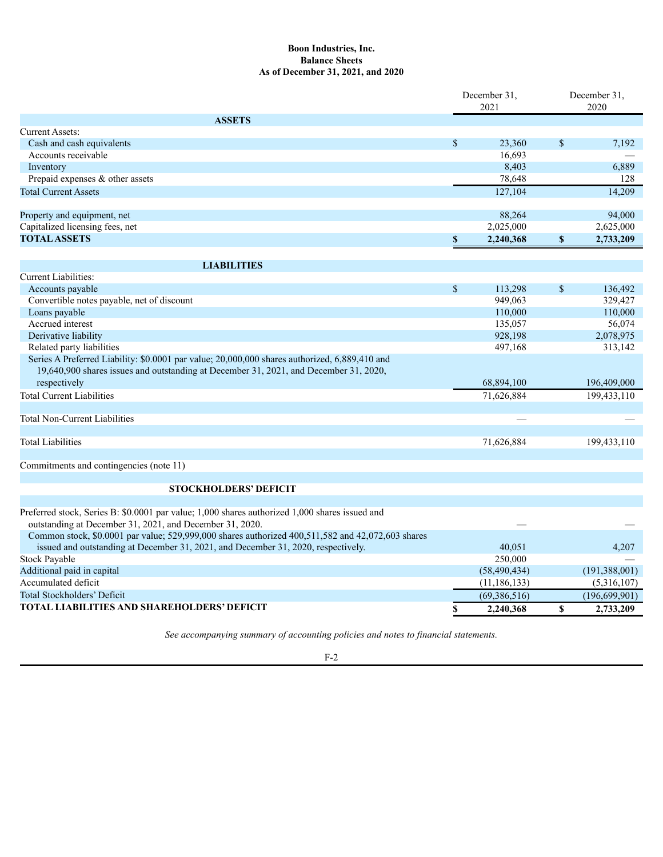#### <span id="page-19-0"></span>**Boon Industries, Inc. Balance Sheets As of December 31, 2021, and 2020**

|                                                                                                                                                                                                                                                                 |             | December 31,<br>2021 | December 31,<br>2020 |
|-----------------------------------------------------------------------------------------------------------------------------------------------------------------------------------------------------------------------------------------------------------------|-------------|----------------------|----------------------|
| <b>ASSETS</b>                                                                                                                                                                                                                                                   |             |                      |                      |
| <b>Current Assets:</b>                                                                                                                                                                                                                                          |             |                      |                      |
| Cash and cash equivalents                                                                                                                                                                                                                                       | \$          | 23,360               | \$<br>7,192          |
| Accounts receivable                                                                                                                                                                                                                                             |             | 16,693               |                      |
| Inventory                                                                                                                                                                                                                                                       |             | 8,403                | 6,889                |
| Prepaid expenses & other assets                                                                                                                                                                                                                                 |             | 78,648               | 128                  |
| <b>Total Current Assets</b>                                                                                                                                                                                                                                     |             | 127,104              | 14,209               |
| Property and equipment, net                                                                                                                                                                                                                                     |             | 88,264               | 94,000               |
| Capitalized licensing fees, net                                                                                                                                                                                                                                 |             | 2,025,000            | 2,625,000            |
| <b>TOTAL ASSETS</b>                                                                                                                                                                                                                                             | \$          | 2,240,368            | \$<br>2,733,209      |
| <b>LIABILITIES</b>                                                                                                                                                                                                                                              |             |                      |                      |
| <b>Current Liabilities:</b>                                                                                                                                                                                                                                     |             |                      |                      |
| Accounts payable                                                                                                                                                                                                                                                | $\mathbb S$ | 113,298              | \$<br>136,492        |
| Convertible notes payable, net of discount                                                                                                                                                                                                                      |             | 949,063              | 329,427              |
| Loans payable                                                                                                                                                                                                                                                   |             | 110,000              | 110,000              |
| Accrued interest                                                                                                                                                                                                                                                |             | 135,057              | 56,074               |
| Derivative liability                                                                                                                                                                                                                                            |             | 928,198              | 2,078,975            |
| Related party liabilities                                                                                                                                                                                                                                       |             | 497,168              | 313,142              |
| Series A Preferred Liability: \$0.0001 par value; 20,000,000 shares authorized, 6,889,410 and<br>19,640,900 shares issues and outstanding at December 31, 2021, and December 31, 2020,                                                                          |             |                      |                      |
| respectively                                                                                                                                                                                                                                                    |             | 68,894,100           | 196,409,000          |
| <b>Total Current Liabilities</b>                                                                                                                                                                                                                                |             | 71,626,884           | 199,433,110          |
| <b>Total Non-Current Liabilities</b>                                                                                                                                                                                                                            |             |                      |                      |
|                                                                                                                                                                                                                                                                 |             |                      |                      |
| <b>Total Liabilities</b>                                                                                                                                                                                                                                        |             | 71,626,884           | 199,433,110          |
| Commitments and contingencies (note 11)                                                                                                                                                                                                                         |             |                      |                      |
|                                                                                                                                                                                                                                                                 |             |                      |                      |
| <b>STOCKHOLDERS' DEFICIT</b>                                                                                                                                                                                                                                    |             |                      |                      |
| Preferred stock, Series B: \$0.0001 par value; 1,000 shares authorized 1,000 shares issued and<br>outstanding at December 31, 2021, and December 31, 2020.<br>Common stock, \$0.0001 par value; 529,999,000 shares authorized 400,511,582 and 42,072,603 shares |             |                      |                      |
| issued and outstanding at December 31, 2021, and December 31, 2020, respectively.                                                                                                                                                                               |             | 40,051               | 4,207                |
| <b>Stock Payable</b>                                                                                                                                                                                                                                            |             | 250,000              |                      |
| Additional paid in capital                                                                                                                                                                                                                                      |             | (58, 490, 434)       | (191, 388, 001)      |
| Accumulated deficit                                                                                                                                                                                                                                             |             | (11, 186, 133)       | (5,316,107)          |
| <b>Total Stockholders' Deficit</b>                                                                                                                                                                                                                              |             | (69, 386, 516)       | (196, 699, 901)      |
| <b>TOTAL LIABILITIES AND SHAREHOLDERS' DEFICIT</b>                                                                                                                                                                                                              | \$          | 2,240,368            | \$<br>2,733,209      |

*See accompanying summary of accounting policies and notes to financial statements.*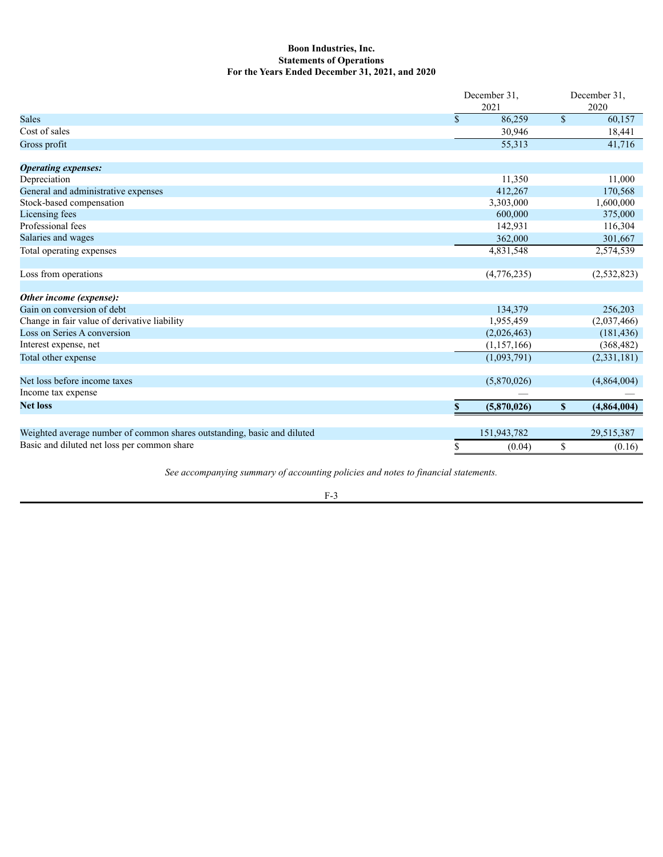#### **Boon Industries, Inc. Statements of Operations For the Years Ended December 31, 2021, and 2020**

|                                                                         |             | December 31, |             | December 31,  |  |
|-------------------------------------------------------------------------|-------------|--------------|-------------|---------------|--|
|                                                                         |             | 2021         |             | 2020          |  |
| <b>Sales</b>                                                            | $\mathbf S$ | 86,259       | $\mathbf S$ | 60,157        |  |
| Cost of sales                                                           |             | 30,946       |             | 18,441        |  |
| Gross profit                                                            |             | 55,313       |             | 41,716        |  |
| <b>Operating expenses:</b>                                              |             |              |             |               |  |
| Depreciation                                                            |             | 11,350       |             | 11,000        |  |
| General and administrative expenses                                     |             | 412,267      |             | 170,568       |  |
| Stock-based compensation                                                |             | 3,303,000    |             | 1,600,000     |  |
| Licensing fees                                                          |             | 600,000      |             | 375,000       |  |
| Professional fees                                                       |             | 142,931      |             | 116,304       |  |
| Salaries and wages                                                      |             | 362,000      |             | 301,667       |  |
| Total operating expenses                                                |             | 4,831,548    |             | 2,574,539     |  |
| Loss from operations                                                    |             | (4,776,235)  |             | (2, 532, 823) |  |
| Other income (expense):                                                 |             |              |             |               |  |
| Gain on conversion of debt                                              |             | 134,379      |             | 256,203       |  |
| Change in fair value of derivative liability                            |             | 1,955,459    |             | (2,037,466)   |  |
| Loss on Series A conversion                                             |             | (2,026,463)  |             | (181, 436)    |  |
| Interest expense, net                                                   |             | (1,157,166)  |             | (368, 482)    |  |
| Total other expense                                                     |             | (1,093,791)  |             | (2,331,181)   |  |
| Net loss before income taxes                                            |             | (5,870,026)  |             | (4,864,004)   |  |
| Income tax expense                                                      |             |              |             |               |  |
| <b>Net loss</b>                                                         | $\mathbb S$ | (5,870,026)  | $\mathbf S$ | (4,864,004)   |  |
| Weighted average number of common shares outstanding, basic and diluted |             | 151,943,782  |             | 29,515,387    |  |
| Basic and diluted net loss per common share                             |             |              |             |               |  |
|                                                                         | \$          | (0.04)       | \$          | (0.16)        |  |

*See accompanying summary of accounting policies and notes to financial statements.*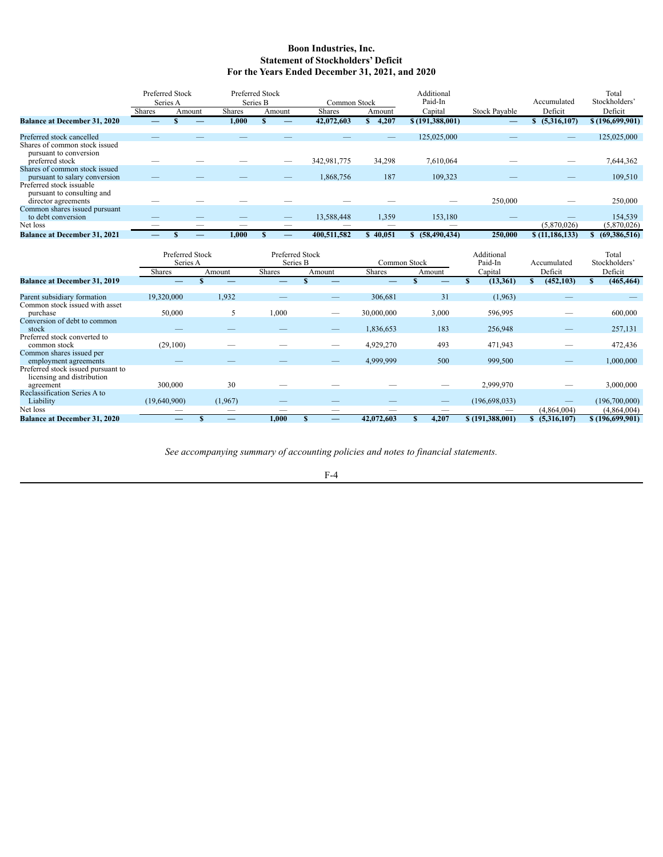#### <span id="page-21-0"></span>**Boon Industries, Inc. Statement of Stockholders' Deficit For the Years Ended December 31, 2021, and 2020**

|                                                         |               | Preferred Stock<br>Series A |        |               | Preferred Stock<br>Series B |        | Common Stock  |             | Additional<br>Paid-In |                      | Accumulated      | Total<br>Stockholders' |
|---------------------------------------------------------|---------------|-----------------------------|--------|---------------|-----------------------------|--------|---------------|-------------|-----------------------|----------------------|------------------|------------------------|
|                                                         | <b>Shares</b> |                             | Amount | <b>Shares</b> |                             | Amount | <b>Shares</b> | Amount      | Capital               | <b>Stock Pavable</b> | Deficit          | Deficit                |
| <b>Balance at December 31, 2020</b>                     |               |                             |        | 1,000         |                             |        | 42,072,603    | 4,207<br>\$ | \$(191,388,001)       | –                    | (5,316,107)      | \$(196,699,901)        |
|                                                         |               |                             |        |               |                             |        |               |             |                       |                      |                  |                        |
| Preferred stock cancelled                               |               |                             |        |               |                             |        |               |             | 125,025,000           |                      |                  | 125,025,000            |
| Shares of common stock issued<br>pursuant to conversion |               |                             |        |               |                             |        |               |             |                       |                      |                  |                        |
| preferred stock                                         |               |                             |        |               |                             |        | 342,981,775   | 34,298      | 7,610,064             |                      |                  | 7,644,362              |
| Shares of common stock issued                           |               |                             |        |               |                             |        |               |             |                       |                      |                  |                        |
| pursuant to salary conversion                           |               |                             |        |               |                             |        | 1,868,756     | 187         | 109,323               |                      |                  | 109,510                |
| Preferred stock issuable<br>pursuant to consulting and  |               |                             |        |               |                             |        |               |             |                       |                      |                  |                        |
| director agreements                                     |               |                             |        |               |                             |        |               |             |                       | 250,000              |                  | 250,000                |
| Common shares issued pursuant<br>to debt conversion     | _             |                             |        |               |                             |        | 13,588,448    | 1,359       | 153,180               |                      |                  | 154,539                |
| Net loss                                                |               |                             |        |               |                             |        |               |             |                       |                      | (5.870.026)      | (5,870,026)            |
| <b>Balance at December 31, 2021</b>                     |               |                             |        | 1.000         |                             |        | 400.511.582   | 40.051      | (58, 490, 434)        | 250,000              | \$(11, 186, 133) | (69,386,516)           |

|                                                                  | <b>Preferred Stock</b><br>Series A |        | <b>Preferred Stock</b><br>Series B |               | Common Stock |        | Additional<br>Paid-In |  | Accumulated |  | Total<br>Stockholders' |         |             |                 |
|------------------------------------------------------------------|------------------------------------|--------|------------------------------------|---------------|--------------|--------|-----------------------|--|-------------|--|------------------------|---------|-------------|-----------------|
|                                                                  | Shares                             | Amount |                                    | <b>Shares</b> |              | Amount | Shares                |  | Amount      |  | Capital                | Deficit |             | Deficit         |
| <b>Balance at December 31, 2019</b>                              |                                    |        |                                    |               |              |        |                       |  |             |  | (13,361)               |         | (452, 103)  | (465, 464)      |
|                                                                  |                                    |        |                                    |               |              |        |                       |  |             |  |                        |         |             |                 |
| Parent subsidiary formation                                      | 19,320,000                         |        | 1,932                              |               |              |        | 306,681               |  | 31          |  | (1,963)                |         |             |                 |
| Common stock issued with asset                                   |                                    |        |                                    |               |              |        |                       |  |             |  |                        |         |             |                 |
| purchase                                                         | 50,000                             |        | 5                                  | 1,000         |              |        | 30,000,000            |  | 3,000       |  | 596,995                |         |             | 600,000         |
| Conversion of debt to common<br>stock                            |                                    |        |                                    |               |              |        | 1,836,653             |  | 183         |  | 256,948                |         |             | 257,131         |
| Preferred stock converted to<br>common stock                     | (29,100)                           |        |                                    |               |              |        | 4,929,270             |  | 493         |  | 471,943                |         |             | 472,436         |
| Common shares issued per<br>employment agreements                |                                    |        |                                    |               |              |        | 4,999,999             |  | 500         |  | 999,500                |         |             | 1,000,000       |
| Preferred stock issued pursuant to<br>licensing and distribution | 300,000                            |        | 30                                 |               |              |        |                       |  |             |  | 2,999,970              |         |             | 3,000,000       |
| agreement                                                        |                                    |        |                                    |               |              |        |                       |  |             |  |                        |         |             |                 |
| Reclassification Series A to<br>Liability                        | (19,640,900)                       |        | (1,967)                            |               |              |        |                       |  |             |  | (196, 698, 033)        |         |             | (196,700,000)   |
| Net loss                                                         |                                    |        |                                    |               |              |        |                       |  |             |  |                        |         | (4,864,004) | (4,864,004)     |
| <b>Balance at December 31, 2020</b>                              |                                    |        |                                    | 1,000         |              |        | 42,072,603            |  | 4,207       |  | \$(191,388,001)        |         | (5,316,107) | \$(196,699,901) |

*See accompanying summary of accounting policies and notes to financial statements.*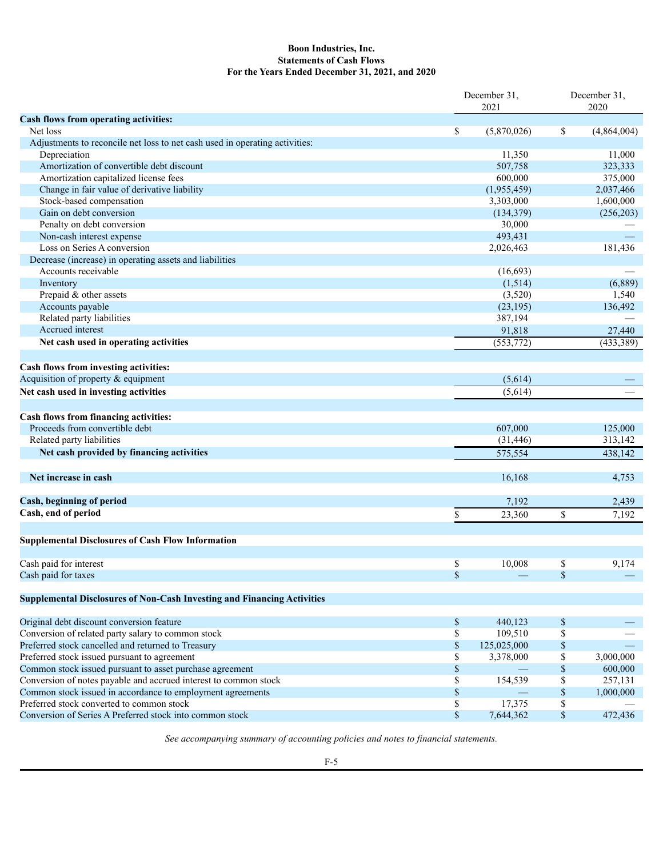#### <span id="page-22-0"></span>**Boon Industries, Inc. Statements of Cash Flows For the Years Ended December 31, 2021, and 2020**

|                                                                                |                    | December 31,      | December 31, |                    |  |
|--------------------------------------------------------------------------------|--------------------|-------------------|--------------|--------------------|--|
|                                                                                |                    | 2021              |              | 2020               |  |
| Cash flows from operating activities:                                          |                    |                   |              |                    |  |
| Net loss                                                                       | \$                 | (5,870,026)       | \$           | (4,864,004)        |  |
| Adjustments to reconcile net loss to net cash used in operating activities:    |                    |                   |              |                    |  |
| Depreciation<br>Amortization of convertible debt discount                      |                    | 11,350<br>507,758 |              | 11,000             |  |
| Amortization capitalized license fees                                          |                    | 600,000           |              | 323,333<br>375,000 |  |
| Change in fair value of derivative liability                                   |                    | (1,955,459)       |              | 2,037,466          |  |
| Stock-based compensation                                                       |                    | 3,303,000         |              | 1,600,000          |  |
| Gain on debt conversion                                                        |                    | (134, 379)        |              | (256, 203)         |  |
| Penalty on debt conversion                                                     |                    | 30,000            |              |                    |  |
| Non-cash interest expense                                                      |                    | 493,431           |              |                    |  |
| Loss on Series A conversion                                                    |                    | 2,026,463         |              | 181,436            |  |
| Decrease (increase) in operating assets and liabilities                        |                    |                   |              |                    |  |
| Accounts receivable                                                            |                    | (16,693)          |              |                    |  |
| Inventory                                                                      |                    | (1,514)           |              | (6,889)            |  |
| Prepaid & other assets                                                         |                    | (3,520)           |              | 1,540              |  |
| Accounts payable                                                               |                    | (23, 195)         |              | 136,492            |  |
| Related party liabilities                                                      |                    | 387,194           |              |                    |  |
| Accrued interest                                                               |                    | 91,818            |              | 27,440             |  |
| Net cash used in operating activities                                          |                    | (553, 772)        |              | (433, 389)         |  |
|                                                                                |                    |                   |              |                    |  |
| Cash flows from investing activities:                                          |                    |                   |              |                    |  |
| Acquisition of property $&$ equipment                                          |                    | (5,614)           |              |                    |  |
| Net cash used in investing activities                                          |                    | (5,614)           |              |                    |  |
|                                                                                |                    |                   |              |                    |  |
| Cash flows from financing activities:                                          |                    |                   |              |                    |  |
| Proceeds from convertible debt                                                 |                    | 607,000           |              | 125,000            |  |
| Related party liabilities                                                      |                    | (31, 446)         |              | 313,142            |  |
| Net cash provided by financing activities                                      |                    | 575,554           |              | 438,142            |  |
|                                                                                |                    |                   |              |                    |  |
| Net increase in cash                                                           |                    | 16,168            |              | 4,753              |  |
|                                                                                |                    |                   |              |                    |  |
| Cash, beginning of period                                                      |                    | 7,192             |              | 2,439              |  |
| Cash, end of period                                                            | \$                 | 23,360            | \$           | 7,192              |  |
| <b>Supplemental Disclosures of Cash Flow Information</b>                       |                    |                   |              |                    |  |
|                                                                                |                    |                   |              |                    |  |
| Cash paid for interest                                                         | \$                 | 10,008            | \$           | 9,174              |  |
| Cash paid for taxes                                                            | $\hat{\mathbf{S}}$ |                   | \$           |                    |  |
|                                                                                |                    |                   |              |                    |  |
| <b>Supplemental Disclosures of Non-Cash Investing and Financing Activities</b> |                    |                   |              |                    |  |
| Original debt discount conversion feature                                      | \$                 | 440,123           | \$           |                    |  |
| Conversion of related party salary to common stock                             | \$                 | 109,510           | \$           |                    |  |
| Preferred stock cancelled and returned to Treasury                             | $\mathbb S$        | 125,025,000       | \$           |                    |  |
| Preferred stock issued pursuant to agreement                                   | $\mathbb S$        | 3,378,000         | \$           | 3,000,000          |  |
| Common stock issued pursuant to asset purchase agreement                       | \$                 |                   | \$           | 600,000            |  |
| Conversion of notes payable and accrued interest to common stock               | \$                 | 154,539           | \$           | 257,131            |  |
| Common stock issued in accordance to employment agreements                     | $\boldsymbol{\$}$  |                   | \$           | 1,000,000          |  |
| Preferred stock converted to common stock                                      | \$                 | 17,375            | \$           |                    |  |
| Conversion of Series A Preferred stock into common stock                       | \$                 | 7,644,362         | \$           | 472,436            |  |

*See accompanying summary of accounting policies and notes to financial statements.*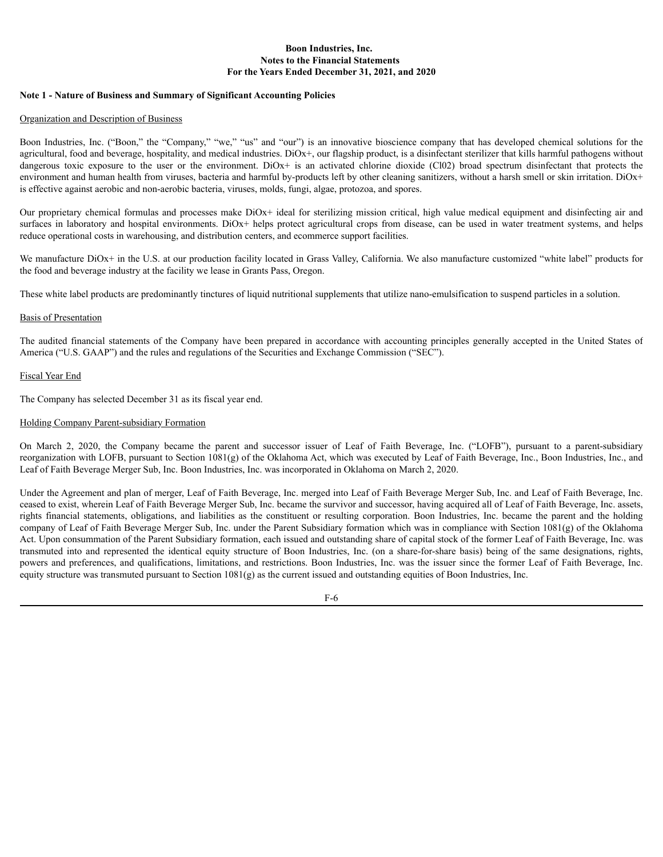#### <span id="page-23-0"></span>**Boon Industries, Inc. Notes to the Financial Statements For the Years Ended December 31, 2021, and 2020**

#### **Note 1 - Nature of Business and Summary of Significant Accounting Policies**

#### Organization and Description of Business

Boon Industries, Inc. ("Boon," the "Company," "we," "us" and "our") is an innovative bioscience company that has developed chemical solutions for the agricultural, food and beverage, hospitality, and medical industries. DiOx+, our flagship product, is a disinfectant sterilizer that kills harmful pathogens without dangerous toxic exposure to the user or the environment. DiOx+ is an activated chlorine dioxide (Cl02) broad spectrum disinfectant that protects the environment and human health from viruses, bacteria and harmful by-products left by other cleaning sanitizers, without a harsh smell or skin irritation.  $DiOx+$ is effective against aerobic and non-aerobic bacteria, viruses, molds, fungi, algae, protozoa, and spores.

Our proprietary chemical formulas and processes make DiOx+ ideal for sterilizing mission critical, high value medical equipment and disinfecting air and surfaces in laboratory and hospital environments. DiOx+ helps protect agricultural crops from disease, can be used in water treatment systems, and helps reduce operational costs in warehousing, and distribution centers, and ecommerce support facilities.

We manufacture DiOx+ in the U.S. at our production facility located in Grass Valley, California. We also manufacture customized "white label" products for the food and beverage industry at the facility we lease in Grants Pass, Oregon.

These white label products are predominantly tinctures of liquid nutritional supplements that utilize nano-emulsification to suspend particles in a solution.

#### Basis of Presentation

The audited financial statements of the Company have been prepared in accordance with accounting principles generally accepted in the United States of America ("U.S. GAAP") and the rules and regulations of the Securities and Exchange Commission ("SEC").

#### Fiscal Year End

The Company has selected December 31 as its fiscal year end.

#### Holding Company Parent-subsidiary Formation

On March 2, 2020, the Company became the parent and successor issuer of Leaf of Faith Beverage, Inc. ("LOFB"), pursuant to a parent-subsidiary reorganization with LOFB, pursuant to Section 1081(g) of the Oklahoma Act, which was executed by Leaf of Faith Beverage, Inc., Boon Industries, Inc., and Leaf of Faith Beverage Merger Sub, Inc. Boon Industries, Inc. was incorporated in Oklahoma on March 2, 2020.

Under the Agreement and plan of merger, Leaf of Faith Beverage, Inc. merged into Leaf of Faith Beverage Merger Sub, Inc. and Leaf of Faith Beverage, Inc. ceased to exist, wherein Leaf of Faith Beverage Merger Sub, Inc. became the survivor and successor, having acquired all of Leaf of Faith Beverage, Inc. assets, rights financial statements, obligations, and liabilities as the constituent or resulting corporation. Boon Industries, Inc. became the parent and the holding company of Leaf of Faith Beverage Merger Sub, Inc. under the Parent Subsidiary formation which was in compliance with Section 1081(g) of the Oklahoma Act. Upon consummation of the Parent Subsidiary formation, each issued and outstanding share of capital stock of the former Leaf of Faith Beverage, Inc. was transmuted into and represented the identical equity structure of Boon Industries, Inc. (on a share-for-share basis) being of the same designations, rights, powers and preferences, and qualifications, limitations, and restrictions. Boon Industries, Inc. was the issuer since the former Leaf of Faith Beverage, Inc. equity structure was transmuted pursuant to Section  $1081(g)$  as the current issued and outstanding equities of Boon Industries, Inc.

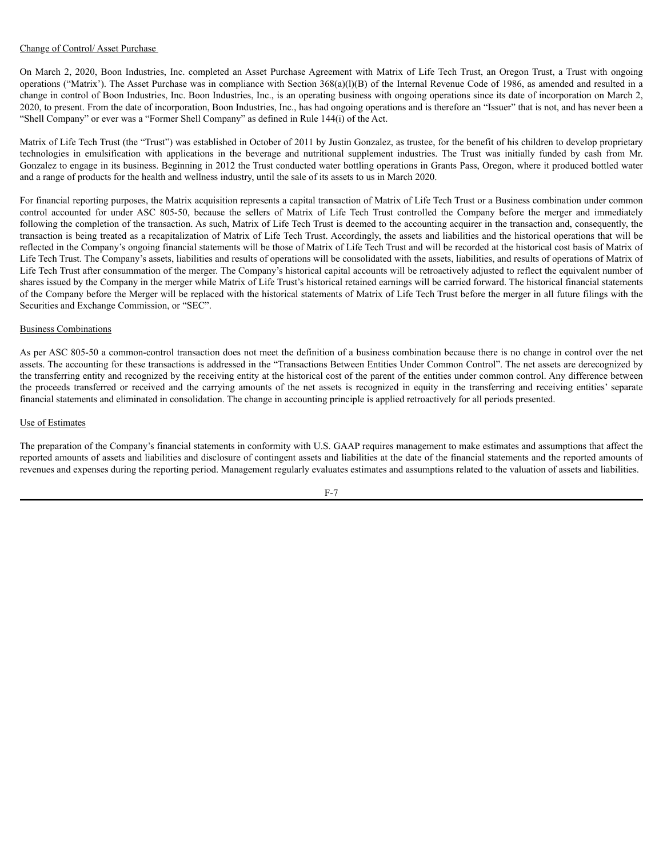#### Change of Control/ Asset Purchase

On March 2, 2020, Boon Industries, Inc. completed an Asset Purchase Agreement with Matrix of Life Tech Trust, an Oregon Trust, a Trust with ongoing operations ("Matrix'). The Asset Purchase was in compliance with Section 368(a)(l)(B) of the Internal Revenue Code of 1986, as amended and resulted in a change in control of Boon Industries, Inc. Boon Industries, Inc., is an operating business with ongoing operations since its date of incorporation on March 2, 2020, to present. From the date of incorporation, Boon Industries, Inc., has had ongoing operations and is therefore an "Issuer" that is not, and has never been a "Shell Company" or ever was a "Former Shell Company" as defined in Rule 144(i) of the Act.

Matrix of Life Tech Trust (the "Trust") was established in October of 2011 by Justin Gonzalez, as trustee, for the benefit of his children to develop proprietary technologies in emulsification with applications in the beverage and nutritional supplement industries. The Trust was initially funded by cash from Mr. Gonzalez to engage in its business. Beginning in 2012 the Trust conducted water bottling operations in Grants Pass, Oregon, where it produced bottled water and a range of products for the health and wellness industry, until the sale of its assets to us in March 2020.

For financial reporting purposes, the Matrix acquisition represents a capital transaction of Matrix of Life Tech Trust or a Business combination under common control accounted for under ASC 805-50, because the sellers of Matrix of Life Tech Trust controlled the Company before the merger and immediately following the completion of the transaction. As such, Matrix of Life Tech Trust is deemed to the accounting acquirer in the transaction and, consequently, the transaction is being treated as a recapitalization of Matrix of Life Tech Trust. Accordingly, the assets and liabilities and the historical operations that will be reflected in the Company's ongoing financial statements will be those of Matrix of Life Tech Trust and will be recorded at the historical cost basis of Matrix of Life Tech Trust. The Company's assets, liabilities and results of operations will be consolidated with the assets, liabilities, and results of operations of Matrix of Life Tech Trust after consummation of the merger. The Company's historical capital accounts will be retroactively adjusted to reflect the equivalent number of shares issued by the Company in the merger while Matrix of Life Trust's historical retained earnings will be carried forward. The historical financial statements of the Company before the Merger will be replaced with the historical statements of Matrix of Life Tech Trust before the merger in all future filings with the Securities and Exchange Commission, or "SEC".

#### Business Combinations

As per ASC 805-50 a common-control transaction does not meet the definition of a business combination because there is no change in control over the net assets. The accounting for these transactions is addressed in the "Transactions Between Entities Under Common Control". The net assets are derecognized by the transferring entity and recognized by the receiving entity at the historical cost of the parent of the entities under common control. Any difference between the proceeds transferred or received and the carrying amounts of the net assets is recognized in equity in the transferring and receiving entities' separate financial statements and eliminated in consolidation. The change in accounting principle is applied retroactively for all periods presented.

#### Use of Estimates

The preparation of the Company's financial statements in conformity with U.S. GAAP requires management to make estimates and assumptions that affect the reported amounts of assets and liabilities and disclosure of contingent assets and liabilities at the date of the financial statements and the reported amounts of revenues and expenses during the reporting period. Management regularly evaluates estimates and assumptions related to the valuation of assets and liabilities.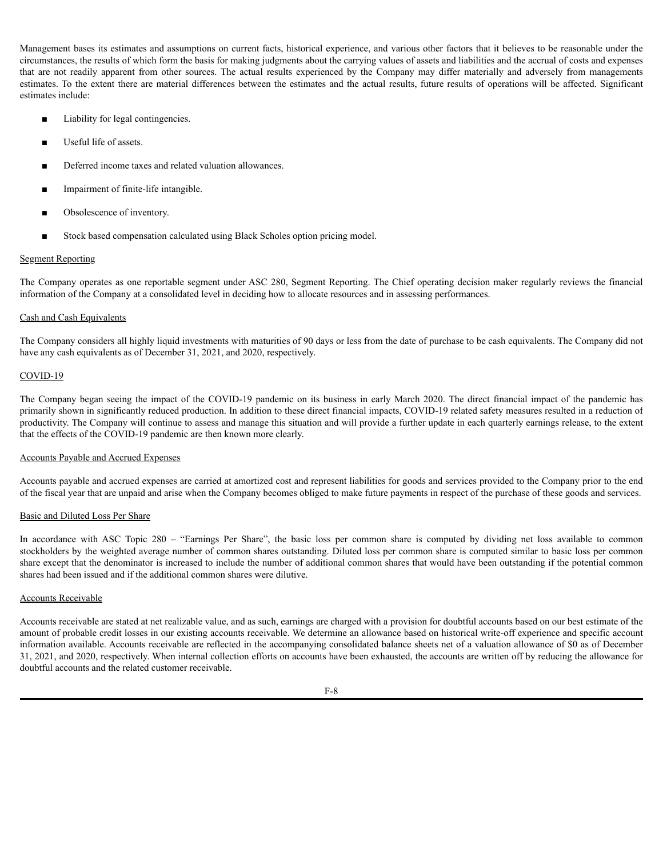Management bases its estimates and assumptions on current facts, historical experience, and various other factors that it believes to be reasonable under the circumstances, the results of which form the basis for making judgments about the carrying values of assets and liabilities and the accrual of costs and expenses that are not readily apparent from other sources. The actual results experienced by the Company may differ materially and adversely from managements estimates. To the extent there are material differences between the estimates and the actual results, future results of operations will be affected. Significant estimates include:

- Liability for legal contingencies.
- Useful life of assets.
- Deferred income taxes and related valuation allowances.
- Impairment of finite-life intangible.
- Obsolescence of inventory.
- Stock based compensation calculated using Black Scholes option pricing model.

#### Segment Reporting

The Company operates as one reportable segment under ASC 280, Segment Reporting. The Chief operating decision maker regularly reviews the financial information of the Company at a consolidated level in deciding how to allocate resources and in assessing performances.

#### Cash and Cash Equivalents

The Company considers all highly liquid investments with maturities of 90 days or less from the date of purchase to be cash equivalents. The Company did not have any cash equivalents as of December 31, 2021, and 2020, respectively.

#### COVID-19

The Company began seeing the impact of the COVID-19 pandemic on its business in early March 2020. The direct financial impact of the pandemic has primarily shown in significantly reduced production. In addition to these direct financial impacts, COVID-19 related safety measures resulted in a reduction of productivity. The Company will continue to assess and manage this situation and will provide a further update in each quarterly earnings release, to the extent that the effects of the COVID-19 pandemic are then known more clearly.

#### Accounts Payable and Accrued Expenses

Accounts payable and accrued expenses are carried at amortized cost and represent liabilities for goods and services provided to the Company prior to the end of the fiscal year that are unpaid and arise when the Company becomes obliged to make future payments in respect of the purchase of these goods and services.

#### Basic and Diluted Loss Per Share

In accordance with ASC Topic 280 – "Earnings Per Share", the basic loss per common share is computed by dividing net loss available to common stockholders by the weighted average number of common shares outstanding. Diluted loss per common share is computed similar to basic loss per common share except that the denominator is increased to include the number of additional common shares that would have been outstanding if the potential common shares had been issued and if the additional common shares were dilutive.

#### Accounts Receivable

Accounts receivable are stated at net realizable value, and as such, earnings are charged with a provision for doubtful accounts based on our best estimate of the amount of probable credit losses in our existing accounts receivable. We determine an allowance based on historical write-off experience and specific account information available. Accounts receivable are reflected in the accompanying consolidated balance sheets net of a valuation allowance of \$0 as of December 31, 2021, and 2020, respectively. When internal collection efforts on accounts have been exhausted, the accounts are written off by reducing the allowance for doubtful accounts and the related customer receivable.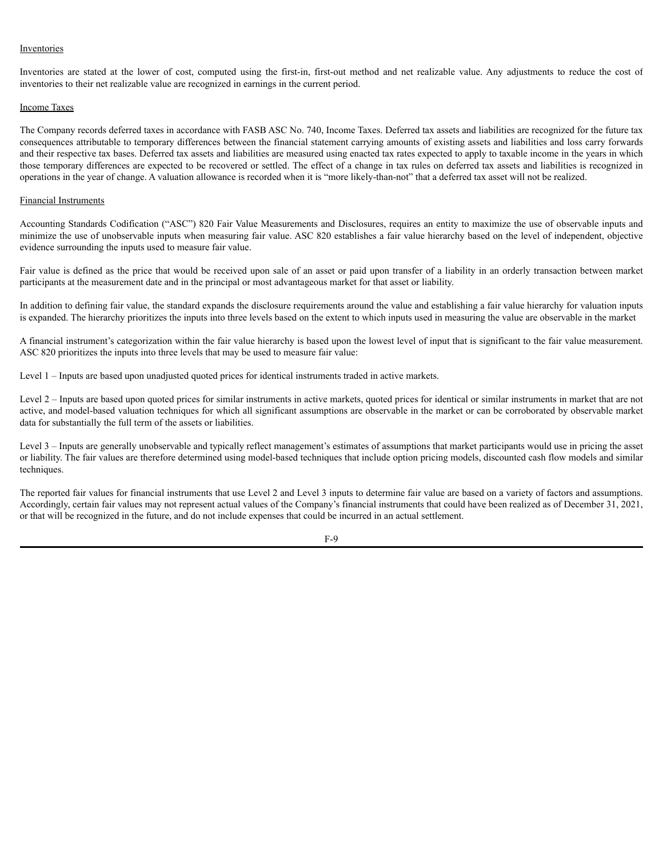#### Inventories

Inventories are stated at the lower of cost, computed using the first-in, first-out method and net realizable value. Any adjustments to reduce the cost of inventories to their net realizable value are recognized in earnings in the current period.

#### Income Taxes

The Company records deferred taxes in accordance with FASB ASC No. 740, Income Taxes. Deferred tax assets and liabilities are recognized for the future tax consequences attributable to temporary differences between the financial statement carrying amounts of existing assets and liabilities and loss carry forwards and their respective tax bases. Deferred tax assets and liabilities are measured using enacted tax rates expected to apply to taxable income in the years in which those temporary differences are expected to be recovered or settled. The effect of a change in tax rules on deferred tax assets and liabilities is recognized in operations in the year of change. A valuation allowance is recorded when it is "more likely-than-not" that a deferred tax asset will not be realized.

#### Financial Instruments

Accounting Standards Codification ("ASC") 820 Fair Value Measurements and Disclosures, requires an entity to maximize the use of observable inputs and minimize the use of unobservable inputs when measuring fair value. ASC 820 establishes a fair value hierarchy based on the level of independent, objective evidence surrounding the inputs used to measure fair value.

Fair value is defined as the price that would be received upon sale of an asset or paid upon transfer of a liability in an orderly transaction between market participants at the measurement date and in the principal or most advantageous market for that asset or liability.

In addition to defining fair value, the standard expands the disclosure requirements around the value and establishing a fair value hierarchy for valuation inputs is expanded. The hierarchy prioritizes the inputs into three levels based on the extent to which inputs used in measuring the value are observable in the market

A financial instrument's categorization within the fair value hierarchy is based upon the lowest level of input that is significant to the fair value measurement. ASC 820 prioritizes the inputs into three levels that may be used to measure fair value:

Level 1 – Inputs are based upon unadjusted quoted prices for identical instruments traded in active markets.

Level 2 – Inputs are based upon quoted prices for similar instruments in active markets, quoted prices for identical or similar instruments in market that are not active, and model-based valuation techniques for which all significant assumptions are observable in the market or can be corroborated by observable market data for substantially the full term of the assets or liabilities.

Level 3 – Inputs are generally unobservable and typically reflect management's estimates of assumptions that market participants would use in pricing the asset or liability. The fair values are therefore determined using model-based techniques that include option pricing models, discounted cash flow models and similar techniques.

The reported fair values for financial instruments that use Level 2 and Level 3 inputs to determine fair value are based on a variety of factors and assumptions. Accordingly, certain fair values may not represent actual values of the Company's financial instruments that could have been realized as of December 31, 2021, or that will be recognized in the future, and do not include expenses that could be incurred in an actual settlement.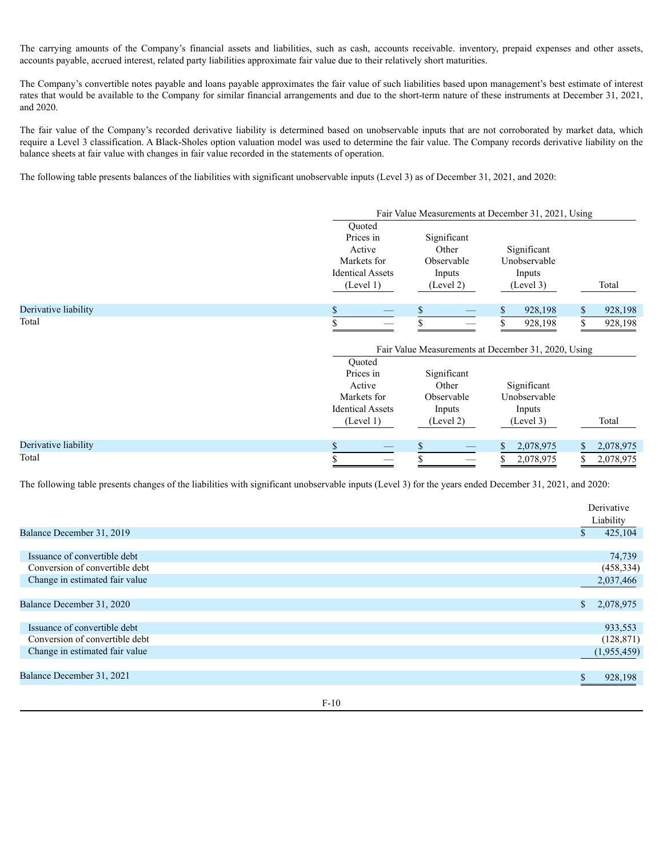The carrying amounts of the Company's financial assets and liabilities, such as cash, accounts receivable. inventory, prepaid expenses and other assets, accounts payable, accrued interest, related party liabilities approximate fair value due to their relatively short maturities.

The Company's convertible notes payable and loans payable approximates the fair value of such liabilities based upon management's best estimate of interest rates that would be available to the Company for similar financial arrangements and due to the short-term nature of these instruments at December 31, 2021, and 2020.

The fair value of the Company's recorded derivative liability is determined based on unobservable inputs that are not corroborated by market data, which require a Level 3 classification. A Black-Sholes option valuation model was used to determine the fair value. The Company records derivative liability on the balance sheets at fair value with changes in fair value recorded in the statements of operation.

The following table presents balances of the liabilities with significant unobservable inputs (Level 3) as of December 31, 2021, and 2020:

|                      |                                                                                      | Fair Value Measurements at December 31, 2021, Using       |                                                    |               |  |  |  |  |
|----------------------|--------------------------------------------------------------------------------------|-----------------------------------------------------------|----------------------------------------------------|---------------|--|--|--|--|
|                      | Quoted<br>Prices in<br>Active<br>Markets for<br><b>Identical Assets</b><br>(Level 1) | Significant<br>Other<br>Observable<br>Inputs<br>(Level 2) | Significant<br>Unobservable<br>Inputs<br>(Level 3) | Total         |  |  |  |  |
| Derivative liability |                                                                                      |                                                           | 928,198                                            | \$<br>928,198 |  |  |  |  |
| Total                |                                                                                      |                                                           | 928,198                                            | 928,198<br>\$ |  |  |  |  |
|                      |                                                                                      | Fair Value Measurements at December 31, 2020, Using       |                                                    |               |  |  |  |  |
|                      | Quoted<br>Prices in<br>Active<br>Markets for<br><b>Identical Assets</b><br>(Level 1) | Significant<br>Other<br>Observable<br>Inputs<br>(Level 2) | Significant<br>Unobservable<br>Inputs<br>(Level 3) | Total         |  |  |  |  |
| Derivative liability | \$                                                                                   | \$                                                        | 2,078,975<br>\$                                    | 2,078,975     |  |  |  |  |
| Total                |                                                                                      |                                                           | 2,078,975                                          | 2,078,975     |  |  |  |  |

The following table presents changes of the liabilities with significant unobservable inputs (Level 3) for the years ended December 31, 2021, and 2020:

|                                | Derivative      |
|--------------------------------|-----------------|
|                                | Liability       |
| Balance December 31, 2019      | 425,104<br>Ф    |
|                                |                 |
| Issuance of convertible debt   | 74,739          |
| Conversion of convertible debt | (458, 334)      |
| Change in estimated fair value | 2,037,466       |
|                                |                 |
| Balance December 31, 2020      | \$<br>2,078,975 |
|                                |                 |
| Issuance of convertible debt   | 933,553         |
| Conversion of convertible debt | (128, 871)      |
| Change in estimated fair value | (1,955,459)     |
|                                |                 |
| Balance December 31, 2021      | 928,198         |
|                                |                 |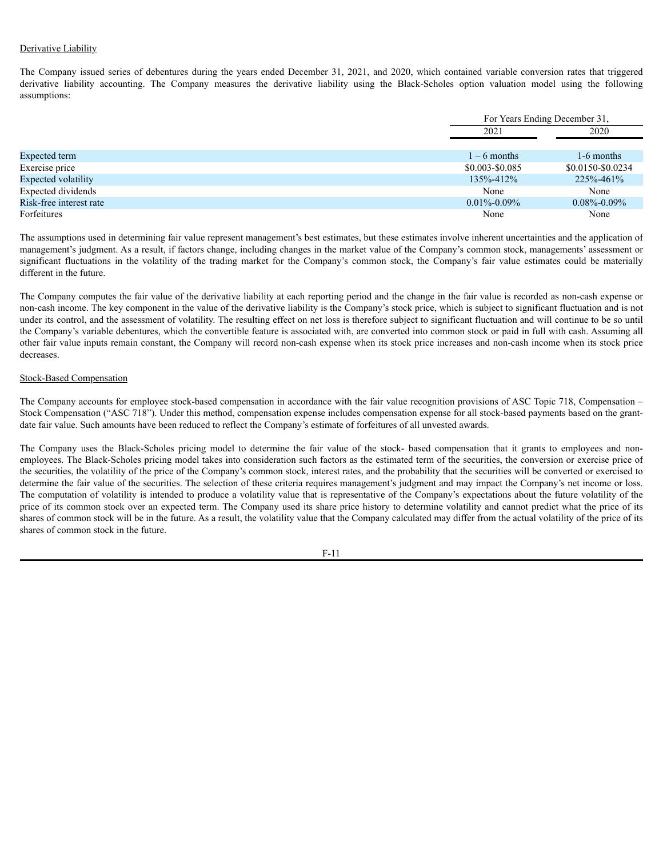#### Derivative Liability

The Company issued series of debentures during the years ended December 31, 2021, and 2020, which contained variable conversion rates that triggered derivative liability accounting. The Company measures the derivative liability using the Black-Scholes option valuation model using the following assumptions:

|                         | For Years Ending December 31, |                   |
|-------------------------|-------------------------------|-------------------|
|                         | 2021                          | 2020              |
|                         |                               |                   |
| Expected term           | $1 - 6$ months                | 1-6 months        |
| Exercise price          | \$0.003-\$0.085               | \$0.0150-\$0.0234 |
| Expected volatility     | 135%-412%                     | 225\%-461\%       |
| Expected dividends      | None                          | None              |
| Risk-free interest rate | $0.01\% - 0.09\%$             | $0.08\% - 0.09\%$ |
| Forfeitures             | None                          | None              |

The assumptions used in determining fair value represent management's best estimates, but these estimates involve inherent uncertainties and the application of management's judgment. As a result, if factors change, including changes in the market value of the Company's common stock, managements' assessment or significant fluctuations in the volatility of the trading market for the Company's common stock, the Company's fair value estimates could be materially different in the future.

The Company computes the fair value of the derivative liability at each reporting period and the change in the fair value is recorded as non-cash expense or non-cash income. The key component in the value of the derivative liability is the Company's stock price, which is subject to significant fluctuation and is not under its control, and the assessment of volatility. The resulting effect on net loss is therefore subject to significant fluctuation and will continue to be so until the Company's variable debentures, which the convertible feature is associated with, are converted into common stock or paid in full with cash. Assuming all other fair value inputs remain constant, the Company will record non-cash expense when its stock price increases and non-cash income when its stock price decreases.

#### Stock-Based Compensation

The Company accounts for employee stock-based compensation in accordance with the fair value recognition provisions of ASC Topic 718, Compensation – Stock Compensation ("ASC 718"). Under this method, compensation expense includes compensation expense for all stock-based payments based on the grantdate fair value. Such amounts have been reduced to reflect the Company's estimate of forfeitures of all unvested awards.

The Company uses the Black-Scholes pricing model to determine the fair value of the stock- based compensation that it grants to employees and nonemployees. The Black-Scholes pricing model takes into consideration such factors as the estimated term of the securities, the conversion or exercise price of the securities, the volatility of the price of the Company's common stock, interest rates, and the probability that the securities will be converted or exercised to determine the fair value of the securities. The selection of these criteria requires management's judgment and may impact the Company's net income or loss. The computation of volatility is intended to produce a volatility value that is representative of the Company's expectations about the future volatility of the price of its common stock over an expected term. The Company used its share price history to determine volatility and cannot predict what the price of its shares of common stock will be in the future. As a result, the volatility value that the Company calculated may differ from the actual volatility of the price of its shares of common stock in the future.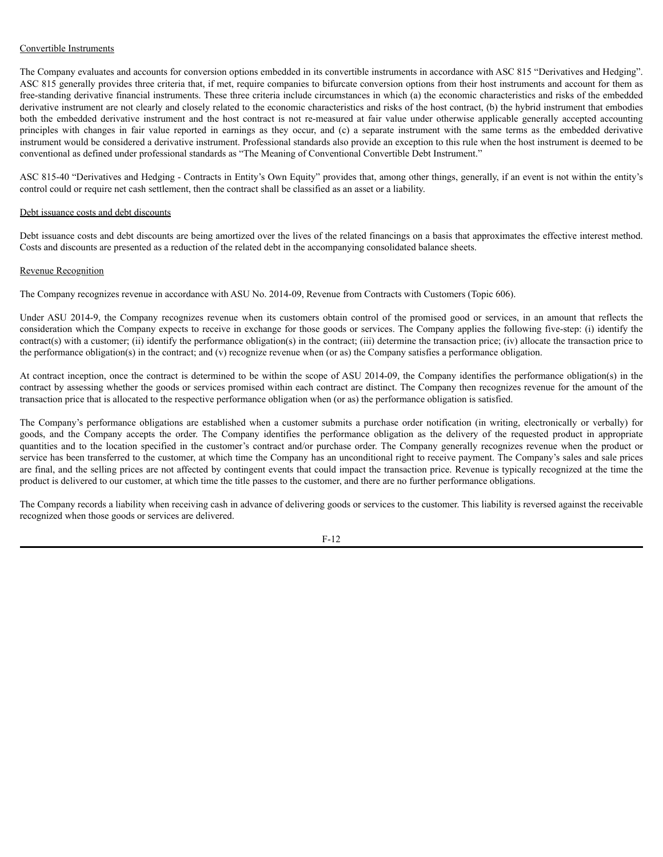#### Convertible Instruments

The Company evaluates and accounts for conversion options embedded in its convertible instruments in accordance with ASC 815 "Derivatives and Hedging". ASC 815 generally provides three criteria that, if met, require companies to bifurcate conversion options from their host instruments and account for them as free-standing derivative financial instruments. These three criteria include circumstances in which (a) the economic characteristics and risks of the embedded derivative instrument are not clearly and closely related to the economic characteristics and risks of the host contract, (b) the hybrid instrument that embodies both the embedded derivative instrument and the host contract is not re-measured at fair value under otherwise applicable generally accepted accounting principles with changes in fair value reported in earnings as they occur, and (c) a separate instrument with the same terms as the embedded derivative instrument would be considered a derivative instrument. Professional standards also provide an exception to this rule when the host instrument is deemed to be conventional as defined under professional standards as "The Meaning of Conventional Convertible Debt Instrument."

ASC 815-40 "Derivatives and Hedging - Contracts in Entity's Own Equity" provides that, among other things, generally, if an event is not within the entity's control could or require net cash settlement, then the contract shall be classified as an asset or a liability.

#### Debt issuance costs and debt discounts

Debt issuance costs and debt discounts are being amortized over the lives of the related financings on a basis that approximates the effective interest method. Costs and discounts are presented as a reduction of the related debt in the accompanying consolidated balance sheets.

#### Revenue Recognition

The Company recognizes revenue in accordance with ASU No. 2014-09, Revenue from Contracts with Customers (Topic 606).

Under ASU 2014-9, the Company recognizes revenue when its customers obtain control of the promised good or services, in an amount that reflects the consideration which the Company expects to receive in exchange for those goods or services. The Company applies the following five-step: (i) identify the contract(s) with a customer; (ii) identify the performance obligation(s) in the contract; (iii) determine the transaction price; (iv) allocate the transaction price to the performance obligation(s) in the contract; and (v) recognize revenue when (or as) the Company satisfies a performance obligation.

At contract inception, once the contract is determined to be within the scope of ASU 2014-09, the Company identifies the performance obligation(s) in the contract by assessing whether the goods or services promised within each contract are distinct. The Company then recognizes revenue for the amount of the transaction price that is allocated to the respective performance obligation when (or as) the performance obligation is satisfied.

The Company's performance obligations are established when a customer submits a purchase order notification (in writing, electronically or verbally) for goods, and the Company accepts the order. The Company identifies the performance obligation as the delivery of the requested product in appropriate quantities and to the location specified in the customer's contract and/or purchase order. The Company generally recognizes revenue when the product or service has been transferred to the customer, at which time the Company has an unconditional right to receive payment. The Company's sales and sale prices are final, and the selling prices are not affected by contingent events that could impact the transaction price. Revenue is typically recognized at the time the product is delivered to our customer, at which time the title passes to the customer, and there are no further performance obligations.

The Company records a liability when receiving cash in advance of delivering goods or services to the customer. This liability is reversed against the receivable recognized when those goods or services are delivered.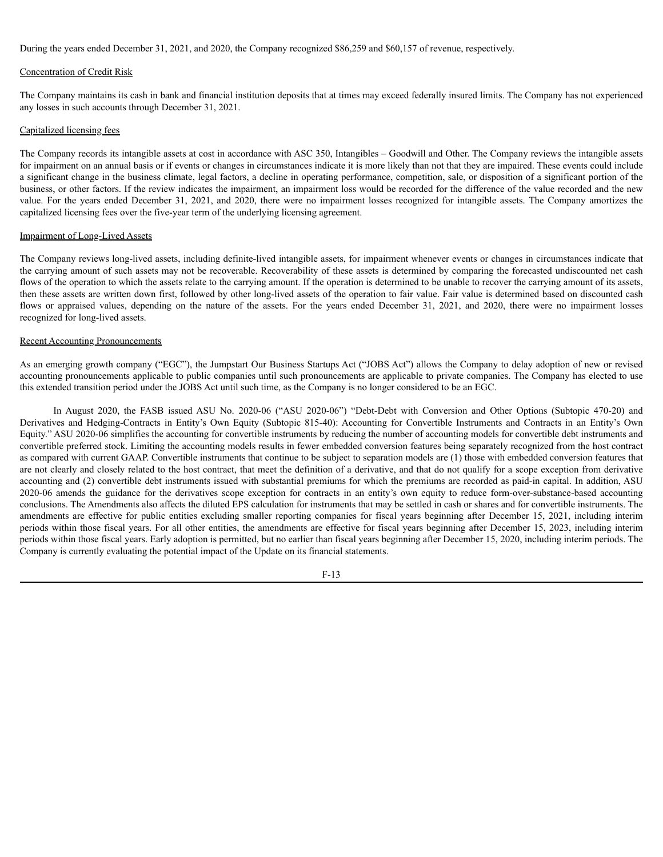During the years ended December 31, 2021, and 2020, the Company recognized \$86,259 and \$60,157 of revenue, respectively.

#### Concentration of Credit Risk

The Company maintains its cash in bank and financial institution deposits that at times may exceed federally insured limits. The Company has not experienced any losses in such accounts through December 31, 2021.

#### Capitalized licensing fees

The Company records its intangible assets at cost in accordance with ASC 350, Intangibles – Goodwill and Other. The Company reviews the intangible assets for impairment on an annual basis or if events or changes in circumstances indicate it is more likely than not that they are impaired. These events could include a significant change in the business climate, legal factors, a decline in operating performance, competition, sale, or disposition of a significant portion of the business, or other factors. If the review indicates the impairment, an impairment loss would be recorded for the difference of the value recorded and the new value. For the years ended December 31, 2021, and 2020, there were no impairment losses recognized for intangible assets. The Company amortizes the capitalized licensing fees over the five-year term of the underlying licensing agreement.

#### Impairment of Long-Lived Assets

The Company reviews long-lived assets, including definite-lived intangible assets, for impairment whenever events or changes in circumstances indicate that the carrying amount of such assets may not be recoverable. Recoverability of these assets is determined by comparing the forecasted undiscounted net cash flows of the operation to which the assets relate to the carrying amount. If the operation is determined to be unable to recover the carrying amount of its assets, then these assets are written down first, followed by other long-lived assets of the operation to fair value. Fair value is determined based on discounted cash flows or appraised values, depending on the nature of the assets. For the years ended December 31, 2021, and 2020, there were no impairment losses recognized for long-lived assets.

#### Recent Accounting Pronouncements

As an emerging growth company ("EGC"), the Jumpstart Our Business Startups Act ("JOBS Act") allows the Company to delay adoption of new or revised accounting pronouncements applicable to public companies until such pronouncements are applicable to private companies. The Company has elected to use this extended transition period under the JOBS Act until such time, as the Company is no longer considered to be an EGC.

In August 2020, the FASB issued ASU No. 2020-06 ("ASU 2020-06") "Debt-Debt with Conversion and Other Options (Subtopic 470-20) and Derivatives and Hedging-Contracts in Entity's Own Equity (Subtopic 815-40): Accounting for Convertible Instruments and Contracts in an Entity's Own Equity." ASU 2020-06 simplifies the accounting for convertible instruments by reducing the number of accounting models for convertible debt instruments and convertible preferred stock. Limiting the accounting models results in fewer embedded conversion features being separately recognized from the host contract as compared with current GAAP. Convertible instruments that continue to be subject to separation models are (1) those with embedded conversion features that are not clearly and closely related to the host contract, that meet the definition of a derivative, and that do not qualify for a scope exception from derivative accounting and (2) convertible debt instruments issued with substantial premiums for which the premiums are recorded as paid-in capital. In addition, ASU 2020-06 amends the guidance for the derivatives scope exception for contracts in an entity's own equity to reduce form-over-substance-based accounting conclusions. The Amendments also affects the diluted EPS calculation for instruments that may be settled in cash or shares and for convertible instruments. The amendments are effective for public entities excluding smaller reporting companies for fiscal years beginning after December 15, 2021, including interim periods within those fiscal years. For all other entities, the amendments are effective for fiscal years beginning after December 15, 2023, including interim periods within those fiscal years. Early adoption is permitted, but no earlier than fiscal years beginning after December 15, 2020, including interim periods. The Company is currently evaluating the potential impact of the Update on its financial statements.

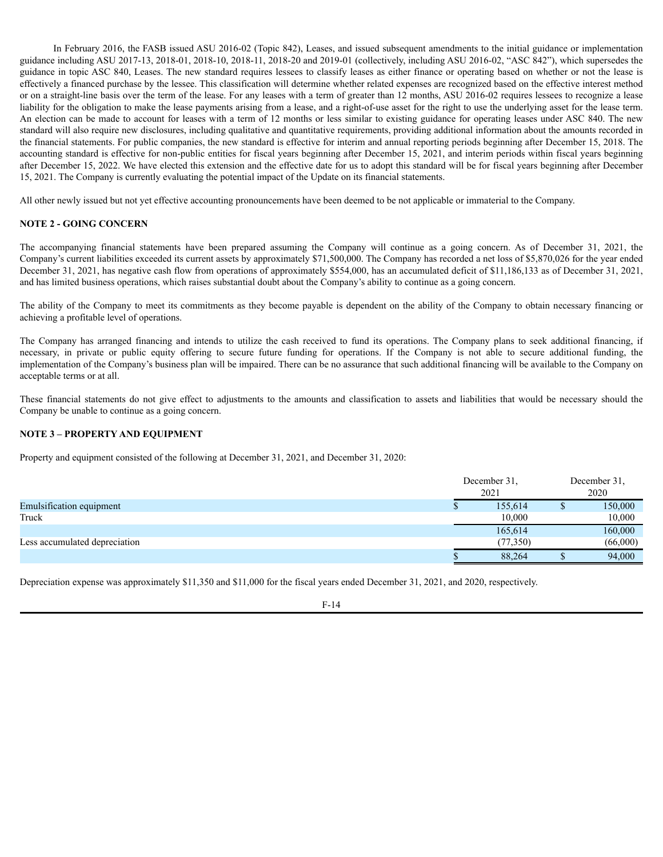In February 2016, the FASB issued ASU 2016-02 (Topic 842), Leases, and issued subsequent amendments to the initial guidance or implementation guidance including ASU 2017-13, 2018-01, 2018-10, 2018-11, 2018-20 and 2019-01 (collectively, including ASU 2016-02, "ASC 842"), which supersedes the guidance in topic ASC 840, Leases. The new standard requires lessees to classify leases as either finance or operating based on whether or not the lease is effectively a financed purchase by the lessee. This classification will determine whether related expenses are recognized based on the effective interest method or on a straight-line basis over the term of the lease. For any leases with a term of greater than 12 months, ASU 2016-02 requires lessees to recognize a lease liability for the obligation to make the lease payments arising from a lease, and a right-of-use asset for the right to use the underlying asset for the lease term. An election can be made to account for leases with a term of 12 months or less similar to existing guidance for operating leases under ASC 840. The new standard will also require new disclosures, including qualitative and quantitative requirements, providing additional information about the amounts recorded in the financial statements. For public companies, the new standard is effective for interim and annual reporting periods beginning after December 15, 2018. The accounting standard is effective for non-public entities for fiscal years beginning after December 15, 2021, and interim periods within fiscal years beginning after December 15, 2022. We have elected this extension and the effective date for us to adopt this standard will be for fiscal years beginning after December 15, 2021. The Company is currently evaluating the potential impact of the Update on its financial statements.

All other newly issued but not yet effective accounting pronouncements have been deemed to be not applicable or immaterial to the Company.

#### **NOTE 2 - GOING CONCERN**

The accompanying financial statements have been prepared assuming the Company will continue as a going concern. As of December 31, 2021, the Company's current liabilities exceeded its current assets by approximately \$71,500,000. The Company has recorded a net loss of \$5,870,026 for the year ended December 31, 2021, has negative cash flow from operations of approximately \$554,000, has an accumulated deficit of \$11,186,133 as of December 31, 2021, and has limited business operations, which raises substantial doubt about the Company's ability to continue as a going concern.

The ability of the Company to meet its commitments as they become payable is dependent on the ability of the Company to obtain necessary financing or achieving a profitable level of operations.

The Company has arranged financing and intends to utilize the cash received to fund its operations. The Company plans to seek additional financing, if necessary, in private or public equity offering to secure future funding for operations. If the Company is not able to secure additional funding, the implementation of the Company's business plan will be impaired. There can be no assurance that such additional financing will be available to the Company on acceptable terms or at all.

These financial statements do not give effect to adjustments to the amounts and classification to assets and liabilities that would be necessary should the Company be unable to continue as a going concern.

#### **NOTE 3 – PROPERTY AND EQUIPMENT**

Property and equipment consisted of the following at December 31, 2021, and December 31, 2020:

|                               | December 31.<br>2021 |   | December 31.<br>2020 |
|-------------------------------|----------------------|---|----------------------|
| Emulsification equipment      | 155,614              | Φ | 150,000              |
| Truck                         | 10,000               |   | 10,000               |
|                               | 165,614              |   | 160,000              |
| Less accumulated depreciation | (77, 350)            |   | (66,000)             |
|                               | 88,264               |   | 94,000               |

Depreciation expense was approximately \$11,350 and \$11,000 for the fiscal years ended December 31, 2021, and 2020, respectively.

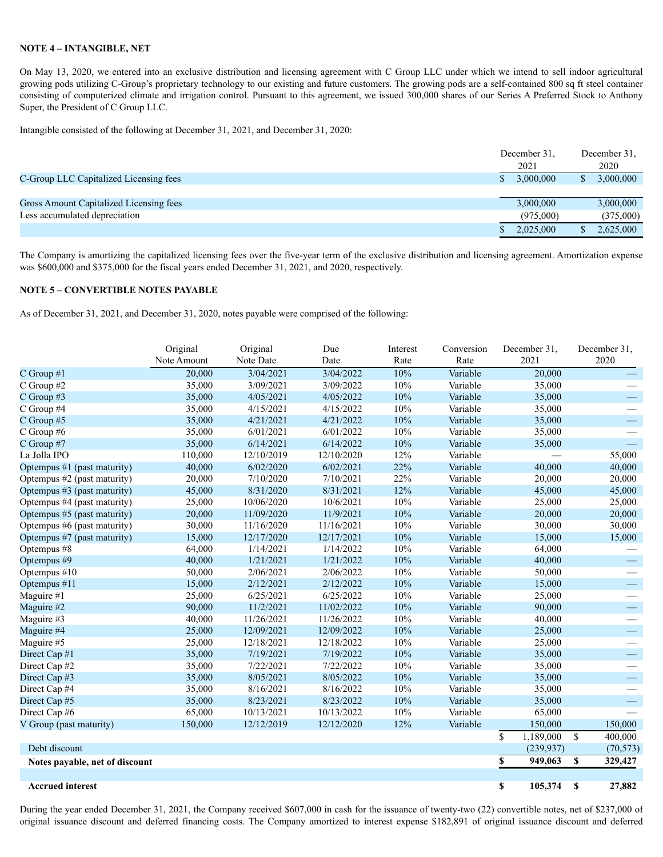#### **NOTE 4 – INTANGIBLE, NET**

On May 13, 2020, we entered into an exclusive distribution and licensing agreement with C Group LLC under which we intend to sell indoor agricultural growing pods utilizing C-Group's proprietary technology to our existing and future customers. The growing pods are a self-contained 800 sq ft steel container consisting of computerized climate and irrigation control. Pursuant to this agreement, we issued 300,000 shares of our Series A Preferred Stock to Anthony Super, the President of C Group LLC.

Intangible consisted of the following at December 31, 2021, and December 31, 2020:

|                                         | December 31 |           | December 31. |
|-----------------------------------------|-------------|-----------|--------------|
|                                         |             | 2021      | 2020         |
| C-Group LLC Capitalized Licensing fees  |             | 3,000,000 | 3,000,000    |
|                                         |             |           |              |
| Gross Amount Capitalized Licensing fees |             | 3,000,000 | 3,000,000    |
| Less accumulated depreciation           |             | (975.000) | (375,000)    |
|                                         |             | 2,025,000 | 2,625,000    |

The Company is amortizing the capitalized licensing fees over the five-year term of the exclusive distribution and licensing agreement. Amortization expense was \$600,000 and \$375,000 for the fiscal years ended December 31, 2021, and 2020, respectively.

#### **NOTE 5 – CONVERTIBLE NOTES PAYABLE**

As of December 31, 2021, and December 31, 2020, notes payable were comprised of the following:

|                                | Original<br>Note Amount | Original<br>Note Date | Due<br>Date | Interest<br>Rate | Conversion<br>Rate | December 31.<br>2021         | December 31,<br>2020     |
|--------------------------------|-------------------------|-----------------------|-------------|------------------|--------------------|------------------------------|--------------------------|
| $C$ Group #1                   | 20,000                  | 3/04/2021             | 3/04/2022   | 10%              | Variable           | 20,000                       | $\overline{\phantom{0}}$ |
| $C$ Group #2                   | 35,000                  | 3/09/2021             | 3/09/2022   | 10%              | Variable           | 35,000                       |                          |
| $C$ Group #3                   | 35,000                  | 4/05/2021             | 4/05/2022   | 10%              | Variable           | 35,000                       |                          |
| C Group #4                     | 35,000                  | 4/15/2021             | 4/15/2022   | 10%              | Variable           | 35,000                       |                          |
| C Group #5                     | 35,000                  | 4/21/2021             | 4/21/2022   | 10%              | Variable           | 35,000                       | $\overline{\phantom{0}}$ |
| C Group #6                     | 35,000                  | 6/01/2021             | 6/01/2022   | $10\%$           | Variable           | 35,000                       |                          |
| $C$ Group #7                   | 35,000                  | 6/14/2021             | 6/14/2022   | 10%              | Variable           | 35,000                       |                          |
| La Jolla IPO                   | 110,000                 | 12/10/2019            | 12/10/2020  | 12%              | Variable           |                              | 55,000                   |
| Optempus #1 (past maturity)    | 40,000                  | 6/02/2020             | 6/02/2021   | 22%              | Variable           | 40,000                       | 40,000                   |
| Optempus #2 (past maturity)    | 20,000                  | 7/10/2020             | 7/10/2021   | 22%              | Variable           | 20,000                       | 20,000                   |
| Optempus #3 (past maturity)    | 45,000                  | 8/31/2020             | 8/31/2021   | 12%              | Variable           | 45,000                       | 45,000                   |
| Optempus #4 (past maturity)    | 25,000                  | 10/06/2020            | 10/6/2021   | $10\%$           | Variable           | 25,000                       | 25,000                   |
| Optempus #5 (past maturity)    | 20,000                  | 11/09/2020            | 11/9/2021   | 10%              | Variable           | 20,000                       | 20,000                   |
| Optempus #6 (past maturity)    | 30,000                  | 11/16/2020            | 11/16/2021  | 10%              | Variable           | 30,000                       | 30,000                   |
| Optempus #7 (past maturity)    | 15,000                  | 12/17/2020            | 12/17/2021  | 10%              | Variable           | 15,000                       | 15,000                   |
| Optempus #8                    | 64,000                  | 1/14/2021             | 1/14/2022   | $10\%$           | Variable           | 64,000                       |                          |
| Optempus #9                    | 40,000                  | 1/21/2021             | 1/21/2022   | 10%              | Variable           | 40,000                       |                          |
| Optempus #10                   | 50,000                  | 2/06/2021             | 2/06/2022   | 10%              | Variable           | 50,000                       |                          |
| Optempus #11                   | 15,000                  | 2/12/2021             | 2/12/2022   | 10%              | Variable           | 15,000                       |                          |
| Maguire #1                     | 25,000                  | 6/25/2021             | 6/25/2022   | 10%              | Variable           | 25,000                       |                          |
| Maguire #2                     | 90,000                  | 11/2/2021             | 11/02/2022  | 10%              | Variable           | 90,000                       |                          |
| Maguire #3                     | 40,000                  | 11/26/2021            | 11/26/2022  | $10\%$           | Variable           | 40,000                       |                          |
| Maguire #4                     | 25,000                  | 12/09/2021            | 12/09/2022  | 10%              | Variable           | 25,000                       |                          |
| Maguire #5                     | 25,000                  | 12/18/2021            | 12/18/2022  | 10%              | Variable           | 25,000                       |                          |
| Direct Cap <sup>#1</sup>       | 35,000                  | 7/19/2021             | 7/19/2022   | 10%              | Variable           | 35,000                       | —                        |
| Direct Cap <sup>#2</sup>       | 35,000                  | 7/22/2021             | 7/22/2022   | 10%              | Variable           | 35,000                       |                          |
| Direct Cap <sup>#3</sup>       | 35,000                  | 8/05/2021             | 8/05/2022   | $10\%$           | Variable           | 35,000                       | $\overline{\phantom{0}}$ |
| Direct Cap #4                  | 35,000                  | 8/16/2021             | 8/16/2022   | 10%              | Variable           | 35,000                       |                          |
| Direct Cap #5                  | 35,000                  | 8/23/2021             | 8/23/2022   | $10\%$           | Variable           | 35,000                       |                          |
| Direct Cap#6                   | 65,000                  | 10/13/2021            | 10/13/2022  | 10%              | Variable           | 65,000                       |                          |
| V Group (past maturity)        | 150,000                 | 12/12/2019            | 12/12/2020  | 12%              | Variable           | 150,000                      | 150,000                  |
|                                |                         |                       |             |                  |                    | $\overline{\$}$<br>1,189,000 | \$<br>400,000            |
| Debt discount                  |                         |                       |             |                  |                    | (239, 937)                   | (70, 573)                |
| Notes payable, net of discount |                         |                       |             |                  |                    | \$<br>949,063                | S<br>329,427             |
| <b>Accrued</b> interest        |                         |                       |             |                  |                    | \$<br>105,374                | 27,882<br>S              |

During the year ended December 31, 2021, the Company received \$607,000 in cash for the issuance of twenty-two (22) convertible notes, net of \$237,000 of original issuance discount and deferred financing costs. The Company amortized to interest expense \$182,891 of original issuance discount and deferred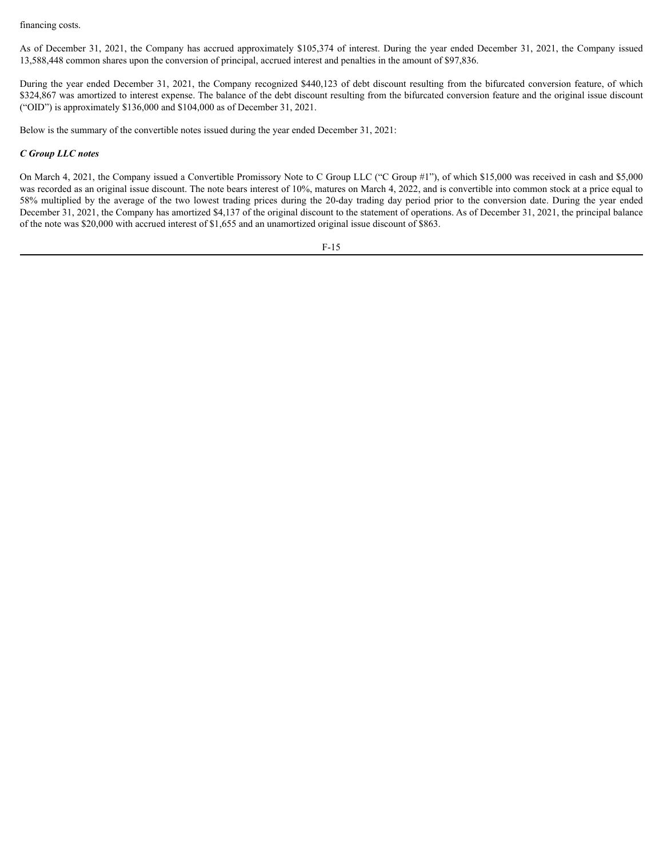financing costs.

As of December 31, 2021, the Company has accrued approximately \$105,374 of interest. During the year ended December 31, 2021, the Company issued 13,588,448 common shares upon the conversion of principal, accrued interest and penalties in the amount of \$97,836.

During the year ended December 31, 2021, the Company recognized \$440,123 of debt discount resulting from the bifurcated conversion feature, of which \$324,867 was amortized to interest expense. The balance of the debt discount resulting from the bifurcated conversion feature and the original issue discount ("OID") is approximately \$136,000 and \$104,000 as of December 31, 2021.

Below is the summary of the convertible notes issued during the year ended December 31, 2021:

#### *C Group LLC notes*

On March 4, 2021, the Company issued a Convertible Promissory Note to C Group LLC ("C Group #1"), of which \$15,000 was received in cash and \$5,000 was recorded as an original issue discount. The note bears interest of 10%, matures on March 4, 2022, and is convertible into common stock at a price equal to 58% multiplied by the average of the two lowest trading prices during the 20-day trading day period prior to the conversion date. During the year ended December 31, 2021, the Company has amortized \$4,137 of the original discount to the statement of operations. As of December 31, 2021, the principal balance of the note was \$20,000 with accrued interest of \$1,655 and an unamortized original issue discount of \$863.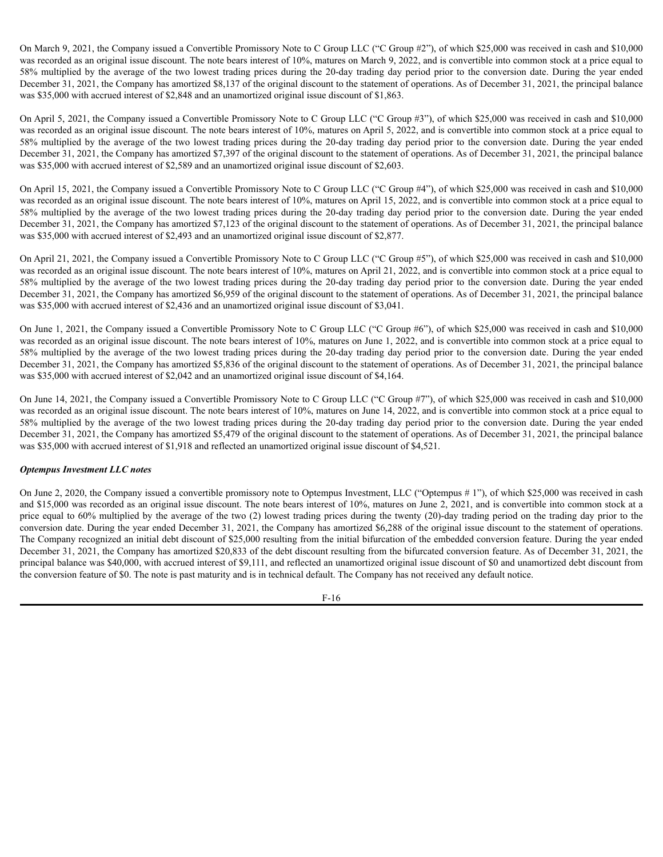On March 9, 2021, the Company issued a Convertible Promissory Note to C Group LLC ("C Group #2"), of which \$25,000 was received in cash and \$10,000 was recorded as an original issue discount. The note bears interest of 10%, matures on March 9, 2022, and is convertible into common stock at a price equal to 58% multiplied by the average of the two lowest trading prices during the 20-day trading day period prior to the conversion date. During the year ended December 31, 2021, the Company has amortized \$8,137 of the original discount to the statement of operations. As of December 31, 2021, the principal balance was \$35,000 with accrued interest of \$2,848 and an unamortized original issue discount of \$1,863.

On April 5, 2021, the Company issued a Convertible Promissory Note to C Group LLC ("C Group #3"), of which \$25,000 was received in cash and \$10,000 was recorded as an original issue discount. The note bears interest of 10%, matures on April 5, 2022, and is convertible into common stock at a price equal to 58% multiplied by the average of the two lowest trading prices during the 20-day trading day period prior to the conversion date. During the year ended December 31, 2021, the Company has amortized \$7,397 of the original discount to the statement of operations. As of December 31, 2021, the principal balance was \$35,000 with accrued interest of \$2,589 and an unamortized original issue discount of \$2,603.

On April 15, 2021, the Company issued a Convertible Promissory Note to C Group LLC ("C Group #4"), of which \$25,000 was received in cash and \$10,000 was recorded as an original issue discount. The note bears interest of 10%, matures on April 15, 2022, and is convertible into common stock at a price equal to 58% multiplied by the average of the two lowest trading prices during the 20-day trading day period prior to the conversion date. During the year ended December 31, 2021, the Company has amortized \$7,123 of the original discount to the statement of operations. As of December 31, 2021, the principal balance was \$35,000 with accrued interest of \$2,493 and an unamortized original issue discount of \$2,877.

On April 21, 2021, the Company issued a Convertible Promissory Note to C Group LLC ("C Group #5"), of which \$25,000 was received in cash and \$10,000 was recorded as an original issue discount. The note bears interest of 10%, matures on April 21, 2022, and is convertible into common stock at a price equal to 58% multiplied by the average of the two lowest trading prices during the 20-day trading day period prior to the conversion date. During the year ended December 31, 2021, the Company has amortized \$6,959 of the original discount to the statement of operations. As of December 31, 2021, the principal balance was \$35,000 with accrued interest of \$2,436 and an unamortized original issue discount of \$3,041.

On June 1, 2021, the Company issued a Convertible Promissory Note to C Group LLC ("C Group #6"), of which \$25,000 was received in cash and \$10,000 was recorded as an original issue discount. The note bears interest of 10%, matures on June 1, 2022, and is convertible into common stock at a price equal to 58% multiplied by the average of the two lowest trading prices during the 20-day trading day period prior to the conversion date. During the year ended December 31, 2021, the Company has amortized \$5,836 of the original discount to the statement of operations. As of December 31, 2021, the principal balance was \$35,000 with accrued interest of \$2,042 and an unamortized original issue discount of \$4,164.

On June 14, 2021, the Company issued a Convertible Promissory Note to C Group LLC ("C Group #7"), of which \$25,000 was received in cash and \$10,000 was recorded as an original issue discount. The note bears interest of 10%, matures on June 14, 2022, and is convertible into common stock at a price equal to 58% multiplied by the average of the two lowest trading prices during the 20-day trading day period prior to the conversion date. During the year ended December 31, 2021, the Company has amortized \$5,479 of the original discount to the statement of operations. As of December 31, 2021, the principal balance was \$35,000 with accrued interest of \$1,918 and reflected an unamortized original issue discount of \$4,521.

#### *Optempus Investment LLC notes*

On June 2, 2020, the Company issued a convertible promissory note to Optempus Investment, LLC ("Optempus # 1"), of which \$25,000 was received in cash and \$15,000 was recorded as an original issue discount. The note bears interest of 10%, matures on June 2, 2021, and is convertible into common stock at a price equal to 60% multiplied by the average of the two (2) lowest trading prices during the twenty (20)-day trading period on the trading day prior to the conversion date. During the year ended December 31, 2021, the Company has amortized \$6,288 of the original issue discount to the statement of operations. The Company recognized an initial debt discount of \$25,000 resulting from the initial bifurcation of the embedded conversion feature. During the year ended December 31, 2021, the Company has amortized \$20,833 of the debt discount resulting from the bifurcated conversion feature. As of December 31, 2021, the principal balance was \$40,000, with accrued interest of \$9,111, and reflected an unamortized original issue discount of \$0 and unamortized debt discount from the conversion feature of \$0. The note is past maturity and is in technical default. The Company has not received any default notice.

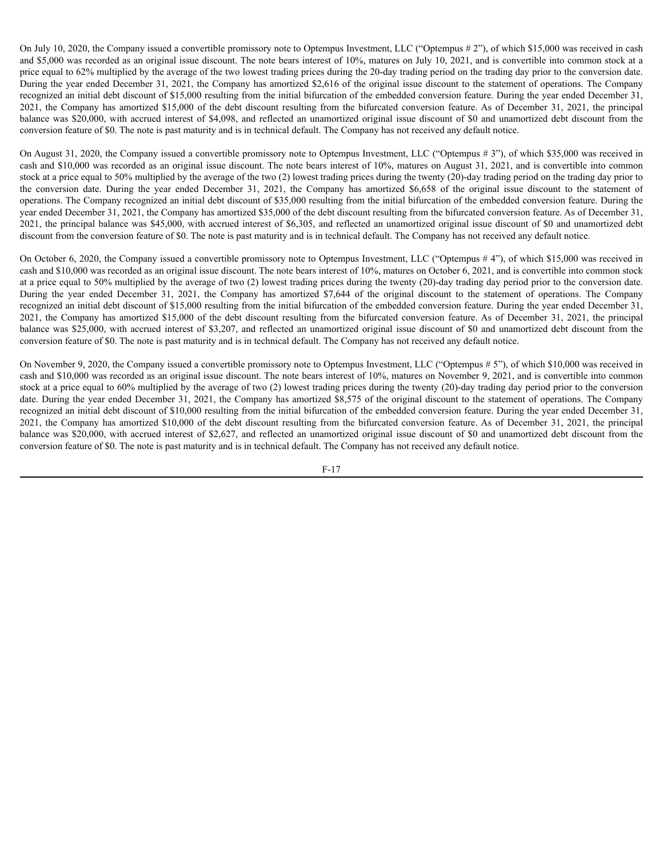On July 10, 2020, the Company issued a convertible promissory note to Optempus Investment, LLC ("Optempus # 2"), of which \$15,000 was received in cash and \$5,000 was recorded as an original issue discount. The note bears interest of 10%, matures on July 10, 2021, and is convertible into common stock at a price equal to 62% multiplied by the average of the two lowest trading prices during the 20-day trading period on the trading day prior to the conversion date. During the year ended December 31, 2021, the Company has amortized \$2,616 of the original issue discount to the statement of operations. The Company recognized an initial debt discount of \$15,000 resulting from the initial bifurcation of the embedded conversion feature. During the year ended December 31, 2021, the Company has amortized \$15,000 of the debt discount resulting from the bifurcated conversion feature. As of December 31, 2021, the principal balance was \$20,000, with accrued interest of \$4,098, and reflected an unamortized original issue discount of \$0 and unamortized debt discount from the conversion feature of \$0. The note is past maturity and is in technical default. The Company has not received any default notice.

On August 31, 2020, the Company issued a convertible promissory note to Optempus Investment, LLC ("Optempus # 3"), of which \$35,000 was received in cash and \$10,000 was recorded as an original issue discount. The note bears interest of 10%, matures on August 31, 2021, and is convertible into common stock at a price equal to 50% multiplied by the average of the two (2) lowest trading prices during the twenty (20)-day trading period on the trading day prior to the conversion date. During the year ended December 31, 2021, the Company has amortized \$6,658 of the original issue discount to the statement of operations. The Company recognized an initial debt discount of \$35,000 resulting from the initial bifurcation of the embedded conversion feature. During the year ended December 31, 2021, the Company has amortized \$35,000 of the debt discount resulting from the bifurcated conversion feature. As of December 31, 2021, the principal balance was \$45,000, with accrued interest of \$6,305, and reflected an unamortized original issue discount of \$0 and unamortized debt discount from the conversion feature of \$0. The note is past maturity and is in technical default. The Company has not received any default notice.

On October 6, 2020, the Company issued a convertible promissory note to Optempus Investment, LLC ("Optempus # 4"), of which \$15,000 was received in cash and \$10,000 was recorded as an original issue discount. The note bears interest of 10%, matures on October 6, 2021, and is convertible into common stock at a price equal to 50% multiplied by the average of two (2) lowest trading prices during the twenty (20)-day trading day period prior to the conversion date. During the year ended December 31, 2021, the Company has amortized \$7,644 of the original discount to the statement of operations. The Company recognized an initial debt discount of \$15,000 resulting from the initial bifurcation of the embedded conversion feature. During the year ended December 31, 2021, the Company has amortized \$15,000 of the debt discount resulting from the bifurcated conversion feature. As of December 31, 2021, the principal balance was \$25,000, with accrued interest of \$3,207, and reflected an unamortized original issue discount of \$0 and unamortized debt discount from the conversion feature of \$0. The note is past maturity and is in technical default. The Company has not received any default notice.

On November 9, 2020, the Company issued a convertible promissory note to Optempus Investment, LLC ("Optempus # 5"), of which \$10,000 was received in cash and \$10,000 was recorded as an original issue discount. The note bears interest of 10%, matures on November 9, 2021, and is convertible into common stock at a price equal to 60% multiplied by the average of two (2) lowest trading prices during the twenty (20)-day trading day period prior to the conversion date. During the year ended December 31, 2021, the Company has amortized \$8,575 of the original discount to the statement of operations. The Company recognized an initial debt discount of \$10,000 resulting from the initial bifurcation of the embedded conversion feature. During the year ended December 31, 2021, the Company has amortized \$10,000 of the debt discount resulting from the bifurcated conversion feature. As of December 31, 2021, the principal balance was \$20,000, with accrued interest of \$2,627, and reflected an unamortized original issue discount of \$0 and unamortized debt discount from the conversion feature of \$0. The note is past maturity and is in technical default. The Company has not received any default notice.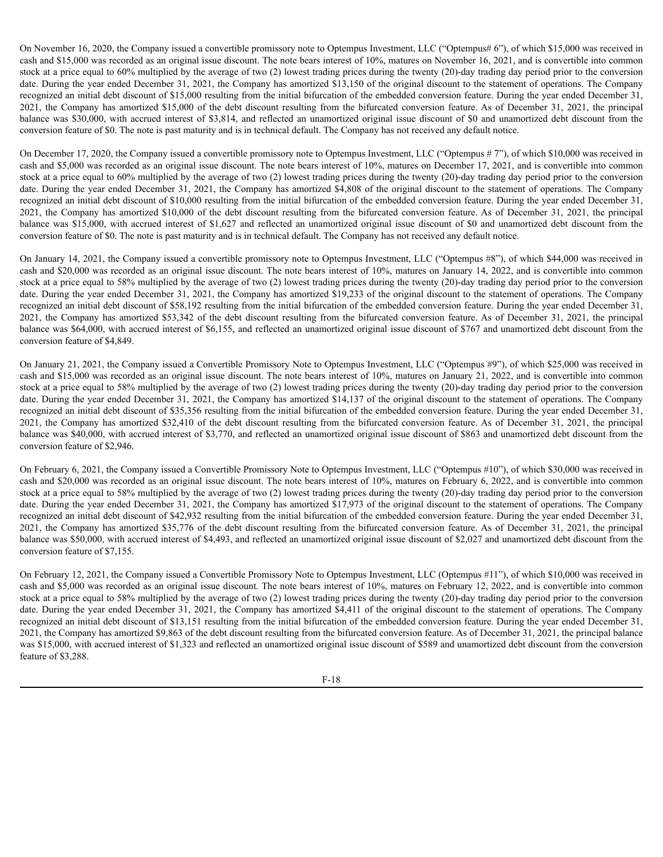On November 16, 2020, the Company issued a convertible promissory note to Optempus Investment, LLC ("Optempus# 6"), of which \$15,000 was received in cash and \$15,000 was recorded as an original issue discount. The note bears interest of 10%, matures on November 16, 2021, and is convertible into common stock at a price equal to 60% multiplied by the average of two (2) lowest trading prices during the twenty (20)-day trading day period prior to the conversion date. During the year ended December 31, 2021, the Company has amortized \$13,150 of the original discount to the statement of operations. The Company recognized an initial debt discount of \$15,000 resulting from the initial bifurcation of the embedded conversion feature. During the year ended December 31, 2021, the Company has amortized \$15,000 of the debt discount resulting from the bifurcated conversion feature. As of December 31, 2021, the principal balance was \$30,000, with accrued interest of \$3,814, and reflected an unamortized original issue discount of \$0 and unamortized debt discount from the conversion feature of \$0. The note is past maturity and is in technical default. The Company has not received any default notice.

On December 17, 2020, the Company issued a convertible promissory note to Optempus Investment, LLC ("Optempus # 7"), of which \$10,000 was received in cash and \$5,000 was recorded as an original issue discount. The note bears interest of 10%, matures on December 17, 2021, and is convertible into common stock at a price equal to 60% multiplied by the average of two (2) lowest trading prices during the twenty (20)-day trading day period prior to the conversion date. During the year ended December 31, 2021, the Company has amortized \$4,808 of the original discount to the statement of operations. The Company recognized an initial debt discount of \$10,000 resulting from the initial bifurcation of the embedded conversion feature. During the year ended December 31, 2021, the Company has amortized \$10,000 of the debt discount resulting from the bifurcated conversion feature. As of December 31, 2021, the principal balance was \$15,000, with accrued interest of \$1,627 and reflected an unamortized original issue discount of \$0 and unamortized debt discount from the conversion feature of \$0. The note is past maturity and is in technical default. The Company has not received any default notice.

On January 14, 2021, the Company issued a convertible promissory note to Optempus Investment, LLC ("Optempus #8"), of which \$44,000 was received in cash and \$20,000 was recorded as an original issue discount. The note bears interest of 10%, matures on January 14, 2022, and is convertible into common stock at a price equal to 58% multiplied by the average of two (2) lowest trading prices during the twenty (20)-day trading day period prior to the conversion date. During the year ended December 31, 2021, the Company has amortized \$19,233 of the original discount to the statement of operations. The Company recognized an initial debt discount of \$58,192 resulting from the initial bifurcation of the embedded conversion feature. During the year ended December 31, 2021, the Company has amortized \$53,342 of the debt discount resulting from the bifurcated conversion feature. As of December 31, 2021, the principal balance was \$64,000, with accrued interest of \$6,155, and reflected an unamortized original issue discount of \$767 and unamortized debt discount from the conversion feature of \$4,849.

On January 21, 2021, the Company issued a Convertible Promissory Note to Optempus Investment, LLC ("Optempus #9"), of which \$25,000 was received in cash and \$15,000 was recorded as an original issue discount. The note bears interest of 10%, matures on January 21, 2022, and is convertible into common stock at a price equal to 58% multiplied by the average of two (2) lowest trading prices during the twenty (20)-day trading day period prior to the conversion date. During the year ended December 31, 2021, the Company has amortized \$14,137 of the original discount to the statement of operations. The Company recognized an initial debt discount of \$35,356 resulting from the initial bifurcation of the embedded conversion feature. During the year ended December 31, 2021, the Company has amortized \$32,410 of the debt discount resulting from the bifurcated conversion feature. As of December 31, 2021, the principal balance was \$40,000, with accrued interest of \$3,770, and reflected an unamortized original issue discount of \$863 and unamortized debt discount from the conversion feature of \$2,946.

On February 6, 2021, the Company issued a Convertible Promissory Note to Optempus Investment, LLC ("Optempus #10"), of which \$30,000 was received in cash and \$20,000 was recorded as an original issue discount. The note bears interest of 10%, matures on February 6, 2022, and is convertible into common stock at a price equal to 58% multiplied by the average of two (2) lowest trading prices during the twenty (20)-day trading day period prior to the conversion date. During the year ended December 31, 2021, the Company has amortized \$17,973 of the original discount to the statement of operations. The Company recognized an initial debt discount of \$42,932 resulting from the initial bifurcation of the embedded conversion feature. During the year ended December 31, 2021, the Company has amortized \$35,776 of the debt discount resulting from the bifurcated conversion feature. As of December 31, 2021, the principal balance was \$50,000, with accrued interest of \$4,493, and reflected an unamortized original issue discount of \$2,027 and unamortized debt discount from the conversion feature of \$7,155.

On February 12, 2021, the Company issued a Convertible Promissory Note to Optempus Investment, LLC (Optempus #11"), of which \$10,000 was received in cash and \$5,000 was recorded as an original issue discount. The note bears interest of 10%, matures on February 12, 2022, and is convertible into common stock at a price equal to 58% multiplied by the average of two (2) lowest trading prices during the twenty (20)-day trading day period prior to the conversion date. During the year ended December 31, 2021, the Company has amortized \$4,411 of the original discount to the statement of operations. The Company recognized an initial debt discount of \$13,151 resulting from the initial bifurcation of the embedded conversion feature. During the year ended December 31, 2021, the Company has amortized \$9,863 of the debt discount resulting from the bifurcated conversion feature. As of December 31, 2021, the principal balance was \$15,000, with accrued interest of \$1,323 and reflected an unamortized original issue discount of \$589 and unamortized debt discount from the conversion feature of \$3,288.

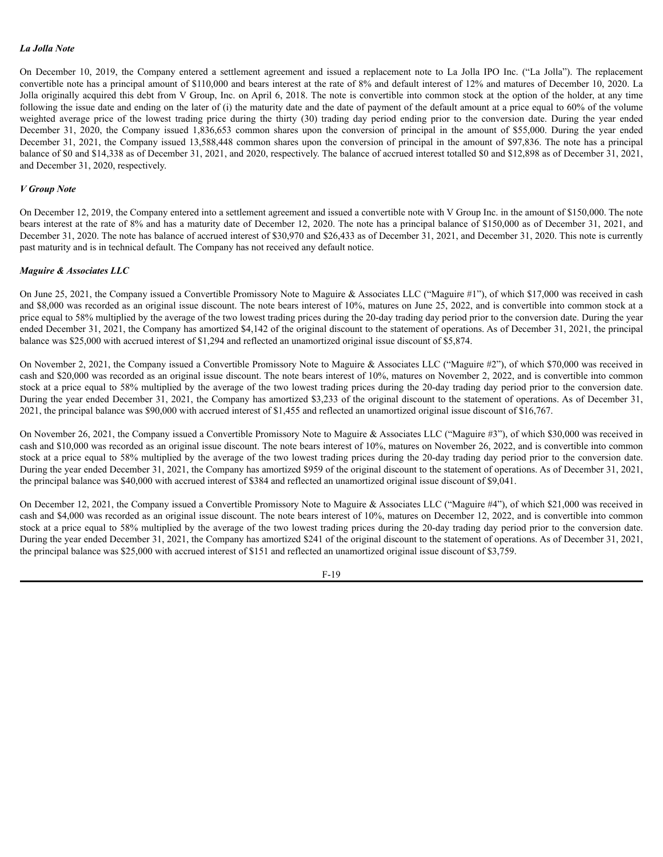#### *La Jolla Note*

On December 10, 2019, the Company entered a settlement agreement and issued a replacement note to La Jolla IPO Inc. ("La Jolla"). The replacement convertible note has a principal amount of \$110,000 and bears interest at the rate of 8% and default interest of 12% and matures of December 10, 2020. La Jolla originally acquired this debt from V Group, Inc. on April 6, 2018. The note is convertible into common stock at the option of the holder, at any time following the issue date and ending on the later of (i) the maturity date and the date of payment of the default amount at a price equal to 60% of the volume weighted average price of the lowest trading price during the thirty (30) trading day period ending prior to the conversion date. During the year ended December 31, 2020, the Company issued 1,836,653 common shares upon the conversion of principal in the amount of \$55,000. During the year ended December 31, 2021, the Company issued 13,588,448 common shares upon the conversion of principal in the amount of \$97,836. The note has a principal balance of \$0 and \$14,338 as of December 31, 2021, and 2020, respectively. The balance of accrued interest totalled \$0 and \$12,898 as of December 31, 2021, and December 31, 2020, respectively.

#### *V Group Note*

On December 12, 2019, the Company entered into a settlement agreement and issued a convertible note with V Group Inc. in the amount of \$150,000. The note bears interest at the rate of 8% and has a maturity date of December 12, 2020. The note has a principal balance of \$150,000 as of December 31, 2021, and December 31, 2020. The note has balance of accrued interest of \$30,970 and \$26,433 as of December 31, 2021, and December 31, 2020. This note is currently past maturity and is in technical default. The Company has not received any default notice.

#### *Maguire & Associates LLC*

On June 25, 2021, the Company issued a Convertible Promissory Note to Maguire & Associates LLC ("Maguire #1"), of which \$17,000 was received in cash and \$8,000 was recorded as an original issue discount. The note bears interest of 10%, matures on June 25, 2022, and is convertible into common stock at a price equal to 58% multiplied by the average of the two lowest trading prices during the 20-day trading day period prior to the conversion date. During the year ended December 31, 2021, the Company has amortized \$4,142 of the original discount to the statement of operations. As of December 31, 2021, the principal balance was \$25,000 with accrued interest of \$1,294 and reflected an unamortized original issue discount of \$5,874.

On November 2, 2021, the Company issued a Convertible Promissory Note to Maguire & Associates LLC ("Maguire #2"), of which \$70,000 was received in cash and \$20,000 was recorded as an original issue discount. The note bears interest of 10%, matures on November 2, 2022, and is convertible into common stock at a price equal to 58% multiplied by the average of the two lowest trading prices during the 20-day trading day period prior to the conversion date. During the year ended December 31, 2021, the Company has amortized \$3,233 of the original discount to the statement of operations. As of December 31, 2021, the principal balance was \$90,000 with accrued interest of \$1,455 and reflected an unamortized original issue discount of \$16,767.

On November 26, 2021, the Company issued a Convertible Promissory Note to Maguire & Associates LLC ("Maguire #3"), of which \$30,000 was received in cash and \$10,000 was recorded as an original issue discount. The note bears interest of 10%, matures on November 26, 2022, and is convertible into common stock at a price equal to 58% multiplied by the average of the two lowest trading prices during the 20-day trading day period prior to the conversion date. During the year ended December 31, 2021, the Company has amortized \$959 of the original discount to the statement of operations. As of December 31, 2021, the principal balance was \$40,000 with accrued interest of \$384 and reflected an unamortized original issue discount of \$9,041.

On December 12, 2021, the Company issued a Convertible Promissory Note to Maguire & Associates LLC ("Maguire #4"), of which \$21,000 was received in cash and \$4,000 was recorded as an original issue discount. The note bears interest of 10%, matures on December 12, 2022, and is convertible into common stock at a price equal to 58% multiplied by the average of the two lowest trading prices during the 20-day trading day period prior to the conversion date. During the year ended December 31, 2021, the Company has amortized \$241 of the original discount to the statement of operations. As of December 31, 2021, the principal balance was \$25,000 with accrued interest of \$151 and reflected an unamortized original issue discount of \$3,759.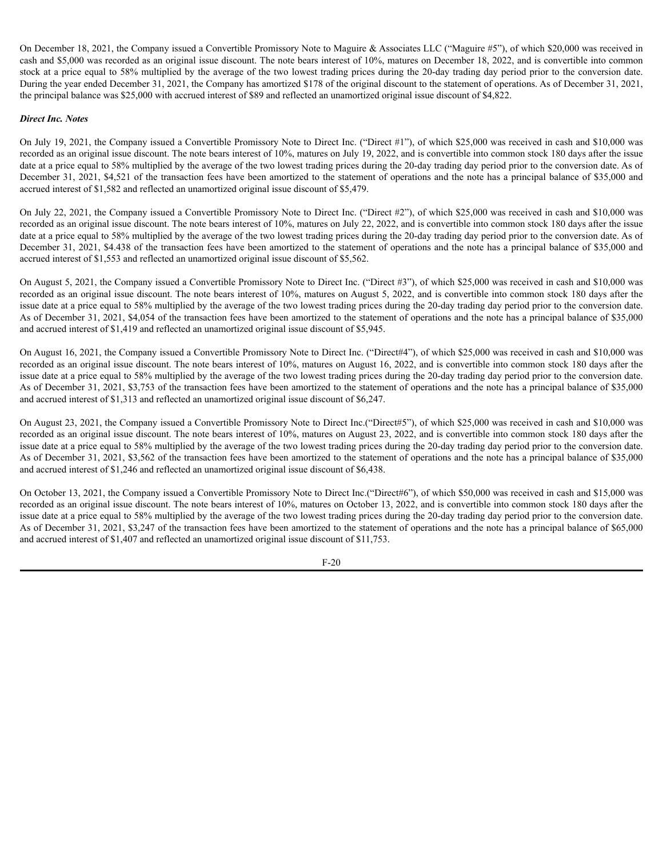On December 18, 2021, the Company issued a Convertible Promissory Note to Maguire & Associates LLC ("Maguire #5"), of which \$20,000 was received in cash and \$5,000 was recorded as an original issue discount. The note bears interest of 10%, matures on December 18, 2022, and is convertible into common stock at a price equal to 58% multiplied by the average of the two lowest trading prices during the 20-day trading day period prior to the conversion date. During the year ended December 31, 2021, the Company has amortized \$178 of the original discount to the statement of operations. As of December 31, 2021, the principal balance was \$25,000 with accrued interest of \$89 and reflected an unamortized original issue discount of \$4,822.

#### *Direct Inc. Notes*

On July 19, 2021, the Company issued a Convertible Promissory Note to Direct Inc. ("Direct #1"), of which \$25,000 was received in cash and \$10,000 was recorded as an original issue discount. The note bears interest of 10%, matures on July 19, 2022, and is convertible into common stock 180 days after the issue date at a price equal to 58% multiplied by the average of the two lowest trading prices during the 20-day trading day period prior to the conversion date. As of December 31, 2021, \$4,521 of the transaction fees have been amortized to the statement of operations and the note has a principal balance of \$35,000 and accrued interest of \$1,582 and reflected an unamortized original issue discount of \$5,479.

On July 22, 2021, the Company issued a Convertible Promissory Note to Direct Inc. ("Direct #2"), of which \$25,000 was received in cash and \$10,000 was recorded as an original issue discount. The note bears interest of 10%, matures on July 22, 2022, and is convertible into common stock 180 days after the issue date at a price equal to 58% multiplied by the average of the two lowest trading prices during the 20-day trading day period prior to the conversion date. As of December 31, 2021, \$4.438 of the transaction fees have been amortized to the statement of operations and the note has a principal balance of \$35,000 and accrued interest of \$1,553 and reflected an unamortized original issue discount of \$5,562.

On August 5, 2021, the Company issued a Convertible Promissory Note to Direct Inc. ("Direct #3"), of which \$25,000 was received in cash and \$10,000 was recorded as an original issue discount. The note bears interest of 10%, matures on August 5, 2022, and is convertible into common stock 180 days after the issue date at a price equal to 58% multiplied by the average of the two lowest trading prices during the 20-day trading day period prior to the conversion date. As of December 31, 2021, \$4,054 of the transaction fees have been amortized to the statement of operations and the note has a principal balance of \$35,000 and accrued interest of \$1,419 and reflected an unamortized original issue discount of \$5,945.

On August 16, 2021, the Company issued a Convertible Promissory Note to Direct Inc. ("Direct#4"), of which \$25,000 was received in cash and \$10,000 was recorded as an original issue discount. The note bears interest of 10%, matures on August 16, 2022, and is convertible into common stock 180 days after the issue date at a price equal to 58% multiplied by the average of the two lowest trading prices during the 20-day trading day period prior to the conversion date. As of December 31, 2021, \$3,753 of the transaction fees have been amortized to the statement of operations and the note has a principal balance of \$35,000 and accrued interest of \$1,313 and reflected an unamortized original issue discount of \$6,247.

On August 23, 2021, the Company issued a Convertible Promissory Note to Direct Inc.("Direct#5"), of which \$25,000 was received in cash and \$10,000 was recorded as an original issue discount. The note bears interest of 10%, matures on August 23, 2022, and is convertible into common stock 180 days after the issue date at a price equal to 58% multiplied by the average of the two lowest trading prices during the 20-day trading day period prior to the conversion date. As of December 31, 2021, \$3,562 of the transaction fees have been amortized to the statement of operations and the note has a principal balance of \$35,000 and accrued interest of \$1,246 and reflected an unamortized original issue discount of \$6,438.

On October 13, 2021, the Company issued a Convertible Promissory Note to Direct Inc.("Direct#6"), of which \$50,000 was received in cash and \$15,000 was recorded as an original issue discount. The note bears interest of 10%, matures on October 13, 2022, and is convertible into common stock 180 days after the issue date at a price equal to 58% multiplied by the average of the two lowest trading prices during the 20-day trading day period prior to the conversion date. As of December 31, 2021, \$3,247 of the transaction fees have been amortized to the statement of operations and the note has a principal balance of \$65,000 and accrued interest of \$1,407 and reflected an unamortized original issue discount of \$11,753.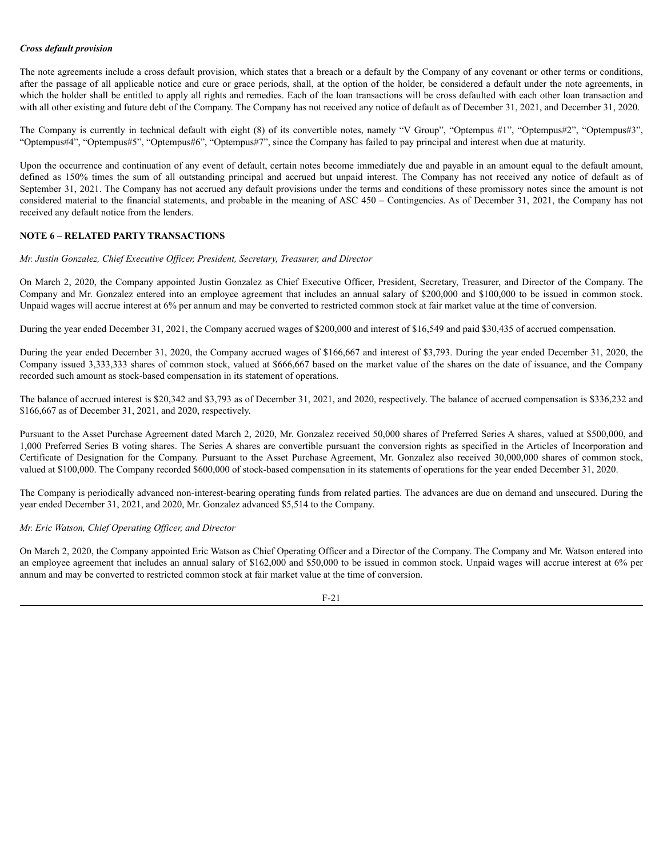#### *Cross default provision*

The note agreements include a cross default provision, which states that a breach or a default by the Company of any covenant or other terms or conditions, after the passage of all applicable notice and cure or grace periods, shall, at the option of the holder, be considered a default under the note agreements, in which the holder shall be entitled to apply all rights and remedies. Each of the loan transactions will be cross defaulted with each other loan transaction and with all other existing and future debt of the Company. The Company has not received any notice of default as of December 31, 2021, and December 31, 2020.

The Company is currently in technical default with eight (8) of its convertible notes, namely "V Group", "Optempus #1", "Optempus#2", "Optempus#3", "Optempus#4", "Optempus#5", "Optempus#6", "Optempus#7", since the Company has failed to pay principal and interest when due at maturity.

Upon the occurrence and continuation of any event of default, certain notes become immediately due and payable in an amount equal to the default amount, defined as 150% times the sum of all outstanding principal and accrued but unpaid interest. The Company has not received any notice of default as of September 31, 2021. The Company has not accrued any default provisions under the terms and conditions of these promissory notes since the amount is not considered material to the financial statements, and probable in the meaning of ASC 450 – Contingencies. As of December 31, 2021, the Company has not received any default notice from the lenders.

#### **NOTE 6 – RELATED PARTY TRANSACTIONS**

*Mr. Justin Gonzalez, Chief Executive Of icer, President, Secretary, Treasurer, and Director*

On March 2, 2020, the Company appointed Justin Gonzalez as Chief Executive Officer, President, Secretary, Treasurer, and Director of the Company. The Company and Mr. Gonzalez entered into an employee agreement that includes an annual salary of \$200,000 and \$100,000 to be issued in common stock. Unpaid wages will accrue interest at 6% per annum and may be converted to restricted common stock at fair market value at the time of conversion.

During the year ended December 31, 2021, the Company accrued wages of \$200,000 and interest of \$16,549 and paid \$30,435 of accrued compensation.

During the year ended December 31, 2020, the Company accrued wages of \$166,667 and interest of \$3,793. During the year ended December 31, 2020, the Company issued 3,333,333 shares of common stock, valued at \$666,667 based on the market value of the shares on the date of issuance, and the Company recorded such amount as stock-based compensation in its statement of operations.

The balance of accrued interest is \$20,342 and \$3,793 as of December 31, 2021, and 2020, respectively. The balance of accrued compensation is \$336,232 and \$166,667 as of December 31, 2021, and 2020, respectively.

Pursuant to the Asset Purchase Agreement dated March 2, 2020, Mr. Gonzalez received 50,000 shares of Preferred Series A shares, valued at \$500,000, and 1,000 Preferred Series B voting shares. The Series A shares are convertible pursuant the conversion rights as specified in the Articles of Incorporation and Certificate of Designation for the Company. Pursuant to the Asset Purchase Agreement, Mr. Gonzalez also received 30,000,000 shares of common stock, valued at \$100,000. The Company recorded \$600,000 of stock-based compensation in its statements of operations for the year ended December 31, 2020.

The Company is periodically advanced non-interest-bearing operating funds from related parties. The advances are due on demand and unsecured. During the year ended December 31, 2021, and 2020, Mr. Gonzalez advanced \$5,514 to the Company.

#### *Mr. Eric Watson, Chief Operating Of icer, and Director*

On March 2, 2020, the Company appointed Eric Watson as Chief Operating Officer and a Director of the Company. The Company and Mr. Watson entered into an employee agreement that includes an annual salary of \$162,000 and \$50,000 to be issued in common stock. Unpaid wages will accrue interest at 6% per annum and may be converted to restricted common stock at fair market value at the time of conversion.

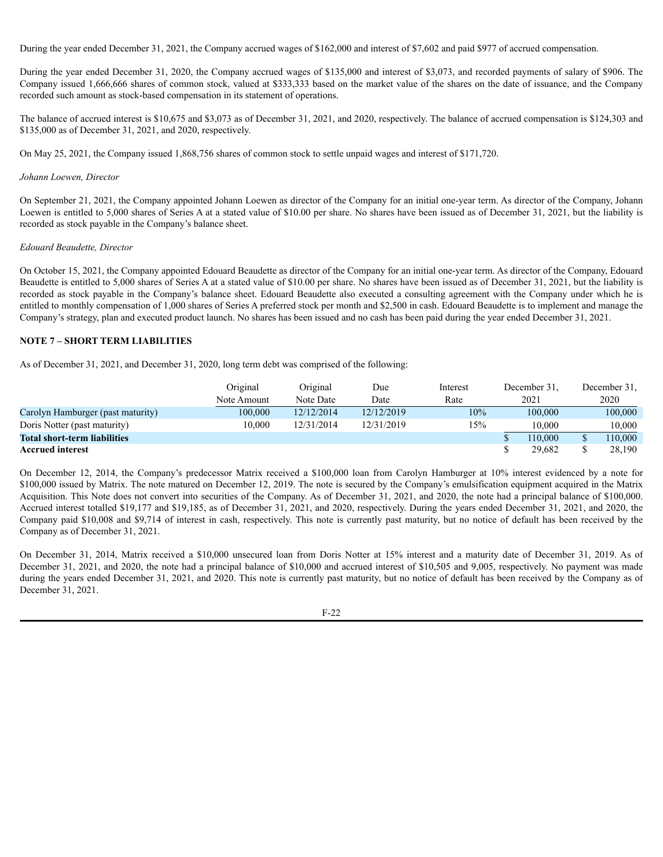During the year ended December 31, 2021, the Company accrued wages of \$162,000 and interest of \$7,602 and paid \$977 of accrued compensation.

During the year ended December 31, 2020, the Company accrued wages of \$135,000 and interest of \$3,073, and recorded payments of salary of \$906. The Company issued 1,666,666 shares of common stock, valued at \$333,333 based on the market value of the shares on the date of issuance, and the Company recorded such amount as stock-based compensation in its statement of operations.

The balance of accrued interest is \$10,675 and \$3,073 as of December 31, 2021, and 2020, respectively. The balance of accrued compensation is \$124,303 and \$135,000 as of December 31, 2021, and 2020, respectively.

On May 25, 2021, the Company issued 1,868,756 shares of common stock to settle unpaid wages and interest of \$171,720.

#### *Johann Loewen, Director*

On September 21, 2021, the Company appointed Johann Loewen as director of the Company for an initial one-year term. As director of the Company, Johann Loewen is entitled to 5,000 shares of Series A at a stated value of \$10.00 per share. No shares have been issued as of December 31, 2021, but the liability is recorded as stock payable in the Company's balance sheet.

#### *Edouard Beaudette, Director*

On October 15, 2021, the Company appointed Edouard Beaudette as director of the Company for an initial one-year term. As director of the Company, Edouard Beaudette is entitled to 5,000 shares of Series A at a stated value of \$10.00 per share. No shares have been issued as of December 31, 2021, but the liability is recorded as stock payable in the Company's balance sheet. Edouard Beaudette also executed a consulting agreement with the Company under which he is entitled to monthly compensation of 1,000 shares of Series A preferred stock per month and \$2,500 in cash. Edouard Beaudette is to implement and manage the Company's strategy, plan and executed product launch. No shares has been issued and no cash has been paid during the year ended December 31, 2021.

#### **NOTE 7 – SHORT TERM LIABILITIES**

As of December 31, 2021, and December 31, 2020, long term debt was comprised of the following:

|                                     | Original    | Original   | Due        | Interest | December 31. | December 31. |
|-------------------------------------|-------------|------------|------------|----------|--------------|--------------|
|                                     | Note Amount | Note Date  | Date       | Rate     | 2021         | 2020         |
| Carolyn Hamburger (past maturity)   | 100.000     | 12/12/2014 | 12/12/2019 | 10%      | 100,000      | 100,000      |
| Doris Notter (past maturity)        | 10.000      | 12/31/2014 | 12/31/2019 | 15%      | 10.000       | 10.000       |
| <b>Total short-term liabilities</b> |             |            |            |          | 110,000      | 110,000      |
| <b>Accrued interest</b>             |             |            |            |          | 29.682       | 28,190       |

On December 12, 2014, the Company's predecessor Matrix received a \$100,000 loan from Carolyn Hamburger at 10% interest evidenced by a note for \$100,000 issued by Matrix. The note matured on December 12, 2019. The note is secured by the Company's emulsification equipment acquired in the Matrix Acquisition. This Note does not convert into securities of the Company. As of December 31, 2021, and 2020, the note had a principal balance of \$100,000. Accrued interest totalled \$19,177 and \$19,185, as of December 31, 2021, and 2020, respectively. During the years ended December 31, 2021, and 2020, the Company paid \$10,008 and \$9,714 of interest in cash, respectively. This note is currently past maturity, but no notice of default has been received by the Company as of December 31, 2021.

On December 31, 2014, Matrix received a \$10,000 unsecured loan from Doris Notter at 15% interest and a maturity date of December 31, 2019. As of December 31, 2021, and 2020, the note had a principal balance of \$10,000 and accrued interest of \$10,505 and 9,005, respectively. No payment was made during the years ended December 31, 2021, and 2020. This note is currently past maturity, but no notice of default has been received by the Company as of December 31, 2021.

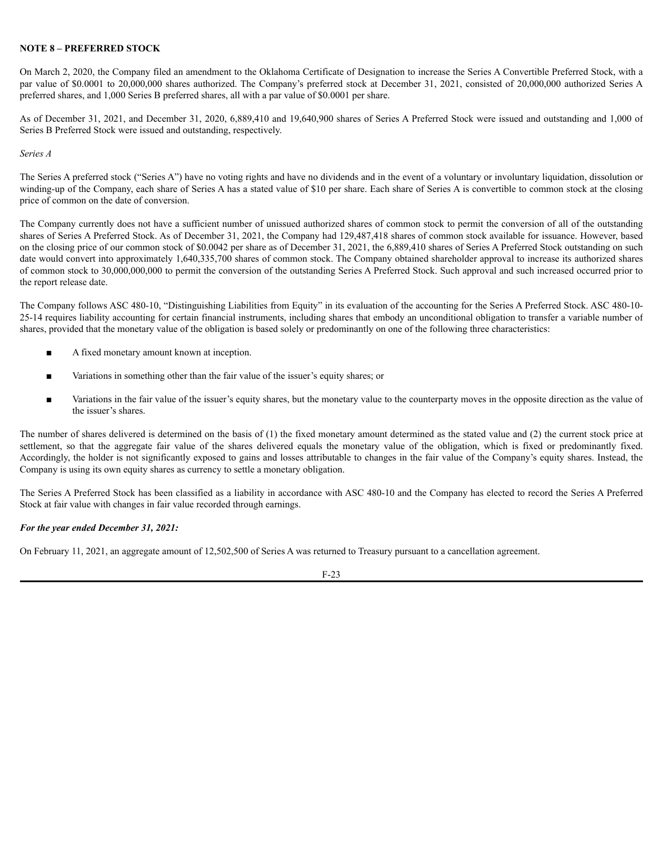#### **NOTE 8 – PREFERRED STOCK**

On March 2, 2020, the Company filed an amendment to the Oklahoma Certificate of Designation to increase the Series A Convertible Preferred Stock, with a par value of \$0.0001 to 20,000,000 shares authorized. The Company's preferred stock at December 31, 2021, consisted of 20,000,000 authorized Series A preferred shares, and 1,000 Series B preferred shares, all with a par value of \$0.0001 per share.

As of December 31, 2021, and December 31, 2020, 6,889,410 and 19,640,900 shares of Series A Preferred Stock were issued and outstanding and 1,000 of Series B Preferred Stock were issued and outstanding, respectively.

*Series A*

The Series A preferred stock ("Series A") have no voting rights and have no dividends and in the event of a voluntary or involuntary liquidation, dissolution or winding-up of the Company, each share of Series A has a stated value of \$10 per share. Each share of Series A is convertible to common stock at the closing price of common on the date of conversion.

The Company currently does not have a sufficient number of unissued authorized shares of common stock to permit the conversion of all of the outstanding shares of Series A Preferred Stock. As of December 31, 2021, the Company had 129,487,418 shares of common stock available for issuance. However, based on the closing price of our common stock of \$0.0042 per share as of December 31, 2021, the 6,889,410 shares of Series A Preferred Stock outstanding on such date would convert into approximately 1,640,335,700 shares of common stock. The Company obtained shareholder approval to increase its authorized shares of common stock to 30,000,000,000 to permit the conversion of the outstanding Series A Preferred Stock. Such approval and such increased occurred prior to the report release date.

The Company follows ASC 480-10, "Distinguishing Liabilities from Equity" in its evaluation of the accounting for the Series A Preferred Stock. ASC 480-10- 25-14 requires liability accounting for certain financial instruments, including shares that embody an unconditional obligation to transfer a variable number of shares, provided that the monetary value of the obligation is based solely or predominantly on one of the following three characteristics:

- A fixed monetary amount known at inception.
- Variations in something other than the fair value of the issuer's equity shares; or
- Variations in the fair value of the issuer's equity shares, but the monetary value to the counterparty moves in the opposite direction as the value of the issuer's shares.

The number of shares delivered is determined on the basis of (1) the fixed monetary amount determined as the stated value and (2) the current stock price at settlement, so that the aggregate fair value of the shares delivered equals the monetary value of the obligation, which is fixed or predominantly fixed. Accordingly, the holder is not significantly exposed to gains and losses attributable to changes in the fair value of the Company's equity shares. Instead, the Company is using its own equity shares as currency to settle a monetary obligation.

The Series A Preferred Stock has been classified as a liability in accordance with ASC 480-10 and the Company has elected to record the Series A Preferred Stock at fair value with changes in fair value recorded through earnings.

#### *For the year ended December 31, 2021:*

On February 11, 2021, an aggregate amount of 12,502,500 of Series A was returned to Treasury pursuant to a cancellation agreement.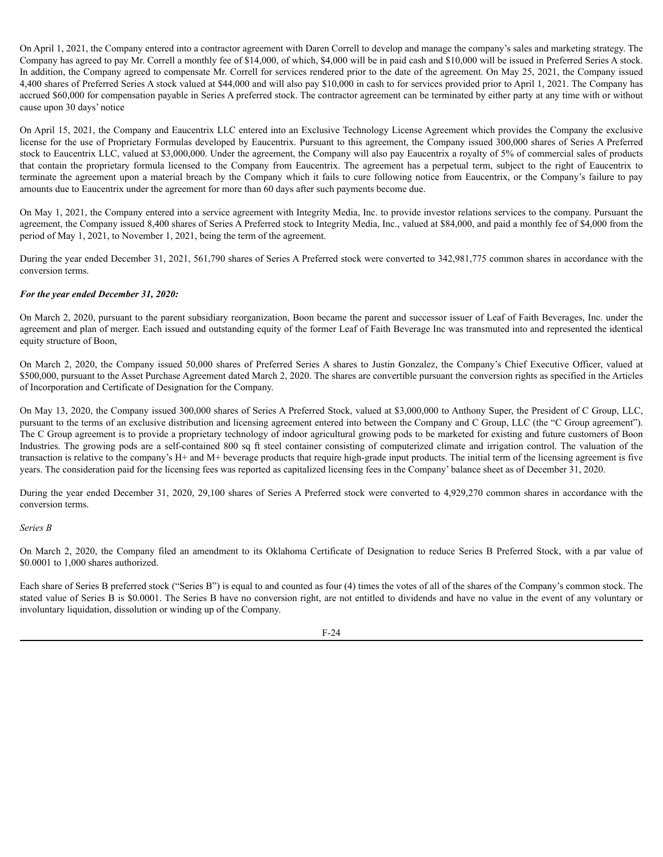On April 1, 2021, the Company entered into a contractor agreement with Daren Correll to develop and manage the company's sales and marketing strategy. The Company has agreed to pay Mr. Correll a monthly fee of \$14,000, of which, \$4,000 will be in paid cash and \$10,000 will be issued in Preferred Series A stock. In addition, the Company agreed to compensate Mr. Correll for services rendered prior to the date of the agreement. On May 25, 2021, the Company issued 4,400 shares of Preferred Series A stock valued at \$44,000 and will also pay \$10,000 in cash to for services provided prior to April 1, 2021. The Company has accrued \$60,000 for compensation payable in Series A preferred stock. The contractor agreement can be terminated by either party at any time with or without cause upon 30 days' notice

On April 15, 2021, the Company and Eaucentrix LLC entered into an Exclusive Technology License Agreement which provides the Company the exclusive license for the use of Proprietary Formulas developed by Eaucentrix. Pursuant to this agreement, the Company issued 300,000 shares of Series A Preferred stock to Eaucentrix LLC, valued at \$3,000,000. Under the agreement, the Company will also pay Eaucentrix a royalty of 5% of commercial sales of products that contain the proprietary formula licensed to the Company from Eaucentrix. The agreement has a perpetual term, subject to the right of Eaucentrix to terminate the agreement upon a material breach by the Company which it fails to cure following notice from Eaucentrix, or the Company's failure to pay amounts due to Eaucentrix under the agreement for more than 60 days after such payments become due.

On May 1, 2021, the Company entered into a service agreement with Integrity Media, Inc. to provide investor relations services to the company. Pursuant the agreement, the Company issued 8,400 shares of Series A Preferred stock to Integrity Media, Inc., valued at \$84,000, and paid a monthly fee of \$4,000 from the period of May 1, 2021, to November 1, 2021, being the term of the agreement.

During the year ended December 31, 2021, 561,790 shares of Series A Preferred stock were converted to 342,981,775 common shares in accordance with the conversion terms.

#### *For the year ended December 31, 2020:*

On March 2, 2020, pursuant to the parent subsidiary reorganization, Boon became the parent and successor issuer of Leaf of Faith Beverages, Inc. under the agreement and plan of merger. Each issued and outstanding equity of the former Leaf of Faith Beverage Inc was transmuted into and represented the identical equity structure of Boon,

On March 2, 2020, the Company issued 50,000 shares of Preferred Series A shares to Justin Gonzalez, the Company's Chief Executive Officer, valued at \$500,000, pursuant to the Asset Purchase Agreement dated March 2, 2020. The shares are convertible pursuant the conversion rights as specified in the Articles of Incorporation and Certificate of Designation for the Company.

On May 13, 2020, the Company issued 300,000 shares of Series A Preferred Stock, valued at \$3,000,000 to Anthony Super, the President of C Group, LLC, pursuant to the terms of an exclusive distribution and licensing agreement entered into between the Company and C Group, LLC (the "C Group agreement"). The C Group agreement is to provide a proprietary technology of indoor agricultural growing pods to be marketed for existing and future customers of Boon Industries. The growing pods are a self-contained 800 sq ft steel container consisting of computerized climate and irrigation control. The valuation of the transaction is relative to the company's H+ and M+ beverage products that require high-grade input products. The initial term of the licensing agreement is five years. The consideration paid for the licensing fees was reported as capitalized licensing fees in the Company' balance sheet as of December 31, 2020.

During the year ended December 31, 2020, 29,100 shares of Series A Preferred stock were converted to 4,929,270 common shares in accordance with the conversion terms.

#### *Series B*

On March 2, 2020, the Company filed an amendment to its Oklahoma Certificate of Designation to reduce Series B Preferred Stock, with a par value of \$0.0001 to 1,000 shares authorized.

Each share of Series B preferred stock ("Series B") is equal to and counted as four (4) times the votes of all of the shares of the Company's common stock. The stated value of Series B is \$0.0001. The Series B have no conversion right, are not entitled to dividends and have no value in the event of any voluntary or involuntary liquidation, dissolution or winding up of the Company.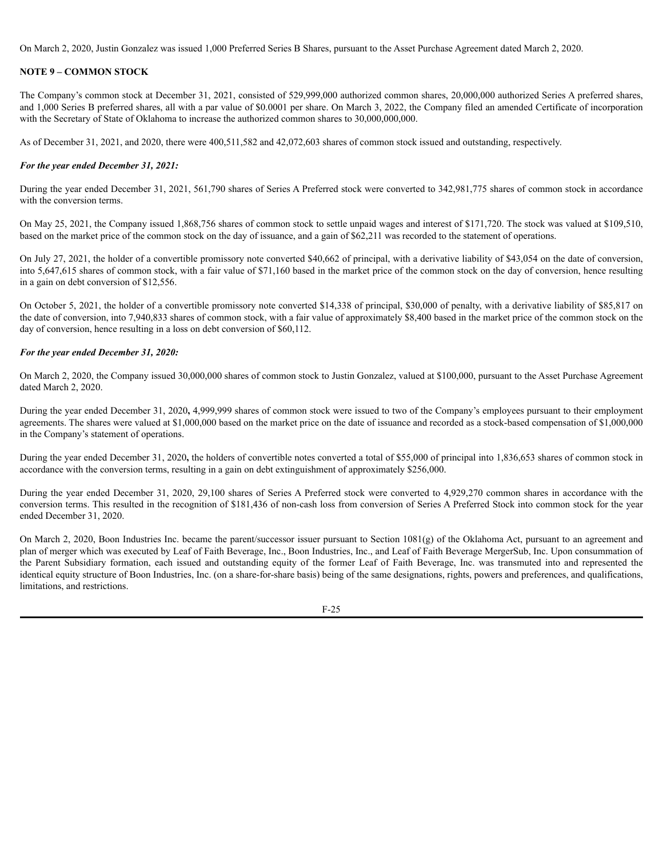On March 2, 2020, Justin Gonzalez was issued 1,000 Preferred Series B Shares, pursuant to the Asset Purchase Agreement dated March 2, 2020.

#### **NOTE 9 – COMMON STOCK**

The Company's common stock at December 31, 2021, consisted of 529,999,000 authorized common shares, 20,000,000 authorized Series A preferred shares, and 1,000 Series B preferred shares, all with a par value of \$0.0001 per share. On March 3, 2022, the Company filed an amended Certificate of incorporation with the Secretary of State of Oklahoma to increase the authorized common shares to 30,000,000,000.

As of December 31, 2021, and 2020, there were 400,511,582 and 42,072,603 shares of common stock issued and outstanding, respectively.

#### *For the year ended December 31, 2021:*

During the year ended December 31, 2021, 561,790 shares of Series A Preferred stock were converted to 342,981,775 shares of common stock in accordance with the conversion terms.

On May 25, 2021, the Company issued 1,868,756 shares of common stock to settle unpaid wages and interest of \$171,720. The stock was valued at \$109,510, based on the market price of the common stock on the day of issuance, and a gain of \$62,211 was recorded to the statement of operations.

On July 27, 2021, the holder of a convertible promissory note converted \$40,662 of principal, with a derivative liability of \$43,054 on the date of conversion, into 5,647,615 shares of common stock, with a fair value of \$71,160 based in the market price of the common stock on the day of conversion, hence resulting in a gain on debt conversion of \$12,556.

On October 5, 2021, the holder of a convertible promissory note converted \$14,338 of principal, \$30,000 of penalty, with a derivative liability of \$85,817 on the date of conversion, into 7,940,833 shares of common stock, with a fair value of approximately \$8,400 based in the market price of the common stock on the day of conversion, hence resulting in a loss on debt conversion of \$60,112.

#### *For the year ended December 31, 2020:*

On March 2, 2020, the Company issued 30,000,000 shares of common stock to Justin Gonzalez, valued at \$100,000, pursuant to the Asset Purchase Agreement dated March 2, 2020.

During the year ended December 31, 2020**,** 4,999,999 shares of common stock were issued to two of the Company's employees pursuant to their employment agreements. The shares were valued at \$1,000,000 based on the market price on the date of issuance and recorded as a stock-based compensation of \$1,000,000 in the Company's statement of operations.

During the year ended December 31, 2020**,** the holders of convertible notes converted a total of \$55,000 of principal into 1,836,653 shares of common stock in accordance with the conversion terms, resulting in a gain on debt extinguishment of approximately \$256,000.

During the year ended December 31, 2020, 29,100 shares of Series A Preferred stock were converted to 4,929,270 common shares in accordance with the conversion terms. This resulted in the recognition of \$181,436 of non-cash loss from conversion of Series A Preferred Stock into common stock for the year ended December 31, 2020.

On March 2, 2020, Boon Industries Inc. became the parent/successor issuer pursuant to Section 1081(g) of the Oklahoma Act, pursuant to an agreement and plan of merger which was executed by Leaf of Faith Beverage, Inc., Boon Industries, Inc., and Leaf of Faith Beverage MergerSub, Inc. Upon consummation of the Parent Subsidiary formation, each issued and outstanding equity of the former Leaf of Faith Beverage, Inc. was transmuted into and represented the identical equity structure of Boon Industries, Inc. (on a share-for-share basis) being of the same designations, rights, powers and preferences, and qualifications, limitations, and restrictions.

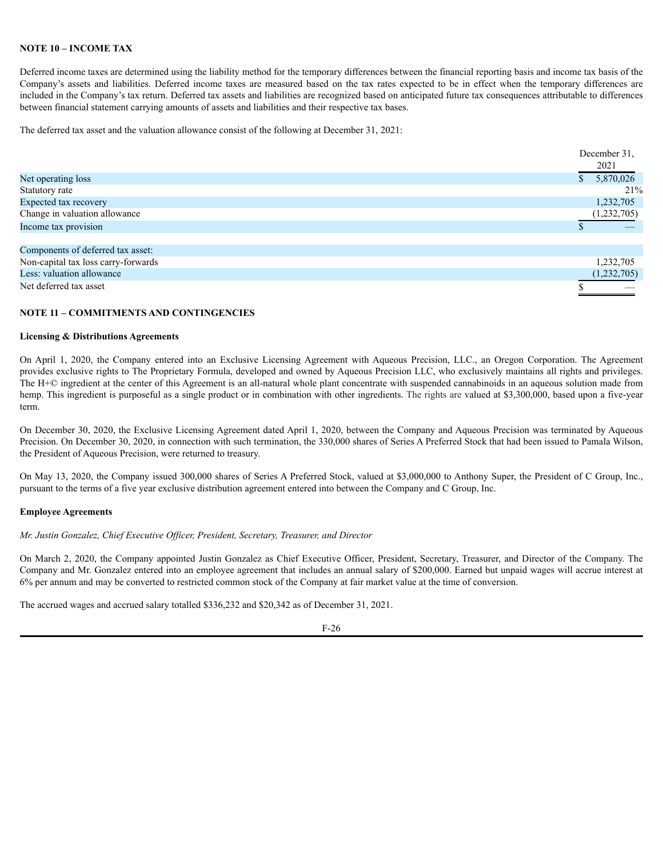#### **NOTE 10 – INCOME TAX**

Deferred income taxes are determined using the liability method for the temporary differences between the financial reporting basis and income tax basis of the Company's assets and liabilities. Deferred income taxes are measured based on the tax rates expected to be in effect when the temporary differences are included in the Company's tax return. Deferred tax assets and liabilities are recognized based on anticipated future tax consequences attributable to differences between financial statement carrying amounts of assets and liabilities and their respective tax bases.

The deferred tax asset and the valuation allowance consist of the following at December 31, 2021:

|                                     | December 31,  |
|-------------------------------------|---------------|
|                                     | 2021          |
| Net operating loss                  | 5,870,026     |
| Statutory rate                      | 21%           |
| Expected tax recovery               | 1,232,705     |
| Change in valuation allowance       | (1, 232, 705) |
| Income tax provision                |               |
|                                     |               |
| Components of deferred tax asset:   |               |
| Non-capital tax loss carry-forwards | 1,232,705     |
| Less: valuation allowance           | (1,232,705)   |
| Net deferred tax asset              |               |

#### **NOTE 11 – COMMITMENTS AND CONTINGENCIES**

#### **Licensing & Distributions Agreements**

On April 1, 2020, the Company entered into an Exclusive Licensing Agreement with Aqueous Precision, LLC., an Oregon Corporation. The Agreement provides exclusive rights to The Proprietary Formula, developed and owned by Aqueous Precision LLC, who exclusively maintains all rights and privileges. The H+© ingredient at the center of this Agreement is an all-natural whole plant concentrate with suspended cannabinoids in an aqueous solution made from hemp. This ingredient is purposeful as a single product or in combination with other ingredients. The rights are valued at \$3,300,000, based upon a five-year term.

On December 30, 2020, the Exclusive Licensing Agreement dated April 1, 2020, between the Company and Aqueous Precision was terminated by Aqueous Precision. On December 30, 2020, in connection with such termination, the 330,000 shares of Series A Preferred Stock that had been issued to Pamala Wilson, the President of Aqueous Precision, were returned to treasury.

On May 13, 2020, the Company issued 300,000 shares of Series A Preferred Stock, valued at \$3,000,000 to Anthony Super, the President of C Group, Inc., pursuant to the terms of a five year exclusive distribution agreement entered into between the Company and C Group, Inc.

#### **Employee Agreements**

*Mr. Justin Gonzalez, Chief Executive Of icer, President, Secretary, Treasurer, and Director*

On March 2, 2020, the Company appointed Justin Gonzalez as Chief Executive Officer, President, Secretary, Treasurer, and Director of the Company. The Company and Mr. Gonzalez entered into an employee agreement that includes an annual salary of \$200,000. Earned but unpaid wages will accrue interest at 6% per annum and may be converted to restricted common stock of the Company at fair market value at the time of conversion.

The accrued wages and accrued salary totalled \$336,232 and \$20,342 as of December 31, 2021.

F-26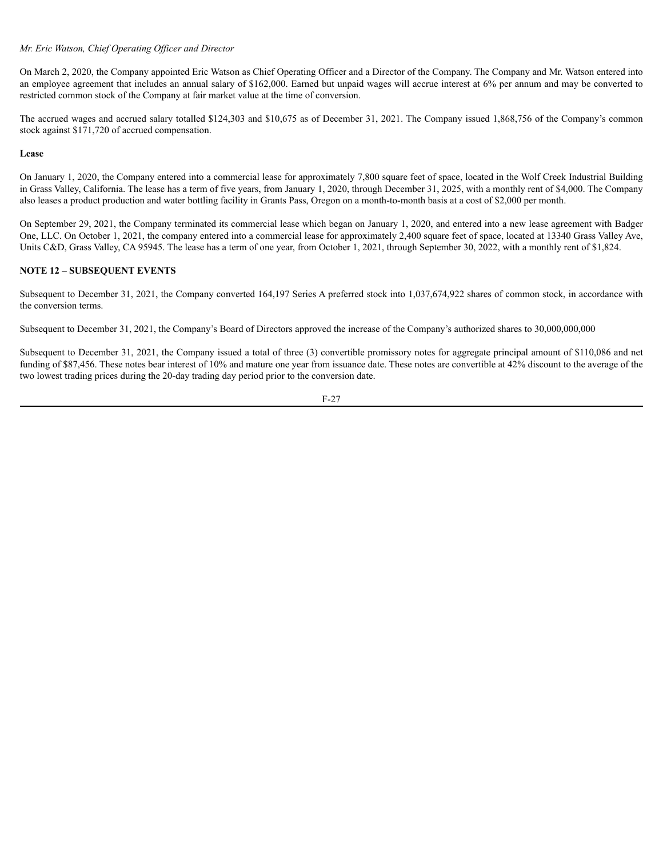#### *Mr. Eric Watson, Chief Operating Of icer and Director*

On March 2, 2020, the Company appointed Eric Watson as Chief Operating Officer and a Director of the Company. The Company and Mr. Watson entered into an employee agreement that includes an annual salary of \$162,000. Earned but unpaid wages will accrue interest at 6% per annum and may be converted to restricted common stock of the Company at fair market value at the time of conversion.

The accrued wages and accrued salary totalled \$124,303 and \$10,675 as of December 31, 2021. The Company issued 1,868,756 of the Company's common stock against \$171,720 of accrued compensation.

#### **Lease**

On January 1, 2020, the Company entered into a commercial lease for approximately 7,800 square feet of space, located in the Wolf Creek Industrial Building in Grass Valley, California. The lease has a term of five years, from January 1, 2020, through December 31, 2025, with a monthly rent of \$4,000. The Company also leases a product production and water bottling facility in Grants Pass, Oregon on a month-to-month basis at a cost of \$2,000 per month.

On September 29, 2021, the Company terminated its commercial lease which began on January 1, 2020, and entered into a new lease agreement with Badger One, LLC. On October 1, 2021, the company entered into a commercial lease for approximately 2,400 square feet of space, located at 13340 Grass Valley Ave, Units C&D, Grass Valley, CA 95945. The lease has a term of one year, from October 1, 2021, through September 30, 2022, with a monthly rent of \$1,824.

#### **NOTE 12 – SUBSEQUENT EVENTS**

Subsequent to December 31, 2021, the Company converted 164,197 Series A preferred stock into 1,037,674,922 shares of common stock, in accordance with the conversion terms.

Subsequent to December 31, 2021, the Company's Board of Directors approved the increase of the Company's authorized shares to 30,000,000,000

Subsequent to December 31, 2021, the Company issued a total of three (3) convertible promissory notes for aggregate principal amount of \$110,086 and net funding of \$87,456. These notes bear interest of 10% and mature one year from issuance date. These notes are convertible at 42% discount to the average of the two lowest trading prices during the 20-day trading day period prior to the conversion date.

$$
F-27
$$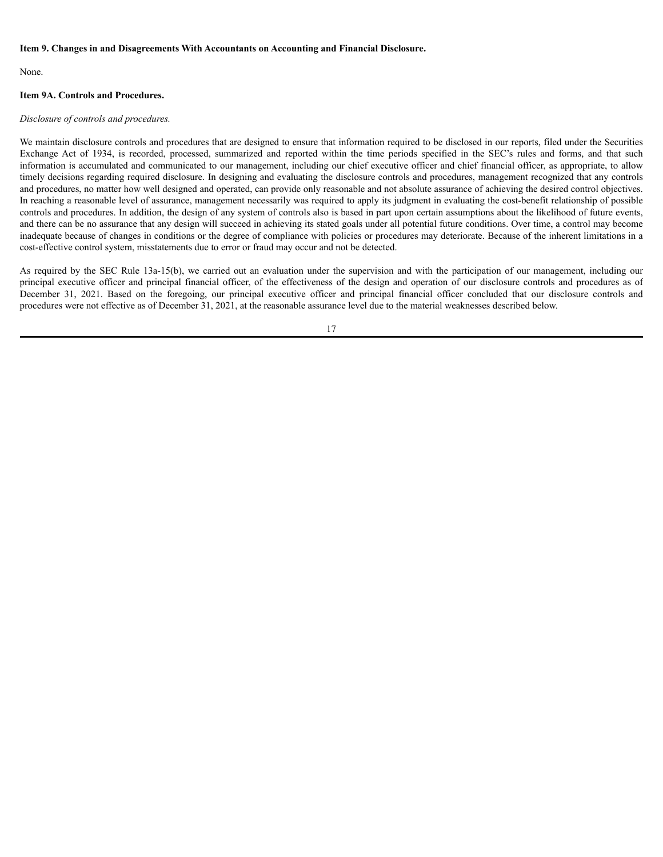#### <span id="page-46-0"></span>**Item 9. Changes in and Disagreements With Accountants on Accounting and Financial Disclosure.**

None.

#### **Item 9A. Controls and Procedures.**

#### *Disclosure of controls and procedures.*

We maintain disclosure controls and procedures that are designed to ensure that information required to be disclosed in our reports, filed under the Securities Exchange Act of 1934, is recorded, processed, summarized and reported within the time periods specified in the SEC's rules and forms, and that such information is accumulated and communicated to our management, including our chief executive officer and chief financial officer, as appropriate, to allow timely decisions regarding required disclosure. In designing and evaluating the disclosure controls and procedures, management recognized that any controls and procedures, no matter how well designed and operated, can provide only reasonable and not absolute assurance of achieving the desired control objectives. In reaching a reasonable level of assurance, management necessarily was required to apply its judgment in evaluating the cost-benefit relationship of possible controls and procedures. In addition, the design of any system of controls also is based in part upon certain assumptions about the likelihood of future events, and there can be no assurance that any design will succeed in achieving its stated goals under all potential future conditions. Over time, a control may become inadequate because of changes in conditions or the degree of compliance with policies or procedures may deteriorate. Because of the inherent limitations in a cost-effective control system, misstatements due to error or fraud may occur and not be detected.

As required by the SEC Rule 13a-15(b), we carried out an evaluation under the supervision and with the participation of our management, including our principal executive officer and principal financial officer, of the effectiveness of the design and operation of our disclosure controls and procedures as of December 31, 2021. Based on the foregoing, our principal executive officer and principal financial officer concluded that our disclosure controls and procedures were not effective as of December 31, 2021, at the reasonable assurance level due to the material weaknesses described below.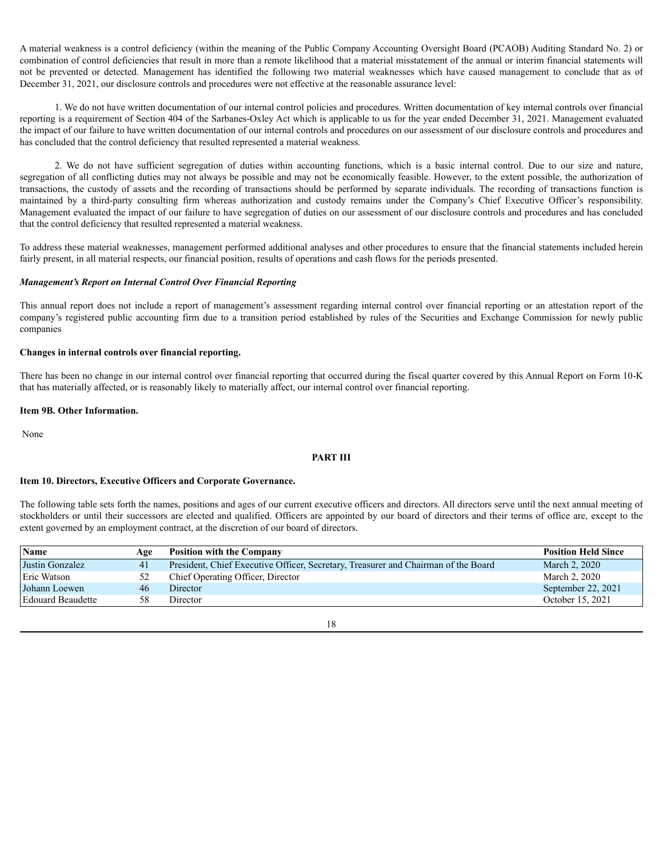A material weakness is a control deficiency (within the meaning of the Public Company Accounting Oversight Board (PCAOB) Auditing Standard No. 2) or combination of control deficiencies that result in more than a remote likelihood that a material misstatement of the annual or interim financial statements will not be prevented or detected. Management has identified the following two material weaknesses which have caused management to conclude that as of December 31, 2021, our disclosure controls and procedures were not effective at the reasonable assurance level:

1. We do not have written documentation of our internal control policies and procedures. Written documentation of key internal controls over financial reporting is a requirement of Section 404 of the Sarbanes-Oxley Act which is applicable to us for the year ended December 31, 2021. Management evaluated the impact of our failure to have written documentation of our internal controls and procedures on our assessment of our disclosure controls and procedures and has concluded that the control deficiency that resulted represented a material weakness.

2. We do not have sufficient segregation of duties within accounting functions, which is a basic internal control. Due to our size and nature, segregation of all conflicting duties may not always be possible and may not be economically feasible. However, to the extent possible, the authorization of transactions, the custody of assets and the recording of transactions should be performed by separate individuals. The recording of transactions function is maintained by a third-party consulting firm whereas authorization and custody remains under the Company's Chief Executive Officer's responsibility. Management evaluated the impact of our failure to have segregation of duties on our assessment of our disclosure controls and procedures and has concluded that the control deficiency that resulted represented a material weakness.

To address these material weaknesses, management performed additional analyses and other procedures to ensure that the financial statements included herein fairly present, in all material respects, our financial position, results of operations and cash flows for the periods presented.

#### *Management's Report on Internal Control Over Financial Reporting*

This annual report does not include a report of management's assessment regarding internal control over financial reporting or an attestation report of the company's registered public accounting firm due to a transition period established by rules of the Securities and Exchange Commission for newly public companies

#### **Changes in internal controls over financial reporting.**

There has been no change in our internal control over financial reporting that occurred during the fiscal quarter covered by this Annual Report on Form 10-K that has materially affected, or is reasonably likely to materially affect, our internal control over financial reporting.

#### <span id="page-47-0"></span>**Item 9B. Other Information.**

None

#### <span id="page-47-1"></span>**PART III**

#### **Item 10. Directors, Executive Officers and Corporate Governance.**

The following table sets forth the names, positions and ages of our current executive officers and directors. All directors serve until the next annual meeting of stockholders or until their successors are elected and qualified. Officers are appointed by our board of directors and their terms of office are, except to the extent governed by an employment contract, at the discretion of our board of directors.

| Name               | Age | <b>Position with the Company</b>                                                   | <b>Position Held Since</b> |
|--------------------|-----|------------------------------------------------------------------------------------|----------------------------|
| Justin Gonzalez    |     | President, Chief Executive Officer, Secretary, Treasurer and Chairman of the Board | March 2, 2020              |
| <b>Eric Watson</b> | 52  | Chief Operating Officer, Director                                                  | March 2, 2020              |
| Johann Loewen      | 46  | Director                                                                           | September 22, 2021         |
| Edouard Beaudette  |     | Director                                                                           | October 15, 2021           |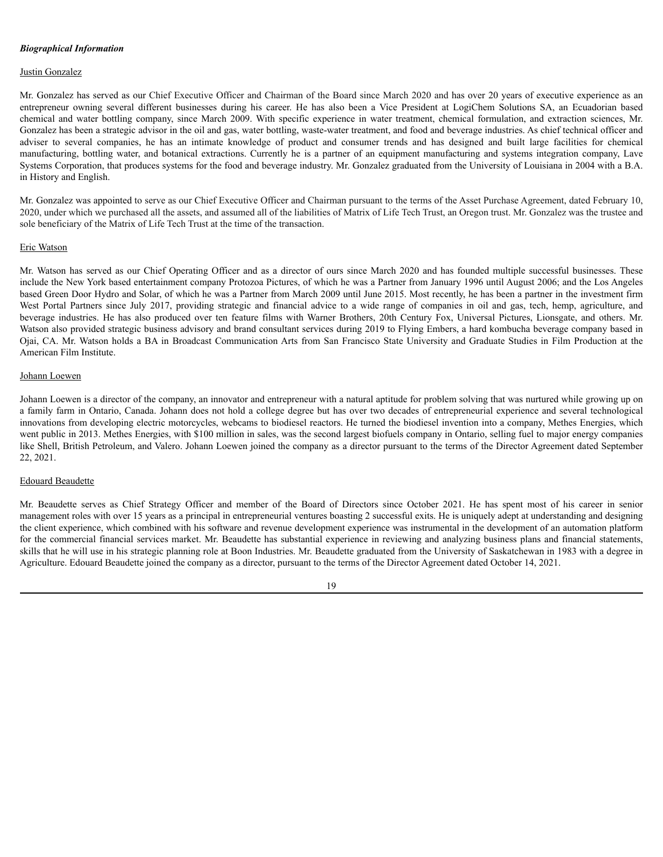#### *Biographical Information*

#### Justin Gonzalez

Mr. Gonzalez has served as our Chief Executive Officer and Chairman of the Board since March 2020 and has over 20 years of executive experience as an entrepreneur owning several different businesses during his career. He has also been a Vice President at LogiChem Solutions SA, an Ecuadorian based chemical and water bottling company, since March 2009. With specific experience in water treatment, chemical formulation, and extraction sciences, Mr. Gonzalez has been a strategic advisor in the oil and gas, water bottling, waste-water treatment, and food and beverage industries. As chief technical officer and adviser to several companies, he has an intimate knowledge of product and consumer trends and has designed and built large facilities for chemical manufacturing, bottling water, and botanical extractions. Currently he is a partner of an equipment manufacturing and systems integration company, Lave Systems Corporation, that produces systems for the food and beverage industry. Mr. Gonzalez graduated from the University of Louisiana in 2004 with a B.A. in History and English.

Mr. Gonzalez was appointed to serve as our Chief Executive Officer and Chairman pursuant to the terms of the Asset Purchase Agreement, dated February 10, 2020, under which we purchased all the assets, and assumed all of the liabilities of Matrix of Life Tech Trust, an Oregon trust. Mr. Gonzalez was the trustee and sole beneficiary of the Matrix of Life Tech Trust at the time of the transaction.

#### Eric Watson

Mr. Watson has served as our Chief Operating Officer and as a director of ours since March 2020 and has founded multiple successful businesses. These include the New York based entertainment company Protozoa Pictures, of which he was a Partner from January 1996 until August 2006; and the Los Angeles based Green Door Hydro and Solar, of which he was a Partner from March 2009 until June 2015. Most recently, he has been a partner in the investment firm West Portal Partners since July 2017, providing strategic and financial advice to a wide range of companies in oil and gas, tech, hemp, agriculture, and beverage industries. He has also produced over ten feature films with Warner Brothers, 20th Century Fox, Universal Pictures, Lionsgate, and others. Mr. Watson also provided strategic business advisory and brand consultant services during 2019 to Flying Embers, a hard kombucha beverage company based in Ojai, CA. Mr. Watson holds a BA in Broadcast Communication Arts from San Francisco State University and Graduate Studies in Film Production at the American Film Institute.

#### Johann Loewen

Johann Loewen is a director of the company, an innovator and entrepreneur with a natural aptitude for problem solving that was nurtured while growing up on a family farm in Ontario, Canada. Johann does not hold a college degree but has over two decades of entrepreneurial experience and several technological innovations from developing electric motorcycles, webcams to biodiesel reactors. He turned the biodiesel invention into a company, Methes Energies, which went public in 2013. Methes Energies, with \$100 million in sales, was the second largest biofuels company in Ontario, selling fuel to major energy companies like Shell, British Petroleum, and Valero. Johann Loewen joined the company as a director pursuant to the terms of the Director Agreement dated September 22, 2021.

#### Edouard Beaudette

Mr. Beaudette serves as Chief Strategy Officer and member of the Board of Directors since October 2021. He has spent most of his career in senior management roles with over 15 years as a principal in entrepreneurial ventures boasting 2 successful exits. He is uniquely adept at understanding and designing the client experience, which combined with his software and revenue development experience was instrumental in the development of an automation platform for the commercial financial services market. Mr. Beaudette has substantial experience in reviewing and analyzing business plans and financial statements, skills that he will use in his strategic planning role at Boon Industries. Mr. Beaudette graduated from the University of Saskatchewan in 1983 with a degree in Agriculture. Edouard Beaudette joined the company as a director, pursuant to the terms of the Director Agreement dated October 14, 2021.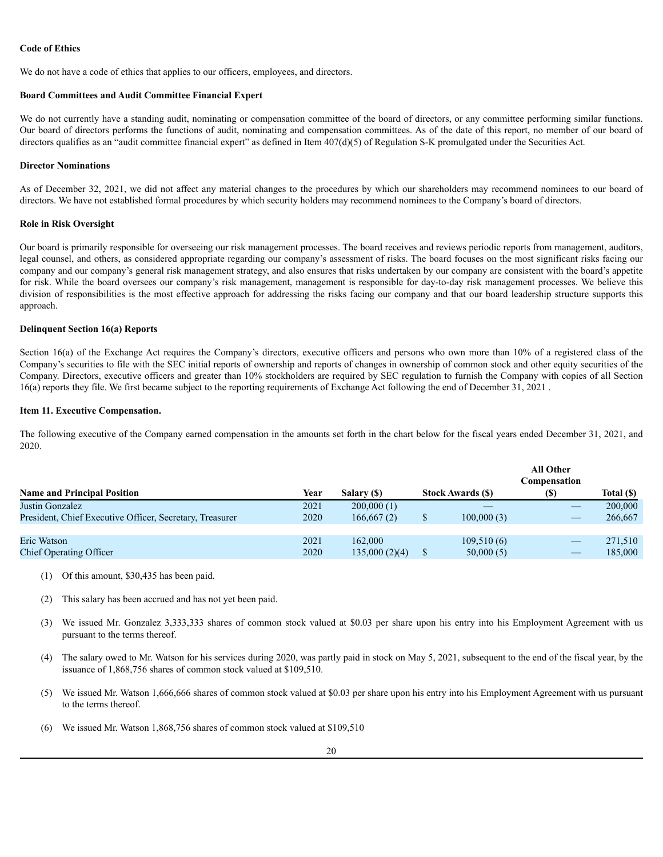#### **Code of Ethics**

We do not have a code of ethics that applies to our officers, employees, and directors.

#### **Board Committees and Audit Committee Financial Expert**

We do not currently have a standing audit, nominating or compensation committee of the board of directors, or any committee performing similar functions. Our board of directors performs the functions of audit, nominating and compensation committees. As of the date of this report, no member of our board of directors qualifies as an "audit committee financial expert" as defined in Item 407(d)(5) of Regulation S-K promulgated under the Securities Act.

#### **Director Nominations**

As of December 32, 2021, we did not affect any material changes to the procedures by which our shareholders may recommend nominees to our board of directors. We have not established formal procedures by which security holders may recommend nominees to the Company's board of directors.

#### **Role in Risk Oversight**

Our board is primarily responsible for overseeing our risk management processes. The board receives and reviews periodic reports from management, auditors, legal counsel, and others, as considered appropriate regarding our company's assessment of risks. The board focuses on the most significant risks facing our company and our company's general risk management strategy, and also ensures that risks undertaken by our company are consistent with the board's appetite for risk. While the board oversees our company's risk management, management is responsible for day-to-day risk management processes. We believe this division of responsibilities is the most effective approach for addressing the risks facing our company and that our board leadership structure supports this approach.

#### **Delinquent Section 16(a) Reports**

Section 16(a) of the Exchange Act requires the Company's directors, executive officers and persons who own more than 10% of a registered class of the Company's securities to file with the SEC initial reports of ownership and reports of changes in ownership of common stock and other equity securities of the Company. Directors, executive officers and greater than 10% stockholders are required by SEC regulation to furnish the Company with copies of all Section 16(a) reports they file. We first became subject to the reporting requirements of Exchange Act following the end of December 31, 2021 .

#### **Item 11. Executive Compensation.**

The following executive of the Company earned compensation in the amounts set forth in the chart below for the fiscal years ended December 31, 2021, and 2020.

|                                                          |      |               |                          | All Other<br>Compensation |            |
|----------------------------------------------------------|------|---------------|--------------------------|---------------------------|------------|
| <b>Name and Principal Position</b>                       | Year | Salary (\$)   | <b>Stock Awards (\$)</b> | (S)                       | Total (\$) |
| Justin Gonzalez                                          | 2021 | 200,000(1)    |                          |                           | 200,000    |
| President, Chief Executive Officer, Secretary, Treasurer | 2020 | 166,667(2)    | 100,000(3)               |                           | 266,667    |
|                                                          |      |               |                          |                           |            |
| Eric Watson                                              | 2021 | 162,000       | 109,510(6)               |                           | 271,510    |
| <b>Chief Operating Officer</b>                           | 2020 | 135,000(2)(4) | 50,000(5)                |                           | 185,000    |

- (1) Of this amount, \$30,435 has been paid.
- (2) This salary has been accrued and has not yet been paid.
- (3) We issued Mr. Gonzalez 3,333,333 shares of common stock valued at \$0.03 per share upon his entry into his Employment Agreement with us pursuant to the terms thereof.
- (4) The salary owed to Mr. Watson for his services during 2020, was partly paid in stock on May 5, 2021, subsequent to the end of the fiscal year, by the issuance of 1,868,756 shares of common stock valued at \$109,510.
- (5) We issued Mr. Watson 1,666,666 shares of common stock valued at \$0.03 per share upon his entry into his Employment Agreement with us pursuant to the terms thereof.
- We issued Mr. Watson 1,868,756 shares of common stock valued at \$109,510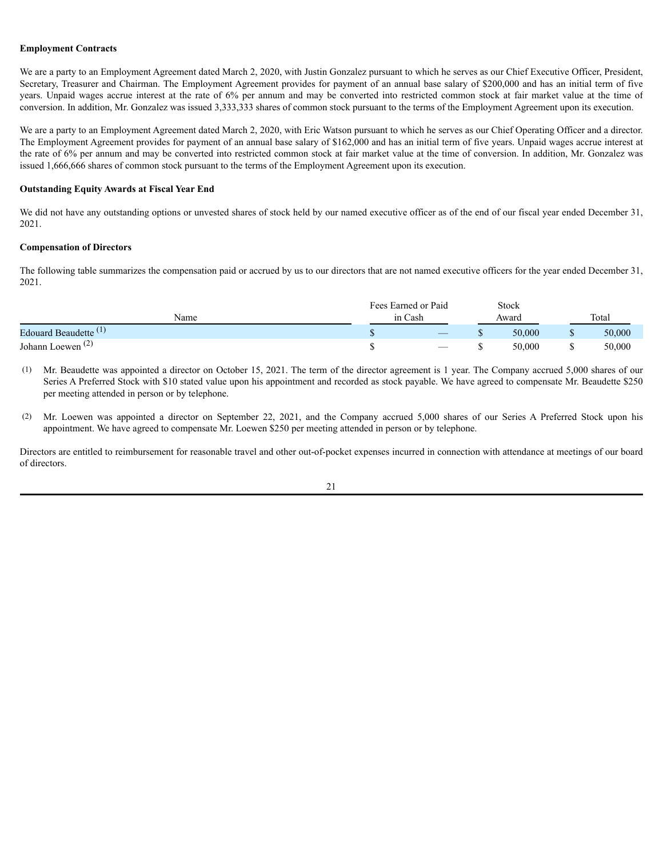#### **Employment Contracts**

We are a party to an Employment Agreement dated March 2, 2020, with Justin Gonzalez pursuant to which he serves as our Chief Executive Officer, President, Secretary, Treasurer and Chairman. The Employment Agreement provides for payment of an annual base salary of \$200,000 and has an initial term of five years. Unpaid wages accrue interest at the rate of 6% per annum and may be converted into restricted common stock at fair market value at the time of conversion. In addition, Mr. Gonzalez was issued 3,333,333 shares of common stock pursuant to the terms of the Employment Agreement upon its execution.

We are a party to an Employment Agreement dated March 2, 2020, with Eric Watson pursuant to which he serves as our Chief Operating Officer and a director. The Employment Agreement provides for payment of an annual base salary of \$162,000 and has an initial term of five years. Unpaid wages accrue interest at the rate of 6% per annum and may be converted into restricted common stock at fair market value at the time of conversion. In addition, Mr. Gonzalez was issued 1,666,666 shares of common stock pursuant to the terms of the Employment Agreement upon its execution.

#### **Outstanding Equity Awards at Fiscal Year End**

We did not have any outstanding options or unvested shares of stock held by our named executive officer as of the end of our fiscal year ended December 31, 2021.

#### **Compensation of Directors**

The following table summarizes the compensation paid or accrued by us to our directors that are not named executive officers for the year ended December 31, 2021.

|                                  |         | Fees Earned or Paid      |       | Stock  |       |        |
|----------------------------------|---------|--------------------------|-------|--------|-------|--------|
| Name                             | in Cash |                          | Award |        | Total |        |
| Edouard Beaudette <sup>(1)</sup> |         | $\overline{\phantom{a}}$ |       | 50,000 |       | 50,000 |
| Johann Loewen <sup>(2)</sup>     |         |                          |       | 50,000 |       | 50,000 |

(1) Mr. Beaudette was appointed a director on October 15, 2021. The term of the director agreement is 1 year. The Company accrued 5,000 shares of our Series A Preferred Stock with \$10 stated value upon his appointment and recorded as stock payable. We have agreed to compensate Mr. Beaudette \$250 per meeting attended in person or by telephone.

(2) Mr. Loewen was appointed a director on September 22, 2021, and the Company accrued 5,000 shares of our Series A Preferred Stock upon his appointment. We have agreed to compensate Mr. Loewen \$250 per meeting attended in person or by telephone.

Directors are entitled to reimbursement for reasonable travel and other out-of-pocket expenses incurred in connection with attendance at meetings of our board of directors.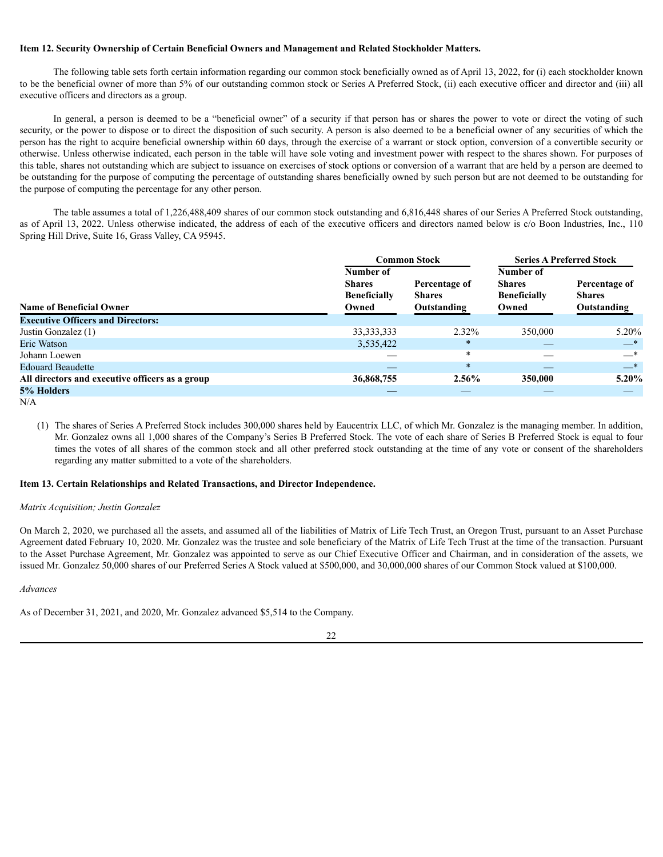#### **Item 12. Security Ownership of Certain Beneficial Owners and Management and Related Stockholder Matters.**

The following table sets forth certain information regarding our common stock beneficially owned as of April 13, 2022, for (i) each stockholder known to be the beneficial owner of more than 5% of our outstanding common stock or Series A Preferred Stock, (ii) each executive officer and director and (iii) all executive officers and directors as a group.

In general, a person is deemed to be a "beneficial owner" of a security if that person has or shares the power to vote or direct the voting of such security, or the power to dispose or to direct the disposition of such security. A person is also deemed to be a beneficial owner of any securities of which the person has the right to acquire beneficial ownership within 60 days, through the exercise of a warrant or stock option, conversion of a convertible security or otherwise. Unless otherwise indicated, each person in the table will have sole voting and investment power with respect to the shares shown. For purposes of this table, shares not outstanding which are subject to issuance on exercises of stock options or conversion of a warrant that are held by a person are deemed to be outstanding for the purpose of computing the percentage of outstanding shares beneficially owned by such person but are not deemed to be outstanding for the purpose of computing the percentage for any other person.

The table assumes a total of 1,226,488,409 shares of our common stock outstanding and 6,816,448 shares of our Series A Preferred Stock outstanding, as of April 13, 2022. Unless otherwise indicated, the address of each of the executive officers and directors named below is c/o Boon Industries, Inc., 110 Spring Hill Drive, Suite 16, Grass Valley, CA 95945.

|                                                 |                                                            | <b>Common Stock</b>                           |                                                            | <b>Series A Preferred Stock</b>               |  |  |
|-------------------------------------------------|------------------------------------------------------------|-----------------------------------------------|------------------------------------------------------------|-----------------------------------------------|--|--|
| <b>Name of Beneficial Owner</b>                 | Number of<br><b>Shares</b><br><b>Beneficially</b><br>Owned | Percentage of<br><b>Shares</b><br>Outstanding | Number of<br><b>Shares</b><br><b>Beneficially</b><br>Owned | Percentage of<br><b>Shares</b><br>Outstanding |  |  |
| <b>Executive Officers and Directors:</b>        |                                                            |                                               |                                                            |                                               |  |  |
| Justin Gonzalez (1)                             | 33, 333, 333                                               | 2.32%                                         | 350,000                                                    | $5.20\%$                                      |  |  |
| Eric Watson                                     | 3,535,422                                                  | $\ast$                                        |                                                            | $-^*$                                         |  |  |
| Johann Loewen                                   |                                                            | $\ast$                                        |                                                            | $-^*$                                         |  |  |
| <b>Edouard Beaudette</b>                        |                                                            | $\ast$                                        |                                                            | $-$ *                                         |  |  |
| All directors and executive officers as a group | 36,868,755                                                 | $2.56\%$                                      | 350,000                                                    | $5.20\%$                                      |  |  |
| 5% Holders                                      |                                                            |                                               |                                                            | $\overline{\phantom{m}}$                      |  |  |
| N/A                                             |                                                            |                                               |                                                            |                                               |  |  |

<sup>(1)</sup> The shares of Series A Preferred Stock includes 300,000 shares held by Eaucentrix LLC, of which Mr. Gonzalez is the managing member. In addition, Mr. Gonzalez owns all 1,000 shares of the Company's Series B Preferred Stock. The vote of each share of Series B Preferred Stock is equal to four times the votes of all shares of the common stock and all other preferred stock outstanding at the time of any vote or consent of the shareholders regarding any matter submitted to a vote of the shareholders.

#### **Item 13. Certain Relationships and Related Transactions, and Director Independence.**

#### *Matrix Acquisition; Justin Gonzalez*

On March 2, 2020, we purchased all the assets, and assumed all of the liabilities of Matrix of Life Tech Trust, an Oregon Trust, pursuant to an Asset Purchase Agreement dated February 10, 2020. Mr. Gonzalez was the trustee and sole beneficiary of the Matrix of Life Tech Trust at the time of the transaction. Pursuant to the Asset Purchase Agreement, Mr. Gonzalez was appointed to serve as our Chief Executive Officer and Chairman, and in consideration of the assets, we issued Mr. Gonzalez 50,000 shares of our Preferred Series A Stock valued at \$500,000, and 30,000,000 shares of our Common Stock valued at \$100,000.

#### *Advances*

As of December 31, 2021, and 2020, Mr. Gonzalez advanced \$5,514 to the Company.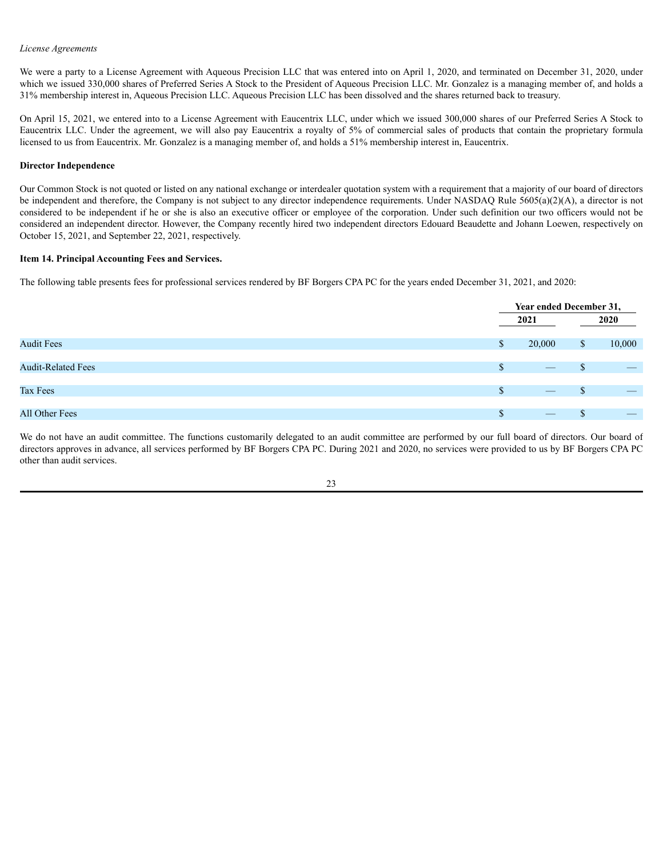#### *License Agreements*

We were a party to a License Agreement with Aqueous Precision LLC that was entered into on April 1, 2020, and terminated on December 31, 2020, under which we issued 330,000 shares of Preferred Series A Stock to the President of Aqueous Precision LLC. Mr. Gonzalez is a managing member of, and holds a 31% membership interest in, Aqueous Precision LLC. Aqueous Precision LLC has been dissolved and the shares returned back to treasury.

On April 15, 2021, we entered into to a License Agreement with Eaucentrix LLC, under which we issued 300,000 shares of our Preferred Series A Stock to Eaucentrix LLC. Under the agreement, we will also pay Eaucentrix a royalty of 5% of commercial sales of products that contain the proprietary formula licensed to us from Eaucentrix. Mr. Gonzalez is a managing member of, and holds a 51% membership interest in, Eaucentrix.

#### **Director Independence**

Our Common Stock is not quoted or listed on any national exchange or interdealer quotation system with a requirement that a majority of our board of directors be independent and therefore, the Company is not subject to any director independence requirements. Under NASDAQ Rule 5605(a)(2)(A), a director is not considered to be independent if he or she is also an executive officer or employee of the corporation. Under such definition our two officers would not be considered an independent director. However, the Company recently hired two independent directors Edouard Beaudette and Johann Loewen, respectively on October 15, 2021, and September 22, 2021, respectively.

#### **Item 14. Principal Accounting Fees and Services.**

The following table presents fees for professional services rendered by BF Borgers CPA PC for the years ended December 31, 2021, and 2020:

|                           |    | Year ended December 31, |   |        |
|---------------------------|----|-------------------------|---|--------|
|                           |    | 2021                    |   | 2020   |
| <b>Audit Fees</b>         | P. | 20,000                  | S | 10,000 |
| <b>Audit-Related Fees</b> | S. |                         | S |        |
| Tax Fees                  | S. |                         |   |        |
|                           |    |                         |   |        |
| All Other Fees            |    |                         |   |        |

We do not have an audit committee. The functions customarily delegated to an audit committee are performed by our full board of directors. Our board of directors approves in advance, all services performed by BF Borgers CPA PC. During 2021 and 2020, no services were provided to us by BF Borgers CPA PC other than audit services.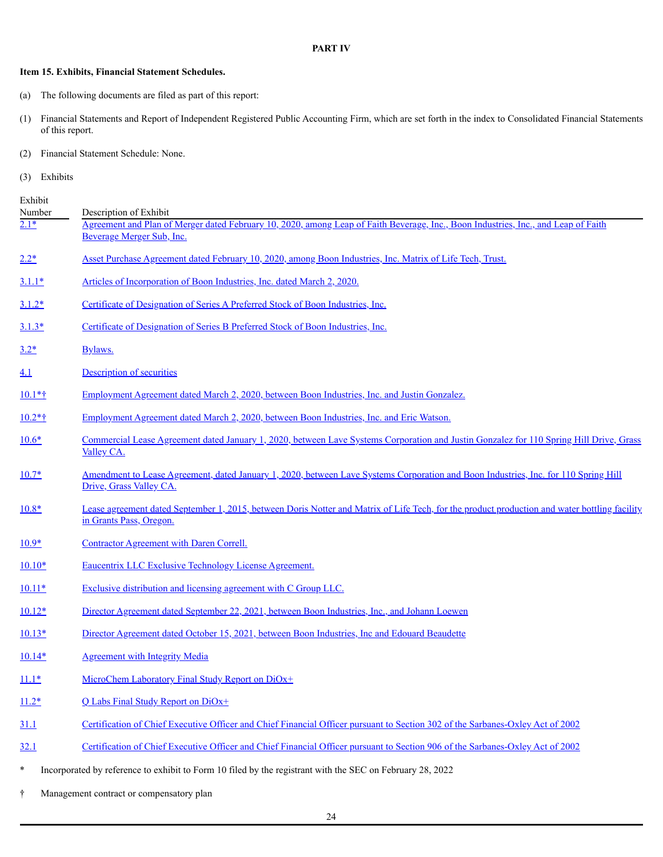#### **PART IV**

#### **Item 15. Exhibits, Financial Statement Schedules.**

- (a) The following documents are filed as part of this report:
- (1) Financial Statements and Report of Independent Registered Public Accounting Firm, which are set forth in the index to Consolidated Financial Statements of this report.
- (2) Financial Statement Schedule: None.
- (3) Exhibits

| Exhibit<br>Number | Description of Exhibit                                                                                                                                                   |
|-------------------|--------------------------------------------------------------------------------------------------------------------------------------------------------------------------|
| $2.1*$            | Agreement and Plan of Merger dated February 10, 2020, among Leap of Faith Beverage, Inc., Boon Industries, Inc., and Leap of Faith<br>Beverage Merger Sub, Inc.          |
| $2.2*$            | Asset Purchase Agreement dated February 10, 2020, among Boon Industries, Inc. Matrix of Life Tech, Trust.                                                                |
| $3.1.1*$          | Articles of Incorporation of Boon Industries, Inc. dated March 2, 2020.                                                                                                  |
| $3.1.2*$          | Certificate of Designation of Series A Preferred Stock of Boon Industries, Inc.                                                                                          |
| $3.1.3*$          | Certificate of Designation of Series B Preferred Stock of Boon Industries, Inc.                                                                                          |
| $3.2*$            | Bylaws.                                                                                                                                                                  |
| 4.1               | <b>Description of securities</b>                                                                                                                                         |
| $10.1*$ †         | <u>Employment Agreement dated March 2, 2020, between Boon Industries, Inc. and Justin Gonzalez.</u>                                                                      |
| $10.2*$ †         | <u>Employment Agreement dated March 2, 2020, between Boon Industries, Inc. and Eric Watson.</u>                                                                          |
| $10.6*$           | Commercial Lease Agreement dated January 1, 2020, between Lave Systems Corporation and Justin Gonzalez for 110 Spring Hill Drive, Grass<br>Valley CA.                    |
| $10.7*$           | Amendment to Lease Agreement, dated January 1, 2020, between Lave Systems Corporation and Boon Industries, Inc. for 110 Spring Hill<br>Drive, Grass Valley CA.           |
| $10.8*$           | Lease agreement dated September 1, 2015, between Doris Notter and Matrix of Life Tech, for the product production and water bottling facility<br>in Grants Pass, Oregon. |
| $10.9*$           | <b>Contractor Agreement with Daren Correll.</b>                                                                                                                          |
| $10.10*$          | <b>Eaucentrix LLC Exclusive Technology License Agreement.</b>                                                                                                            |
| $10.11*$          | Exclusive distribution and licensing agreement with C Group LLC.                                                                                                         |
| $10.12*$          | Director Agreement dated September 22, 2021, between Boon Industries, Inc., and Johann Loewen                                                                            |
| $10.13*$          | Director Agreement dated October 15, 2021, between Boon Industries, Inc and Edouard Beaudette                                                                            |
| $10.14*$          | <b>Agreement with Integrity Media</b>                                                                                                                                    |
| $11.1*$           | MicroChem Laboratory Final Study Report on DiOx+                                                                                                                         |
| $11.2*$           | Q Labs Final Study Report on DiOx+                                                                                                                                       |
| 31.1              | Certification of Chief Executive Officer and Chief Financial Officer pursuant to Section 302 of the Sarbanes-Oxley Act of 2002                                           |
| 32.1              | Certification of Chief Executive Officer and Chief Financial Officer pursuant to Section 906 of the Sarbanes-Oxley Act of 2002                                           |
| $\ast$            | Incorporated by reference to exhibit to Form 10 filed by the registrant with the SEC on February 28, 2022                                                                |

† Management contract or compensatory plan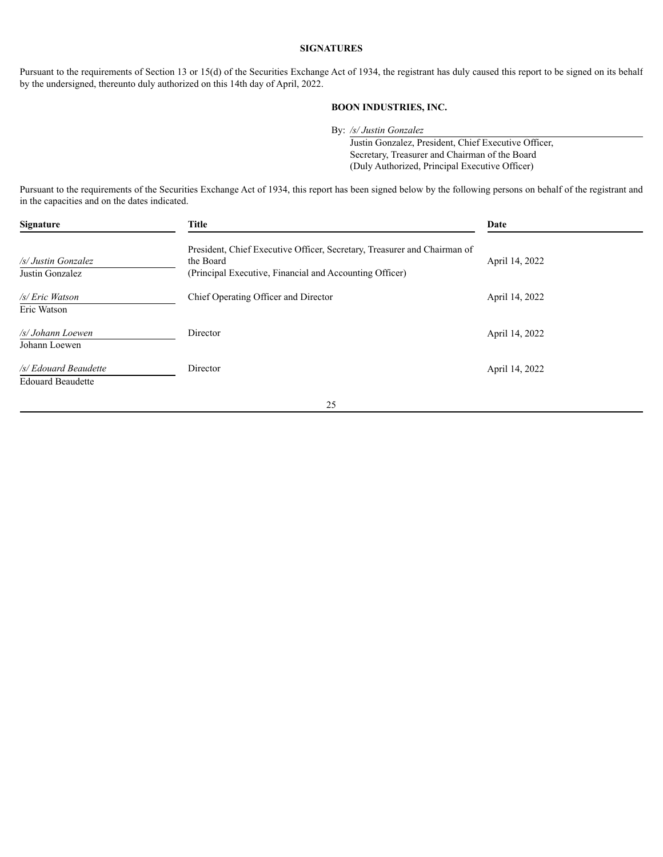#### <span id="page-54-0"></span>**SIGNATURES**

Pursuant to the requirements of Section 13 or 15(d) of the Securities Exchange Act of 1934, the registrant has duly caused this report to be signed on its behalf by the undersigned, thereunto duly authorized on this 14th day of April, 2022.

#### **BOON INDUSTRIES, INC.**

By: */s/ Justin Gonzalez*

Justin Gonzalez, President, Chief Executive Officer, Secretary, Treasurer and Chairman of the Board (Duly Authorized, Principal Executive Officer)

Pursuant to the requirements of the Securities Exchange Act of 1934, this report has been signed below by the following persons on behalf of the registrant and in the capacities and on the dates indicated.

| <b>Signature</b>                                  | <b>Title</b>                                                                                                                                     | Date           |
|---------------------------------------------------|--------------------------------------------------------------------------------------------------------------------------------------------------|----------------|
| /s/ Justin Gonzalez<br>Justin Gonzalez            | President, Chief Executive Officer, Secretary, Treasurer and Chairman of<br>the Board<br>(Principal Executive, Financial and Accounting Officer) | April 14, 2022 |
| /s/ Eric Watson<br>Eric Watson                    | Chief Operating Officer and Director                                                                                                             | April 14, 2022 |
| /s/ Johann Loewen<br>Johann Loewen                | Director                                                                                                                                         | April 14, 2022 |
| /s/ Edouard Beaudette<br><b>Edouard Beaudette</b> | Director                                                                                                                                         | April 14, 2022 |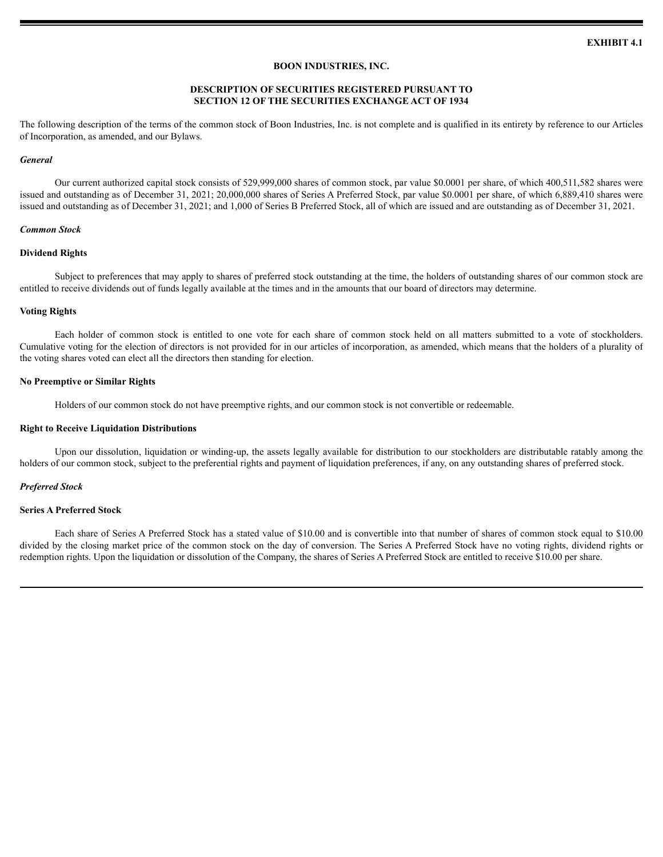#### **BOON INDUSTRIES, INC.**

#### **DESCRIPTION OF SECURITIES REGISTERED PURSUANT TO SECTION 12 OF THE SECURITIES EXCHANGE ACT OF 1934**

<span id="page-55-0"></span>The following description of the terms of the common stock of Boon Industries, Inc. is not complete and is qualified in its entirety by reference to our Articles of Incorporation, as amended, and our Bylaws.

#### *General*

Our current authorized capital stock consists of 529,999,000 shares of common stock, par value \$0.0001 per share, of which 400,511,582 shares were issued and outstanding as of December 31, 2021; 20,000,000 shares of Series A Preferred Stock, par value \$0.0001 per share, of which 6,889,410 shares were issued and outstanding as of December 31, 2021; and 1,000 of Series B Preferred Stock, all of which are issued and are outstanding as of December 31, 2021.

#### *Common Stock*

#### **Dividend Rights**

Subject to preferences that may apply to shares of preferred stock outstanding at the time, the holders of outstanding shares of our common stock are entitled to receive dividends out of funds legally available at the times and in the amounts that our board of directors may determine.

#### **Voting Rights**

Each holder of common stock is entitled to one vote for each share of common stock held on all matters submitted to a vote of stockholders. Cumulative voting for the election of directors is not provided for in our articles of incorporation, as amended, which means that the holders of a plurality of the voting shares voted can elect all the directors then standing for election.

#### **No Preemptive or Similar Rights**

Holders of our common stock do not have preemptive rights, and our common stock is not convertible or redeemable.

#### **Right to Receive Liquidation Distributions**

Upon our dissolution, liquidation or winding-up, the assets legally available for distribution to our stockholders are distributable ratably among the holders of our common stock, subject to the preferential rights and payment of liquidation preferences, if any, on any outstanding shares of preferred stock.

#### *Preferred Stock*

#### **Series A Preferred Stock**

Each share of Series A Preferred Stock has a stated value of \$10.00 and is convertible into that number of shares of common stock equal to \$10.00 divided by the closing market price of the common stock on the day of conversion. The Series A Preferred Stock have no voting rights, dividend rights or redemption rights. Upon the liquidation or dissolution of the Company, the shares of Series A Preferred Stock are entitled to receive \$10.00 per share.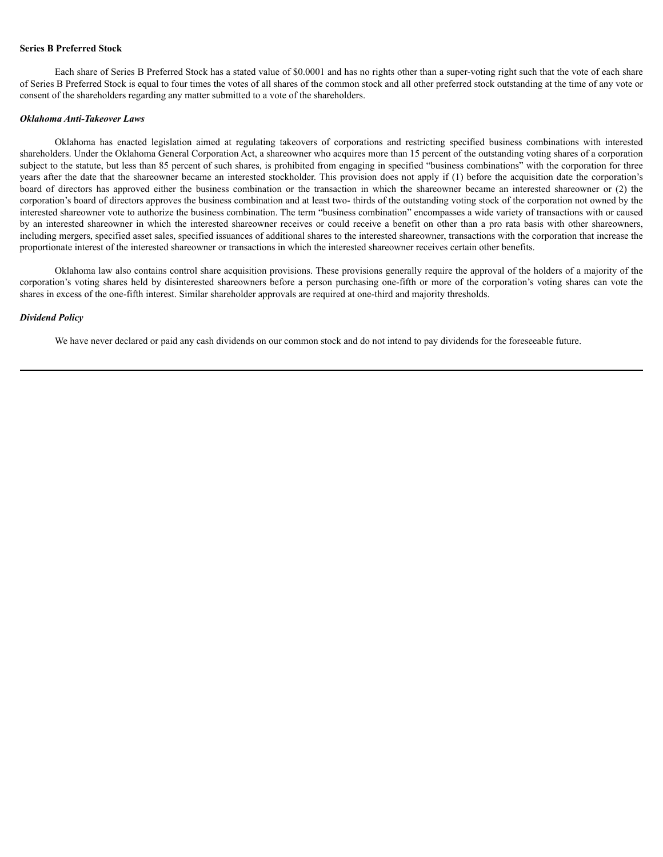#### **Series B Preferred Stock**

Each share of Series B Preferred Stock has a stated value of \$0.0001 and has no rights other than a super-voting right such that the vote of each share of Series B Preferred Stock is equal to four times the votes of all shares of the common stock and all other preferred stock outstanding at the time of any vote or consent of the shareholders regarding any matter submitted to a vote of the shareholders.

#### *Oklahoma Anti-Takeover Laws*

Oklahoma has enacted legislation aimed at regulating takeovers of corporations and restricting specified business combinations with interested shareholders. Under the Oklahoma General Corporation Act, a shareowner who acquires more than 15 percent of the outstanding voting shares of a corporation subject to the statute, but less than 85 percent of such shares, is prohibited from engaging in specified "business combinations" with the corporation for three years after the date that the shareowner became an interested stockholder. This provision does not apply if (1) before the acquisition date the corporation's board of directors has approved either the business combination or the transaction in which the shareowner became an interested shareowner or (2) the corporation's board of directors approves the business combination and at least two- thirds of the outstanding voting stock of the corporation not owned by the interested shareowner vote to authorize the business combination. The term "business combination" encompasses a wide variety of transactions with or caused by an interested shareowner in which the interested shareowner receives or could receive a benefit on other than a pro rata basis with other shareowners, including mergers, specified asset sales, specified issuances of additional shares to the interested shareowner, transactions with the corporation that increase the proportionate interest of the interested shareowner or transactions in which the interested shareowner receives certain other benefits.

Oklahoma law also contains control share acquisition provisions. These provisions generally require the approval of the holders of a majority of the corporation's voting shares held by disinterested shareowners before a person purchasing one-fifth or more of the corporation's voting shares can vote the shares in excess of the one-fifth interest. Similar shareholder approvals are required at one-third and majority thresholds.

#### *Dividend Policy*

We have never declared or paid any cash dividends on our common stock and do not intend to pay dividends for the foreseeable future.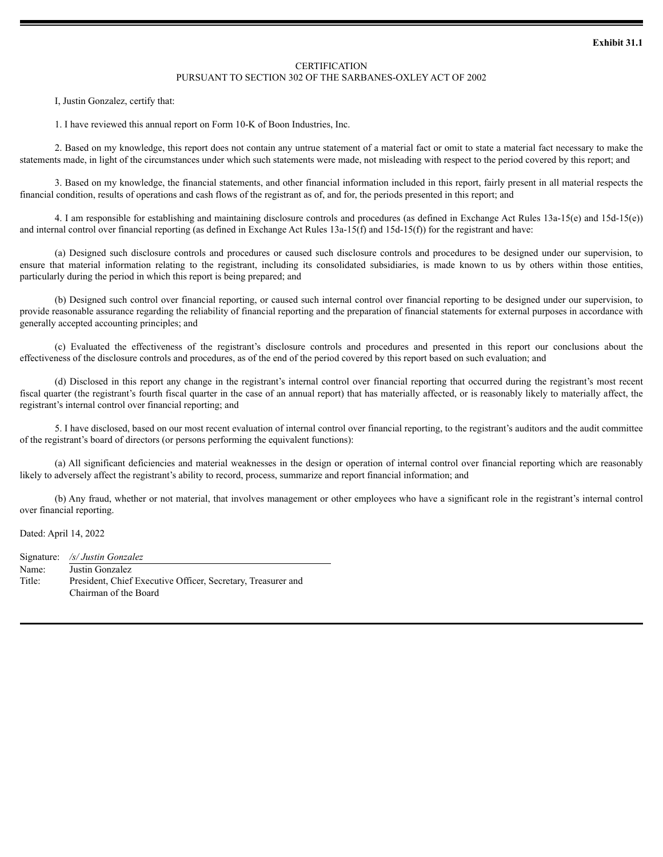#### **CERTIFICATION** PURSUANT TO SECTION 302 OF THE SARBANES-OXLEY ACT OF 2002

<span id="page-57-0"></span>I, Justin Gonzalez, certify that:

1. I have reviewed this annual report on Form 10-K of Boon Industries, Inc.

2. Based on my knowledge, this report does not contain any untrue statement of a material fact or omit to state a material fact necessary to make the statements made, in light of the circumstances under which such statements were made, not misleading with respect to the period covered by this report; and

3. Based on my knowledge, the financial statements, and other financial information included in this report, fairly present in all material respects the financial condition, results of operations and cash flows of the registrant as of, and for, the periods presented in this report; and

4. I am responsible for establishing and maintaining disclosure controls and procedures (as defined in Exchange Act Rules 13a-15(e) and 15d-15(e)) and internal control over financial reporting (as defined in Exchange Act Rules 13a-15(f) and 15d-15(f)) for the registrant and have:

(a) Designed such disclosure controls and procedures or caused such disclosure controls and procedures to be designed under our supervision, to ensure that material information relating to the registrant, including its consolidated subsidiaries, is made known to us by others within those entities, particularly during the period in which this report is being prepared; and

(b) Designed such control over financial reporting, or caused such internal control over financial reporting to be designed under our supervision, to provide reasonable assurance regarding the reliability of financial reporting and the preparation of financial statements for external purposes in accordance with generally accepted accounting principles; and

(c) Evaluated the effectiveness of the registrant's disclosure controls and procedures and presented in this report our conclusions about the effectiveness of the disclosure controls and procedures, as of the end of the period covered by this report based on such evaluation; and

(d) Disclosed in this report any change in the registrant's internal control over financial reporting that occurred during the registrant's most recent fiscal quarter (the registrant's fourth fiscal quarter in the case of an annual report) that has materially affected, or is reasonably likely to materially affect, the registrant's internal control over financial reporting; and

5. I have disclosed, based on our most recent evaluation of internal control over financial reporting, to the registrant's auditors and the audit committee of the registrant's board of directors (or persons performing the equivalent functions):

(a) All significant deficiencies and material weaknesses in the design or operation of internal control over financial reporting which are reasonably likely to adversely affect the registrant's ability to record, process, summarize and report financial information; and

(b) Any fraud, whether or not material, that involves management or other employees who have a significant role in the registrant's internal control over financial reporting.

Dated: April 14, 2022

Signature: */s/ Justin Gonzalez* Name: Justin Gonzalez Title: President, Chief Executive Officer, Secretary, Treasurer and Chairman of the Board